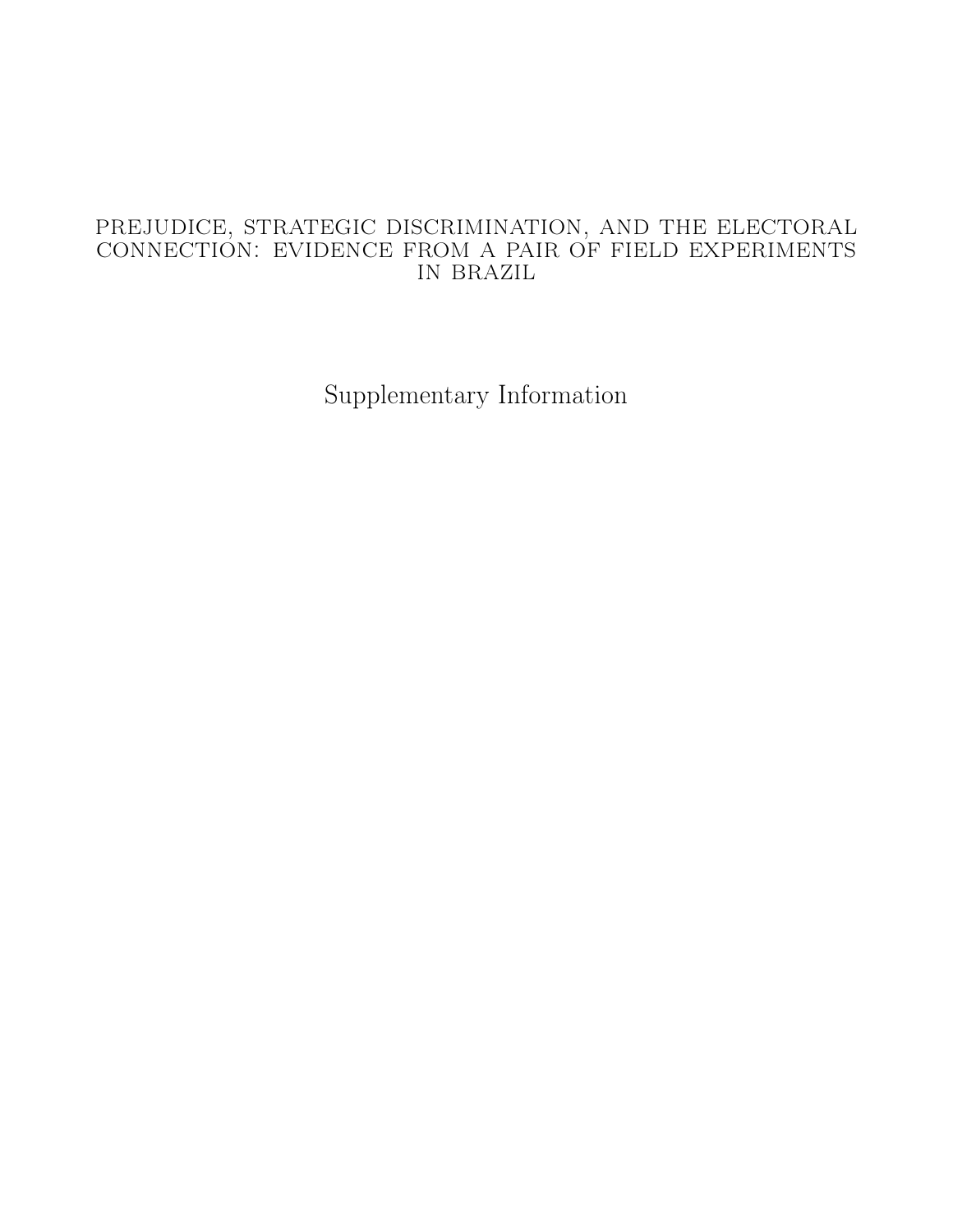# prejudice, strategic discrimination, and the electoral connection: evidence from a pair of field experiments in brazil

Supplementary Information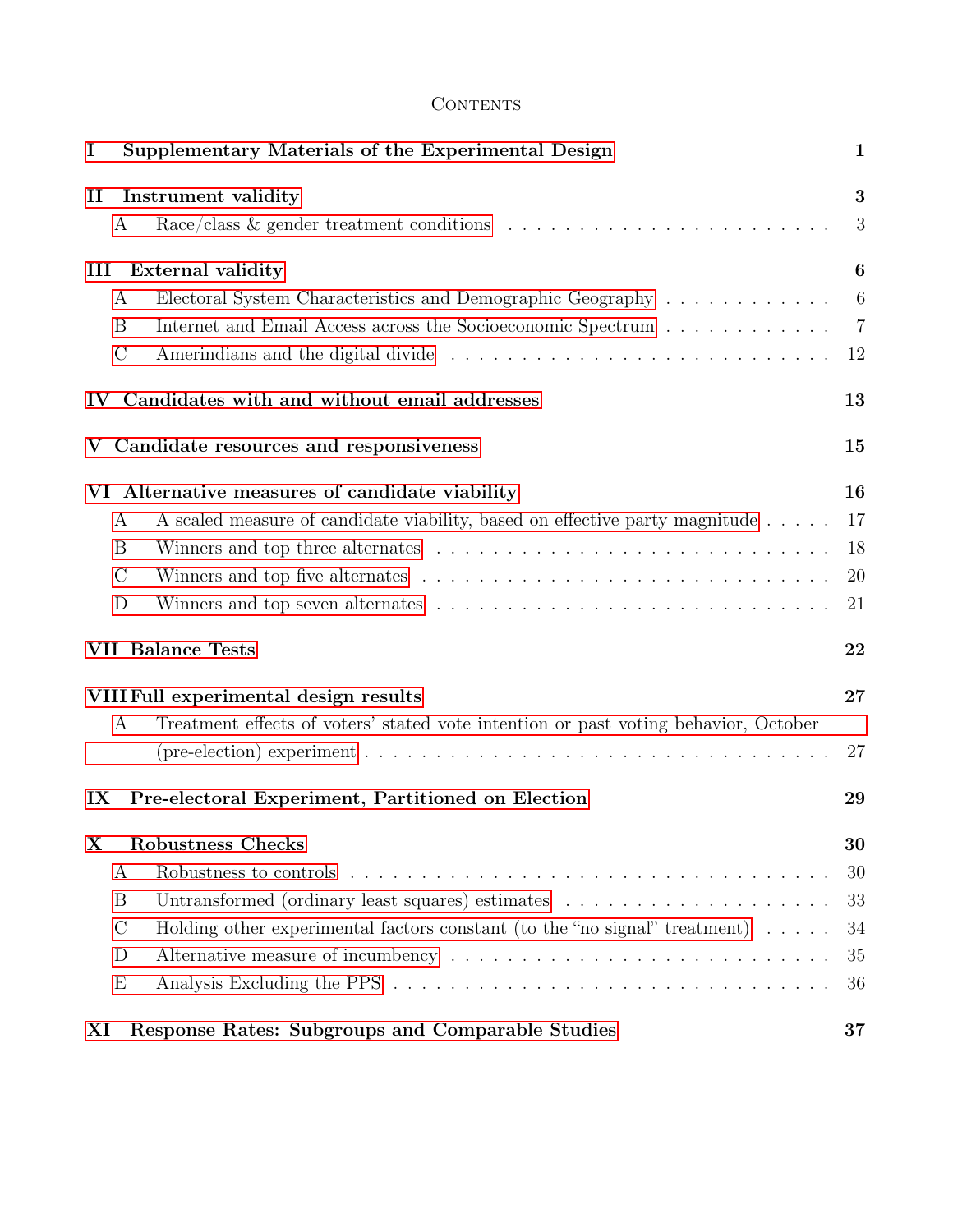# **CONTENTS**

| I             |               | Supplementary Materials of the Experimental Design                                                       | $\mathbf{1}$     |
|---------------|---------------|----------------------------------------------------------------------------------------------------------|------------------|
| $\mathbf{I}$  |               | Instrument validity                                                                                      | 3                |
|               | A             |                                                                                                          | 3                |
| Ш             |               | <b>External validity</b>                                                                                 | 6                |
|               | A             | Electoral System Characteristics and Demographic Geography                                               | $\boldsymbol{6}$ |
|               | B             | Internet and Email Access across the Socioeconomic Spectrum                                              | $\overline{7}$   |
|               | $\mathcal{C}$ |                                                                                                          | 12               |
| $\mathbf{IV}$ |               | Candidates with and without email addresses                                                              | 13               |
|               |               | Candidate resources and responsiveness                                                                   | 15               |
|               |               | VI Alternative measures of candidate viability                                                           | 16               |
|               | A             | A scaled measure of candidate viability, based on effective party magnitude                              | 17               |
|               | B             |                                                                                                          | 18               |
|               | $\mathcal C$  |                                                                                                          | 20               |
|               | D             |                                                                                                          | 21               |
|               |               | <b>VII Balance Tests</b>                                                                                 | 22               |
|               |               | VIII Full experimental design results                                                                    | 27               |
|               | A             | Treatment effects of voters' stated vote intention or past voting behavior, October                      |                  |
|               |               | (pre-election) experiment $\ldots \ldots \ldots \ldots \ldots \ldots \ldots \ldots \ldots \ldots \ldots$ | 27               |
| IX            |               | Pre-electoral Experiment, Partitioned on Election                                                        | 29               |
| X             |               | <b>Robustness Checks</b>                                                                                 | 30               |
|               | А             |                                                                                                          | 30               |
|               | B             | Untransformed (ordinary least squares) estimates                                                         | 33               |
|               | $\mathcal{C}$ | Holding other experimental factors constant (to the "no signal" treatment) $\dots$ .                     | 34               |
|               | D             |                                                                                                          | 35               |
|               | E             |                                                                                                          | 36               |
| XI            |               | Response Rates: Subgroups and Comparable Studies                                                         | 37               |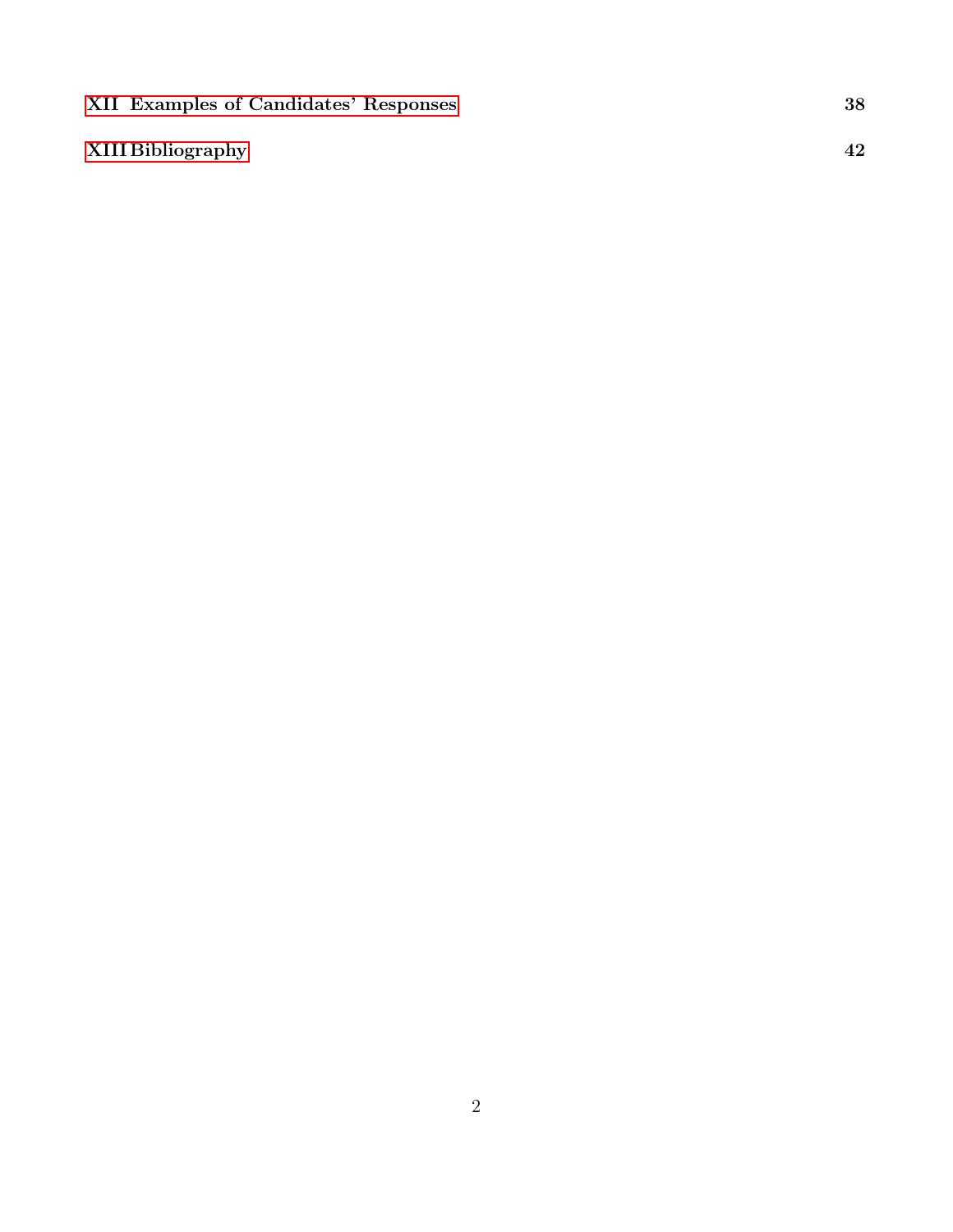| <b>XII Examples of Candidates' Responses</b> |    |
|----------------------------------------------|----|
| XIII Bibliography                            | 42 |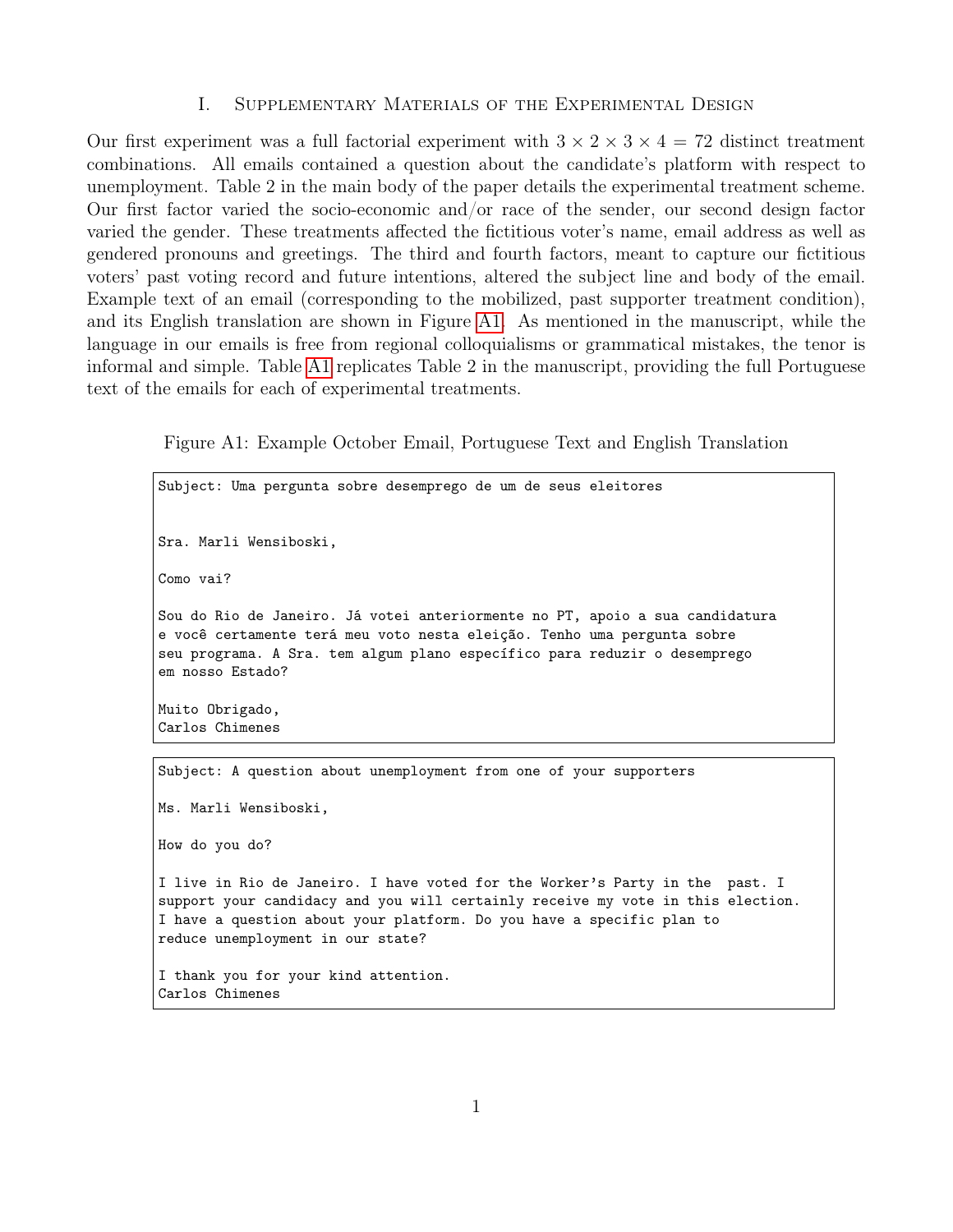#### I. Supplementary Materials of the Experimental Design

<span id="page-3-0"></span>Our first experiment was a full factorial experiment with  $3 \times 2 \times 3 \times 4 = 72$  distinct treatment combinations. All emails contained a question about the candidate's platform with respect to unemployment. Table 2 in the main body of the paper details the experimental treatment scheme. Our first factor varied the socio-economic and/or race of the sender, our second design factor varied the gender. These treatments affected the fictitious voter's name, email address as well as gendered pronouns and greetings. The third and fourth factors, meant to capture our fictitious voters' past voting record and future intentions, altered the subject line and body of the email. Example text of an email (corresponding to the mobilized, past supporter treatment condition), and its English translation are shown in Figure [A1.](#page-3-1) As mentioned in the manuscript, while the language in our emails is free from regional colloquialisms or grammatical mistakes, the tenor is informal and simple. Table [A1](#page-4-0) replicates Table 2 in the manuscript, providing the full Portuguese text of the emails for each of experimental treatments.

<span id="page-3-1"></span>Figure A1: Example October Email, Portuguese Text and English Translation

Subject: Uma pergunta sobre desemprego de um de seus eleitores Sra. Marli Wensiboski, Como vai? Sou do Rio de Janeiro. Já votei anteriormente no PT, apoio a sua candidatura e você certamente terá meu voto nesta eleição. Tenho uma pergunta sobre seu programa. A Sra. tem algum plano específico para reduzir o desemprego em nosso Estado? Muito Obrigado, Carlos Chimenes Subject: A question about unemployment from one of your supporters Ms. Marli Wensiboski, How do you do? I live in Rio de Janeiro. I have voted for the Worker's Party in the past. I

support your candidacy and you will certainly receive my vote in this election. I have a question about your platform. Do you have a specific plan to reduce unemployment in our state?

I thank you for your kind attention. Carlos Chimenes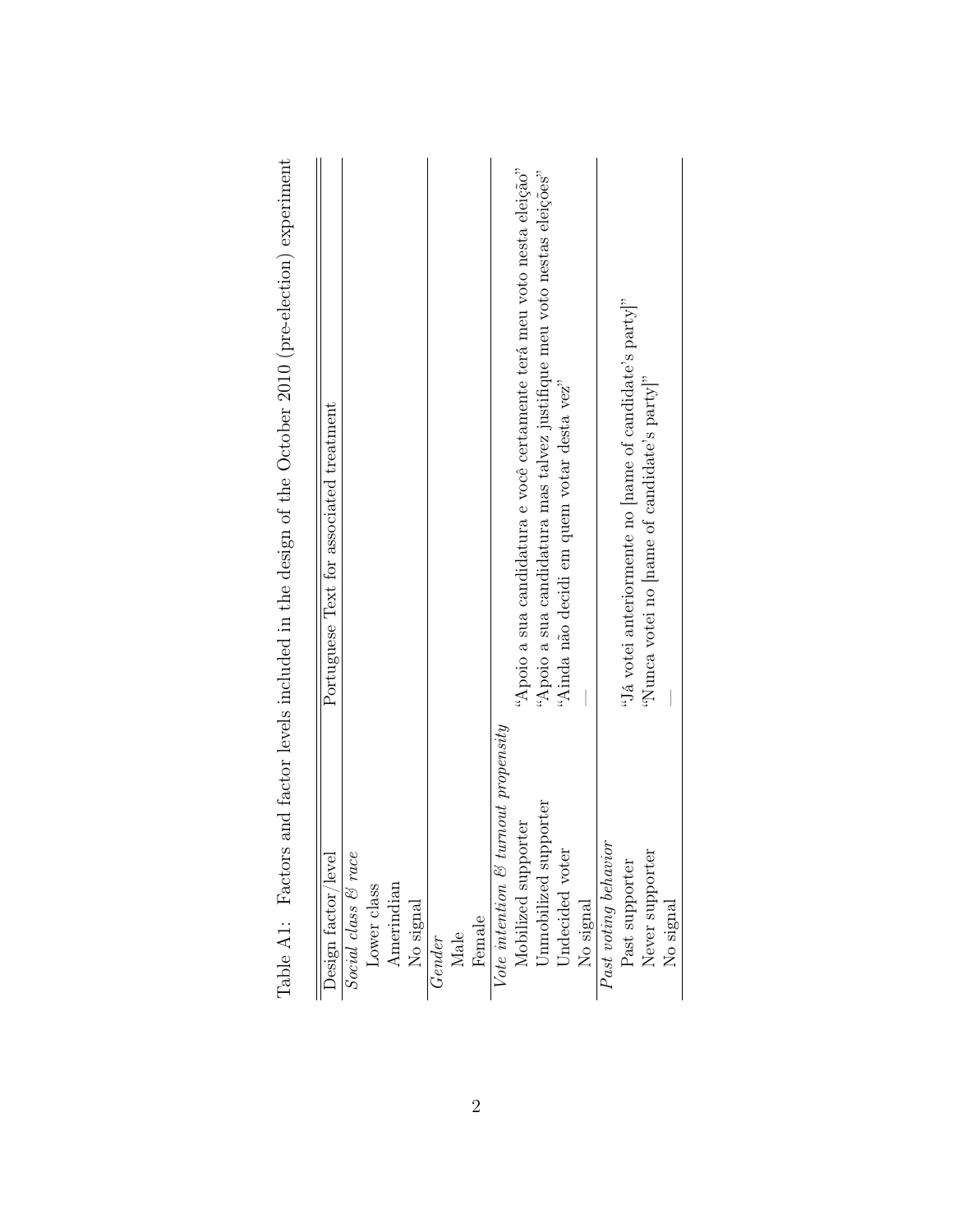<span id="page-4-0"></span>

| "Apoio a sua candidatura mas talvez justifique meu voto nestas eleições"<br>"Já votei anteriormente no $[name of candidate's party]$ "<br>"Nunca votei no name of candidate's party <sup>"</sup><br>"Ainda não decidi em quem votar desta vez"<br>Portuguese Text for associated treatment<br>Vote intention & turnout propensity<br>Unmobilized supporter<br>Mobilized supporter<br>Past voting behavior<br>Design factor/level<br>Social class & race<br>Undecided voter<br>Never supporter<br>Past supporter<br>Amerindian<br>Lower class<br>No signal<br>No signal<br>No signal<br>Female<br>Male<br>Gender | Table A1: Factors | and factor levels included in the design of the October 2010 (pre-election) experiment |
|-----------------------------------------------------------------------------------------------------------------------------------------------------------------------------------------------------------------------------------------------------------------------------------------------------------------------------------------------------------------------------------------------------------------------------------------------------------------------------------------------------------------------------------------------------------------------------------------------------------------|-------------------|----------------------------------------------------------------------------------------|
|                                                                                                                                                                                                                                                                                                                                                                                                                                                                                                                                                                                                                 |                   |                                                                                        |
|                                                                                                                                                                                                                                                                                                                                                                                                                                                                                                                                                                                                                 |                   |                                                                                        |
|                                                                                                                                                                                                                                                                                                                                                                                                                                                                                                                                                                                                                 |                   |                                                                                        |
|                                                                                                                                                                                                                                                                                                                                                                                                                                                                                                                                                                                                                 |                   |                                                                                        |
|                                                                                                                                                                                                                                                                                                                                                                                                                                                                                                                                                                                                                 |                   |                                                                                        |
|                                                                                                                                                                                                                                                                                                                                                                                                                                                                                                                                                                                                                 |                   |                                                                                        |
|                                                                                                                                                                                                                                                                                                                                                                                                                                                                                                                                                                                                                 |                   |                                                                                        |
|                                                                                                                                                                                                                                                                                                                                                                                                                                                                                                                                                                                                                 |                   |                                                                                        |
|                                                                                                                                                                                                                                                                                                                                                                                                                                                                                                                                                                                                                 |                   |                                                                                        |
|                                                                                                                                                                                                                                                                                                                                                                                                                                                                                                                                                                                                                 |                   | "Apoio a sua candidatura e você certamente terá meu voto nesta eleição"                |
|                                                                                                                                                                                                                                                                                                                                                                                                                                                                                                                                                                                                                 |                   |                                                                                        |
|                                                                                                                                                                                                                                                                                                                                                                                                                                                                                                                                                                                                                 |                   |                                                                                        |
|                                                                                                                                                                                                                                                                                                                                                                                                                                                                                                                                                                                                                 |                   |                                                                                        |
|                                                                                                                                                                                                                                                                                                                                                                                                                                                                                                                                                                                                                 |                   |                                                                                        |
|                                                                                                                                                                                                                                                                                                                                                                                                                                                                                                                                                                                                                 |                   |                                                                                        |
|                                                                                                                                                                                                                                                                                                                                                                                                                                                                                                                                                                                                                 |                   |                                                                                        |
|                                                                                                                                                                                                                                                                                                                                                                                                                                                                                                                                                                                                                 |                   |                                                                                        |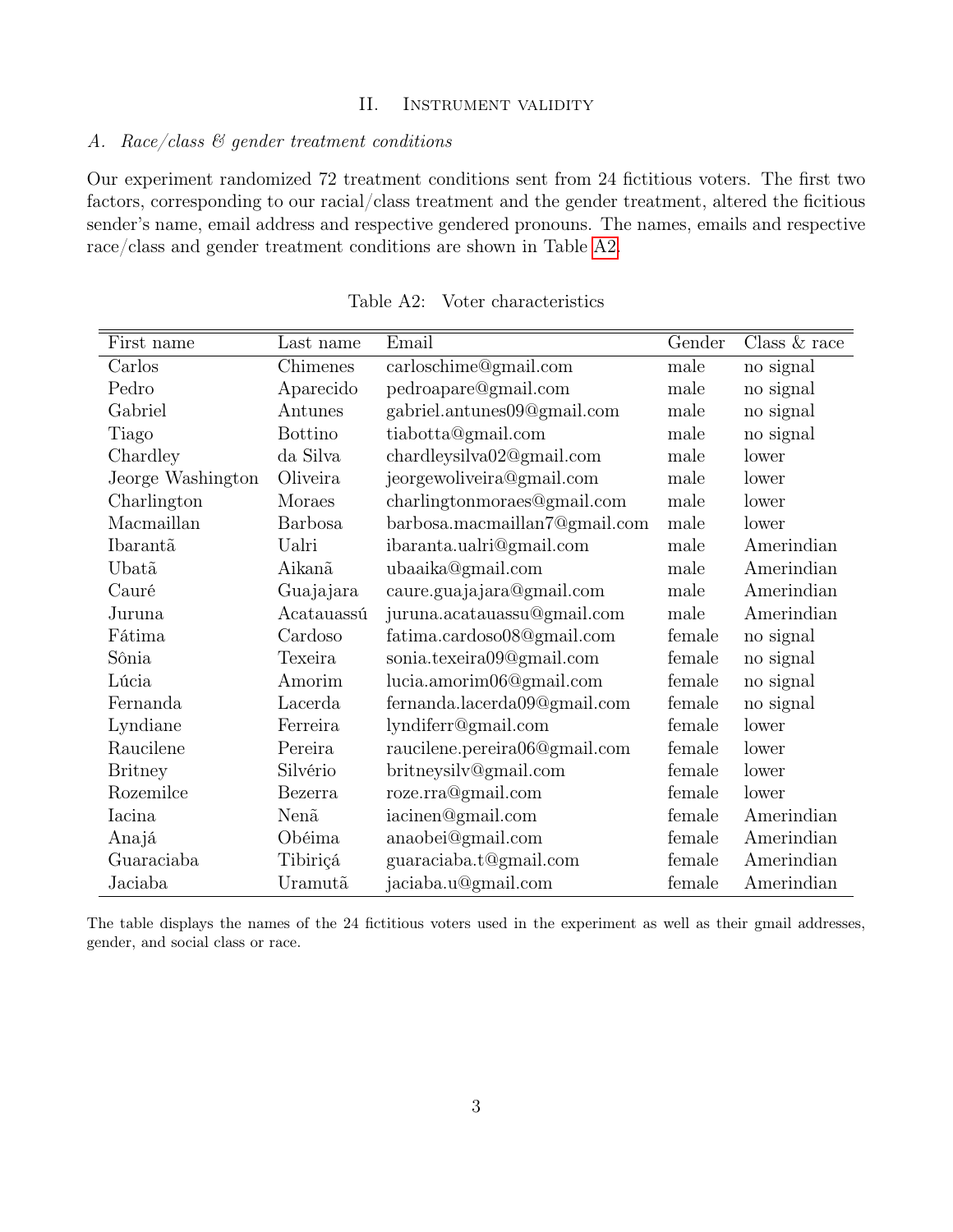## II. Instrument validity

# <span id="page-5-1"></span><span id="page-5-0"></span>A. Race/class  $\mathcal{C}$  gender treatment conditions

Our experiment randomized 72 treatment conditions sent from 24 fictitious voters. The first two factors, corresponding to our racial/class treatment and the gender treatment, altered the ficitious sender's name, email address and respective gendered pronouns. The names, emails and respective race/class and gender treatment conditions are shown in Table [A2.](#page-5-2)

| First name        | Last name                    | Email                         | Gender | Class $& \text{race}$ |
|-------------------|------------------------------|-------------------------------|--------|-----------------------|
| Carlos            | $\overline{\text{Chimenes}}$ | carloschime@gmail.com         | male   | no signal             |
| Pedro             | Aparecido                    | pedroapare@gmail.com          | male   | no signal             |
| Gabriel           | Antunes                      | gabriel.antunes09@gmail.com   | male   | no signal             |
| Tiago             | <b>Bottino</b>               | tiabotta@gmail.com            | male   | no signal             |
| Chardley          | da Silva                     | chardleysilva02@gmail.com     | male   | lower                 |
| Jeorge Washington | Oliveira                     | jeorgewoliveira@gmail.com     | male   | lower                 |
| Charlington       | Moraes                       | charlingtonmoraes@gmail.com   | male   | lower                 |
| Macmaillan        | <b>Barbosa</b>               | barbosa.macmaillan7@gmail.com | male   | lower                 |
| Ibarantã          | Ualri                        | ibaranta.ualri@gmail.com      | male   | Amerindian            |
| Ubatã             | Aikanã                       | ubaaika@gmail.com             | male   | Amerindian            |
| Cauré             | Guajajara                    | caure.guajajara@gmail.com     | male   | Amerindian            |
| Juruna            | Acatauassú                   | juruna.acatauassu@gmail.com   | male   | Amerindian            |
| Fátima            | Cardoso                      | fatima.cardoso08@gmail.com    | female | no signal             |
| Sônia             | Texeira                      | sonia.texeira09@gmail.com     | female | no signal             |
| Lúcia             | Amorim                       | lucia.amorim06@gmail.com      | female | no signal             |
| Fernanda          | Lacerda                      | fernanda.lacerda09@gmail.com  | female | no signal             |
| Lyndiane          | Ferreira                     | lyndiferr@gmail.com           | female | lower                 |
| Raucilene         | Pereira                      | raucilene.pereira06@gmail.com | female | lower                 |
| <b>Britney</b>    | Silvério                     | britneysilv@gmail.com         | female | lower                 |
| Rozemilce         | Bezerra                      | roze.rra@gmail.com            | female | lower                 |
| Iacina            | Nenã                         | iacinen@gmail.com             | female | Amerindian            |
| Anajá             | Obéima                       | anaobei@gmail.com             | female | Amerindian            |
| Guaraciaba        | Tibiriçá                     | guaraciaba.t@gmail.com        | female | Amerindian            |
| Jaciaba           | Uramutã                      | jaciaba.u@gmail.com           | female | Amerindian            |

<span id="page-5-2"></span>Table A2: Voter characteristics

The table displays the names of the 24 fictitious voters used in the experiment as well as their gmail addresses, gender, and social class or race.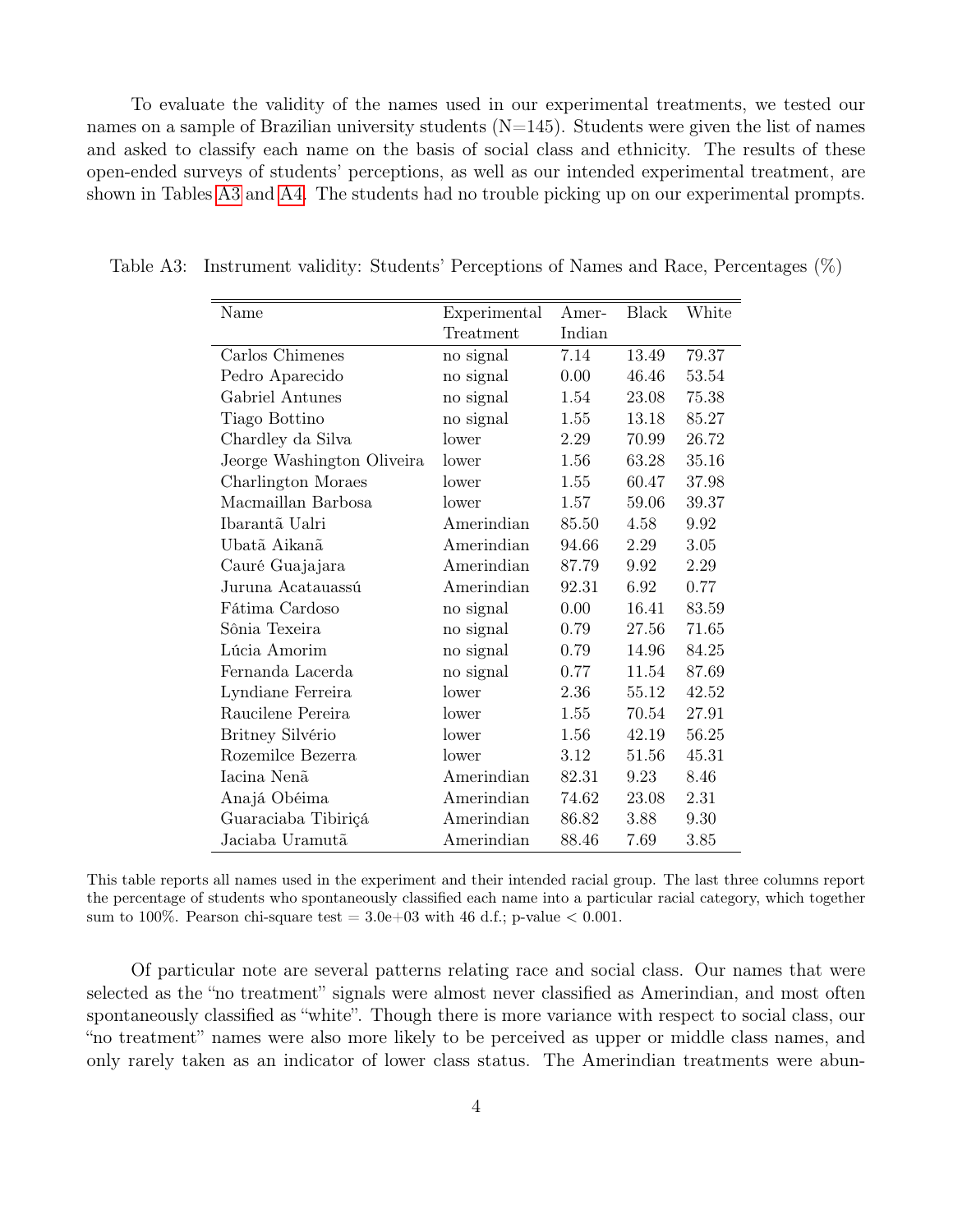To evaluate the validity of the names used in our experimental treatments, we tested our names on a sample of Brazilian university students ( $N=145$ ). Students were given the list of names and asked to classify each name on the basis of social class and ethnicity. The results of these open-ended surveys of students' perceptions, as well as our intended experimental treatment, are shown in Tables [A3](#page-6-0) and [A4.](#page-7-0) The students had no trouble picking up on our experimental prompts.

<span id="page-6-0"></span>

| Name                       | Experimental | Amer-  | Black | White |
|----------------------------|--------------|--------|-------|-------|
|                            | Treatment    | Indian |       |       |
| Carlos Chimenes            | no signal    | 7.14   | 13.49 | 79.37 |
| Pedro Aparecido            | no signal    | 0.00   | 46.46 | 53.54 |
| Gabriel Antunes            | no signal    | 1.54   | 23.08 | 75.38 |
| Tiago Bottino              | no signal    | 1.55   | 13.18 | 85.27 |
| Chardley da Silva          | lower        | 2.29   | 70.99 | 26.72 |
| Jeorge Washington Oliveira | lower        | 1.56   | 63.28 | 35.16 |
| Charlington Moraes         | lower        | 1.55   | 60.47 | 37.98 |
| Macmaillan Barbosa         | lower        | 1.57   | 59.06 | 39.37 |
| Ibarantã Ualri             | Amerindian   | 85.50  | 4.58  | 9.92  |
| Ubatã Aikanã               | Amerindian   | 94.66  | 2.29  | 3.05  |
| Cauré Guajajara            | Amerindian   | 87.79  | 9.92  | 2.29  |
| Juruna Acatauassú          | Amerindian   | 92.31  | 6.92  | 0.77  |
| Fátima Cardoso             | no signal    | 0.00   | 16.41 | 83.59 |
| Sônia Texeira              | no signal    | 0.79   | 27.56 | 71.65 |
| Lúcia Amorim               | no signal    | 0.79   | 14.96 | 84.25 |
| Fernanda Lacerda           | no signal    | 0.77   | 11.54 | 87.69 |
| Lyndiane Ferreira          | lower        | 2.36   | 55.12 | 42.52 |
| Raucilene Pereira          | lower        | 1.55   | 70.54 | 27.91 |
| Britney Silvério           | lower        | 1.56   | 42.19 | 56.25 |
| Rozemilce Bezerra          | lower        | 3.12   | 51.56 | 45.31 |
| Iacina Nenã                | Amerindian   | 82.31  | 9.23  | 8.46  |
| Anajá Obéima               | Amerindian   | 74.62  | 23.08 | 2.31  |
| Guaraciaba Tibiriçá        | Amerindian   | 86.82  | 3.88  | 9.30  |
| Jaciaba Uramutã            | Amerindian   | 88.46  | 7.69  | 3.85  |
|                            |              |        |       |       |

Table A3: Instrument validity: Students' Perceptions of Names and Race, Percentages (%)

This table reports all names used in the experiment and their intended racial group. The last three columns report the percentage of students who spontaneously classified each name into a particular racial category, which together sum to 100%. Pearson chi-square test =  $3.0e+03$  with 46 d.f.; p-value  $< 0.001$ .

Of particular note are several patterns relating race and social class. Our names that were selected as the "no treatment" signals were almost never classified as Amerindian, and most often spontaneously classified as "white". Though there is more variance with respect to social class, our "no treatment" names were also more likely to be perceived as upper or middle class names, and only rarely taken as an indicator of lower class status. The Amerindian treatments were abun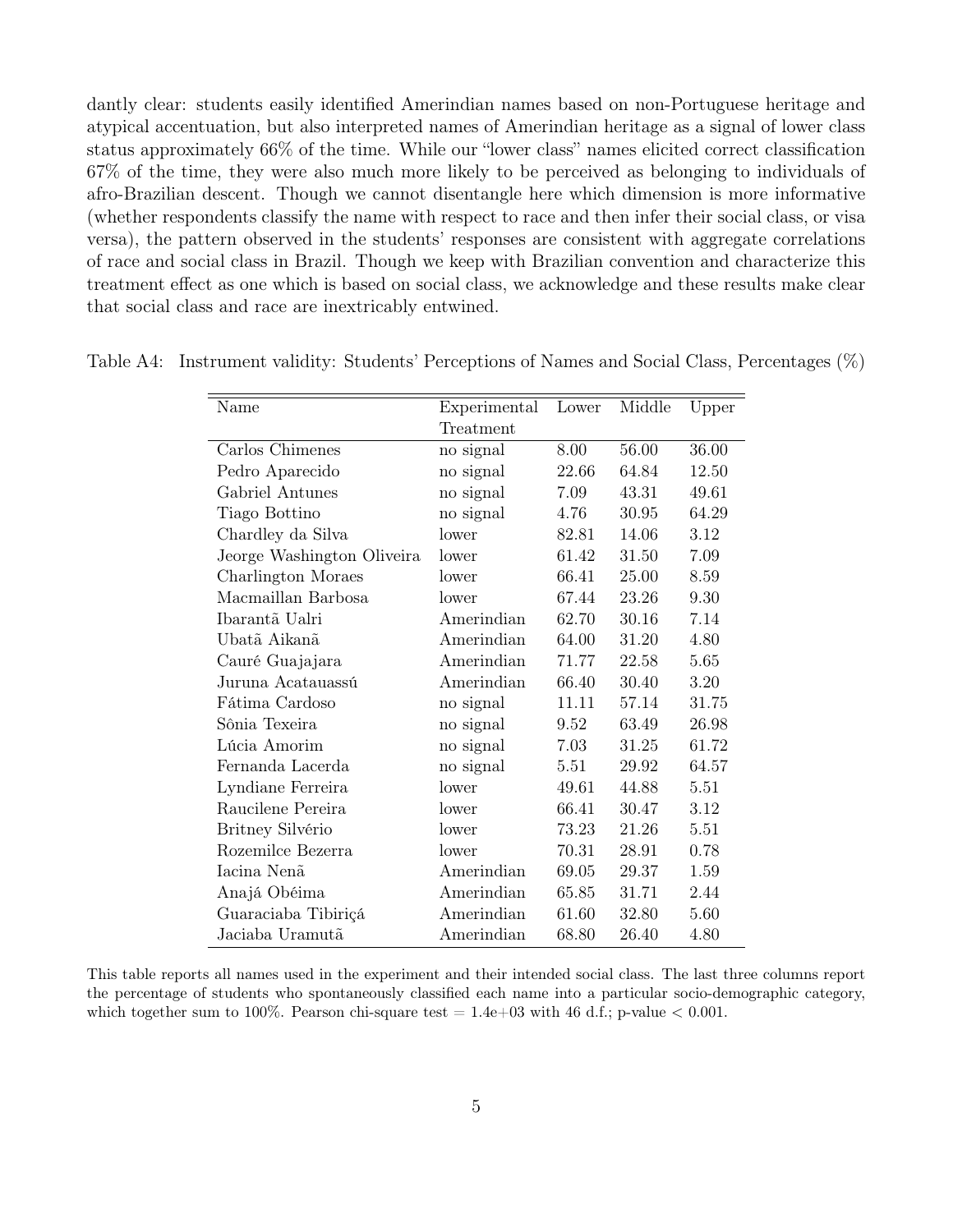dantly clear: students easily identified Amerindian names based on non-Portuguese heritage and atypical accentuation, but also interpreted names of Amerindian heritage as a signal of lower class status approximately 66% of the time. While our "lower class" names elicited correct classification 67% of the time, they were also much more likely to be perceived as belonging to individuals of afro-Brazilian descent. Though we cannot disentangle here which dimension is more informative (whether respondents classify the name with respect to race and then infer their social class, or visa versa), the pattern observed in the students' responses are consistent with aggregate correlations of race and social class in Brazil. Though we keep with Brazilian convention and characterize this treatment effect as one which is based on social class, we acknowledge and these results make clear that social class and race are inextricably entwined.

<span id="page-7-0"></span>

| Name                       | Experimental | Lower | Middle | Upper |
|----------------------------|--------------|-------|--------|-------|
|                            | Treatment    |       |        |       |
| Carlos Chimenes            | no signal    | 8.00  | 56.00  | 36.00 |
| Pedro Aparecido            | no signal    | 22.66 | 64.84  | 12.50 |
| Gabriel Antunes            | no signal    | 7.09  | 43.31  | 49.61 |
| Tiago Bottino              | no signal    | 4.76  | 30.95  | 64.29 |
| Chardley da Silva          | lower        | 82.81 | 14.06  | 3.12  |
| Jeorge Washington Oliveira | lower        | 61.42 | 31.50  | 7.09  |
| Charlington Moraes         | lower        | 66.41 | 25.00  | 8.59  |
| Macmaillan Barbosa         | lower        | 67.44 | 23.26  | 9.30  |
| Ibarantã Ualri             | Amerindian   | 62.70 | 30.16  | 7.14  |
| Ubatã Aikanã               | Amerindian   | 64.00 | 31.20  | 4.80  |
| Cauré Guajajara            | Amerindian   | 71.77 | 22.58  | 5.65  |
| Juruna Acatauassú          | Amerindian   | 66.40 | 30.40  | 3.20  |
| Fátima Cardoso             | no signal    | 11.11 | 57.14  | 31.75 |
| Sônia Texeira              | no signal    | 9.52  | 63.49  | 26.98 |
| Lúcia Amorim               | no signal    | 7.03  | 31.25  | 61.72 |
| Fernanda Lacerda           | no signal    | 5.51  | 29.92  | 64.57 |
| Lyndiane Ferreira          | lower        | 49.61 | 44.88  | 5.51  |
| Raucilene Pereira          | lower        | 66.41 | 30.47  | 3.12  |
| Britney Silvério           | lower        | 73.23 | 21.26  | 5.51  |
| Rozemilce Bezerra          | lower        | 70.31 | 28.91  | 0.78  |
| Iacina Nenã                | Amerindian   | 69.05 | 29.37  | 1.59  |
| Anajá Obéima               | Amerindian   | 65.85 | 31.71  | 2.44  |
| Guaraciaba Tibiriçá        | Amerindian   | 61.60 | 32.80  | 5.60  |
| Jaciaba Uramutã            | Amerindian   | 68.80 | 26.40  | 4.80  |

Table A4: Instrument validity: Students' Perceptions of Names and Social Class, Percentages (%)

This table reports all names used in the experiment and their intended social class. The last three columns report the percentage of students who spontaneously classified each name into a particular socio-demographic category, which together sum to 100%. Pearson chi-square test  $= 1.4e+03$  with 46 d.f.; p-value  $< 0.001$ .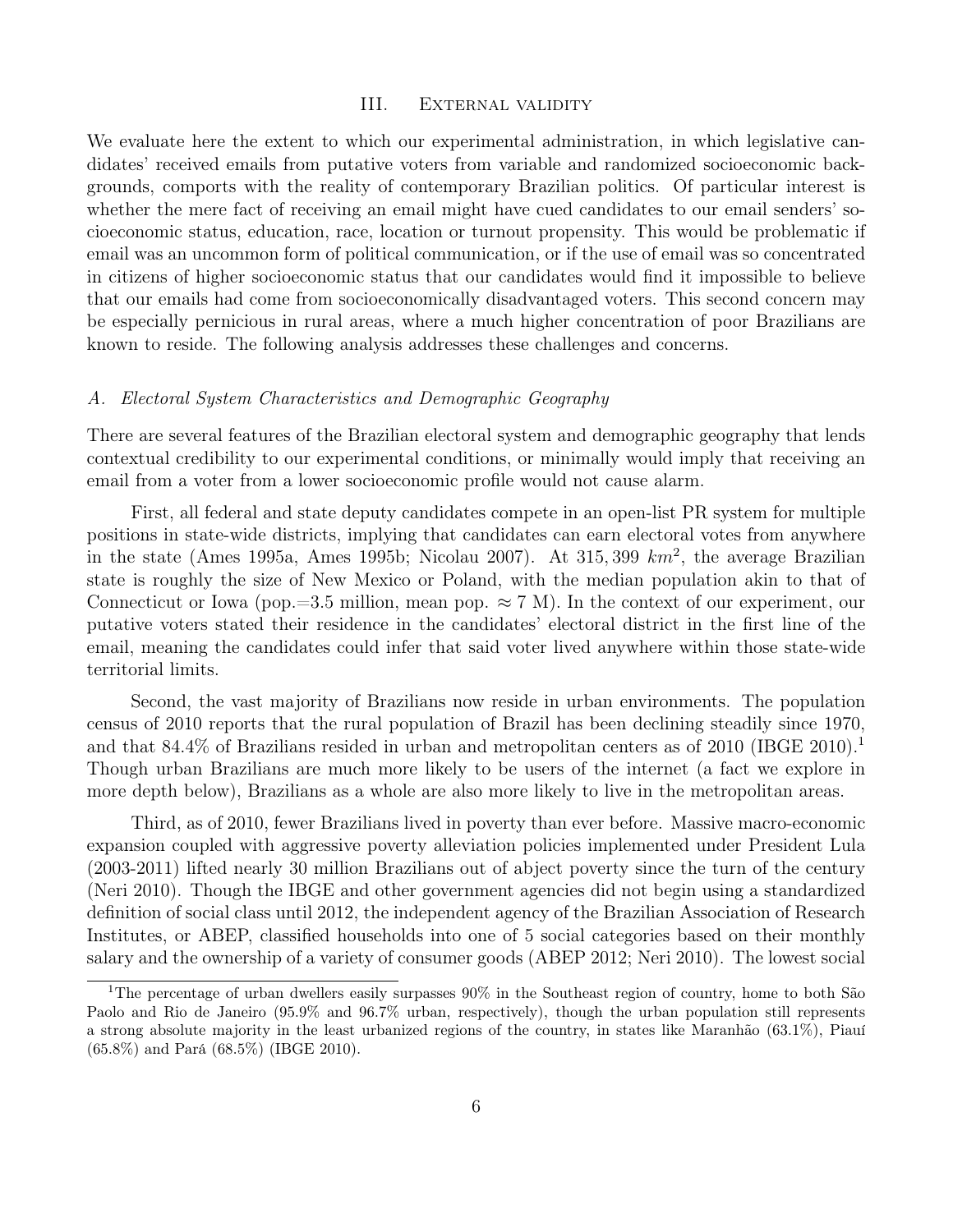#### III. External validity

<span id="page-8-0"></span>We evaluate here the extent to which our experimental administration, in which legislative candidates' received emails from putative voters from variable and randomized socioeconomic backgrounds, comports with the reality of contemporary Brazilian politics. Of particular interest is whether the mere fact of receiving an email might have cued candidates to our email senders' socioeconomic status, education, race, location or turnout propensity. This would be problematic if email was an uncommon form of political communication, or if the use of email was so concentrated in citizens of higher socioeconomic status that our candidates would find it impossible to believe that our emails had come from socioeconomically disadvantaged voters. This second concern may be especially pernicious in rural areas, where a much higher concentration of poor Brazilians are known to reside. The following analysis addresses these challenges and concerns.

#### <span id="page-8-1"></span>A. Electoral System Characteristics and Demographic Geography

There are several features of the Brazilian electoral system and demographic geography that lends contextual credibility to our experimental conditions, or minimally would imply that receiving an email from a voter from a lower socioeconomic profile would not cause alarm.

First, all federal and state deputy candidates compete in an open-list PR system for multiple positions in state-wide districts, implying that candidates can earn electoral votes from anywhere in the state (Ames 1995a, Ames 1995b; Nicolau 2007). At 315, 399  $km^2$ , the average Brazilian state is roughly the size of New Mexico or Poland, with the median population akin to that of Connecticut or Iowa (pop.=3.5 million, mean pop.  $\approx 7$  M). In the context of our experiment, our putative voters stated their residence in the candidates' electoral district in the first line of the email, meaning the candidates could infer that said voter lived anywhere within those state-wide territorial limits.

Second, the vast majority of Brazilians now reside in urban environments. The population census of 2010 reports that the rural population of Brazil has been declining steadily since 1970, and that  $84.4\%$  of Brazilians resided in urban and metropolitan centers as of 2010 (IBGE 2010).<sup>1</sup> Though urban Brazilians are much more likely to be users of the internet (a fact we explore in more depth below), Brazilians as a whole are also more likely to live in the metropolitan areas.

Third, as of 2010, fewer Brazilians lived in poverty than ever before. Massive macro-economic expansion coupled with aggressive poverty alleviation policies implemented under President Lula (2003-2011) lifted nearly 30 million Brazilians out of abject poverty since the turn of the century (Neri 2010). Though the IBGE and other government agencies did not begin using a standardized definition of social class until 2012, the independent agency of the Brazilian Association of Research Institutes, or ABEP, classified households into one of 5 social categories based on their monthly salary and the ownership of a variety of consumer goods (ABEP 2012; Neri 2010). The lowest social

<sup>&</sup>lt;sup>1</sup>The percentage of urban dwellers easily surpasses 90% in the Southeast region of country, home to both São Paolo and Rio de Janeiro (95.9% and 96.7% urban, respectively), though the urban population still represents a strong absolute majority in the least urbanized regions of the country, in states like Maranhão (63.1%), Piauí (65.8%) and Pará (68.5%) (IBGE 2010).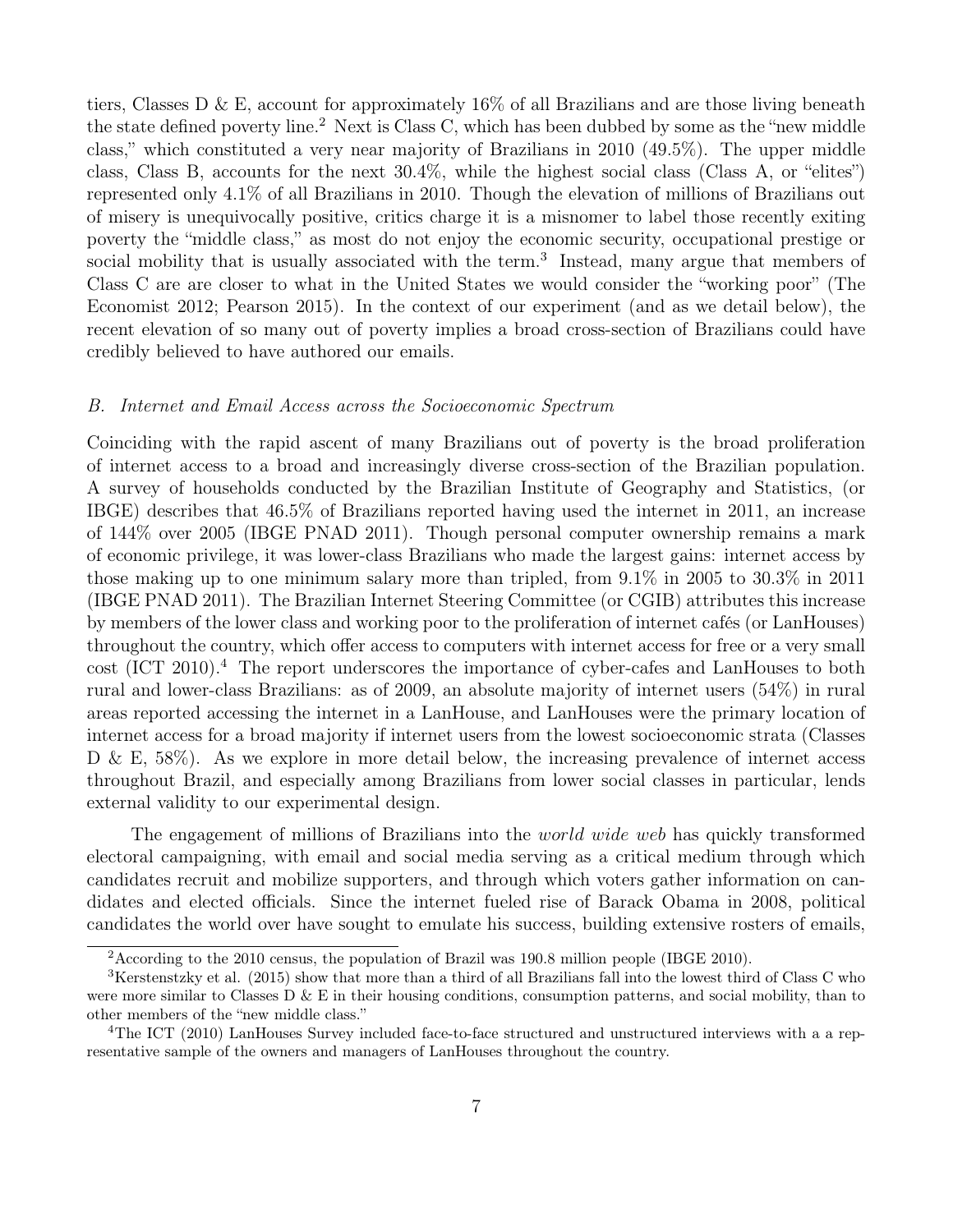tiers, Classes D & E, account for approximately  $16\%$  of all Brazilians and are those living beneath the state defined poverty line.<sup>2</sup> Next is Class C, which has been dubbed by some as the "new middle class," which constituted a very near majority of Brazilians in 2010 (49.5%). The upper middle class, Class B, accounts for the next 30.4%, while the highest social class (Class A, or "elites") represented only 4.1% of all Brazilians in 2010. Though the elevation of millions of Brazilians out of misery is unequivocally positive, critics charge it is a misnomer to label those recently exiting poverty the "middle class," as most do not enjoy the economic security, occupational prestige or social mobility that is usually associated with the term.<sup>3</sup> Instead, many argue that members of Class C are are closer to what in the United States we would consider the "working poor" (The Economist 2012; Pearson 2015). In the context of our experiment (and as we detail below), the recent elevation of so many out of poverty implies a broad cross-section of Brazilians could have credibly believed to have authored our emails.

#### <span id="page-9-0"></span>B. Internet and Email Access across the Socioeconomic Spectrum

Coinciding with the rapid ascent of many Brazilians out of poverty is the broad proliferation of internet access to a broad and increasingly diverse cross-section of the Brazilian population. A survey of households conducted by the Brazilian Institute of Geography and Statistics, (or IBGE) describes that 46.5% of Brazilians reported having used the internet in 2011, an increase of 144% over 2005 (IBGE PNAD 2011). Though personal computer ownership remains a mark of economic privilege, it was lower-class Brazilians who made the largest gains: internet access by those making up to one minimum salary more than tripled, from 9.1% in 2005 to 30.3% in 2011 (IBGE PNAD 2011). The Brazilian Internet Steering Committee (or CGIB) attributes this increase by members of the lower class and working poor to the proliferation of internet cafés (or LanHouses) throughout the country, which offer access to computers with internet access for free or a very small cost (ICT 2010).<sup>4</sup> The report underscores the importance of cyber-cafes and LanHouses to both rural and lower-class Brazilians: as of 2009, an absolute majority of internet users (54%) in rural areas reported accessing the internet in a LanHouse, and LanHouses were the primary location of internet access for a broad majority if internet users from the lowest socioeconomic strata (Classes D & E, 58%). As we explore in more detail below, the increasing prevalence of internet access throughout Brazil, and especially among Brazilians from lower social classes in particular, lends external validity to our experimental design.

The engagement of millions of Brazilians into the *world wide web* has quickly transformed electoral campaigning, with email and social media serving as a critical medium through which candidates recruit and mobilize supporters, and through which voters gather information on candidates and elected officials. Since the internet fueled rise of Barack Obama in 2008, political candidates the world over have sought to emulate his success, building extensive rosters of emails,

<sup>&</sup>lt;sup>2</sup> According to the 2010 census, the population of Brazil was 190.8 million people (IBGE 2010).

<sup>3</sup>Kerstenstzky et al. (2015) show that more than a third of all Brazilians fall into the lowest third of Class C who were more similar to Classes D  $\&$  E in their housing conditions, consumption patterns, and social mobility, than to other members of the "new middle class."

<sup>&</sup>lt;sup>4</sup>The ICT (2010) LanHouses Survey included face-to-face structured and unstructured interviews with a a representative sample of the owners and managers of LanHouses throughout the country.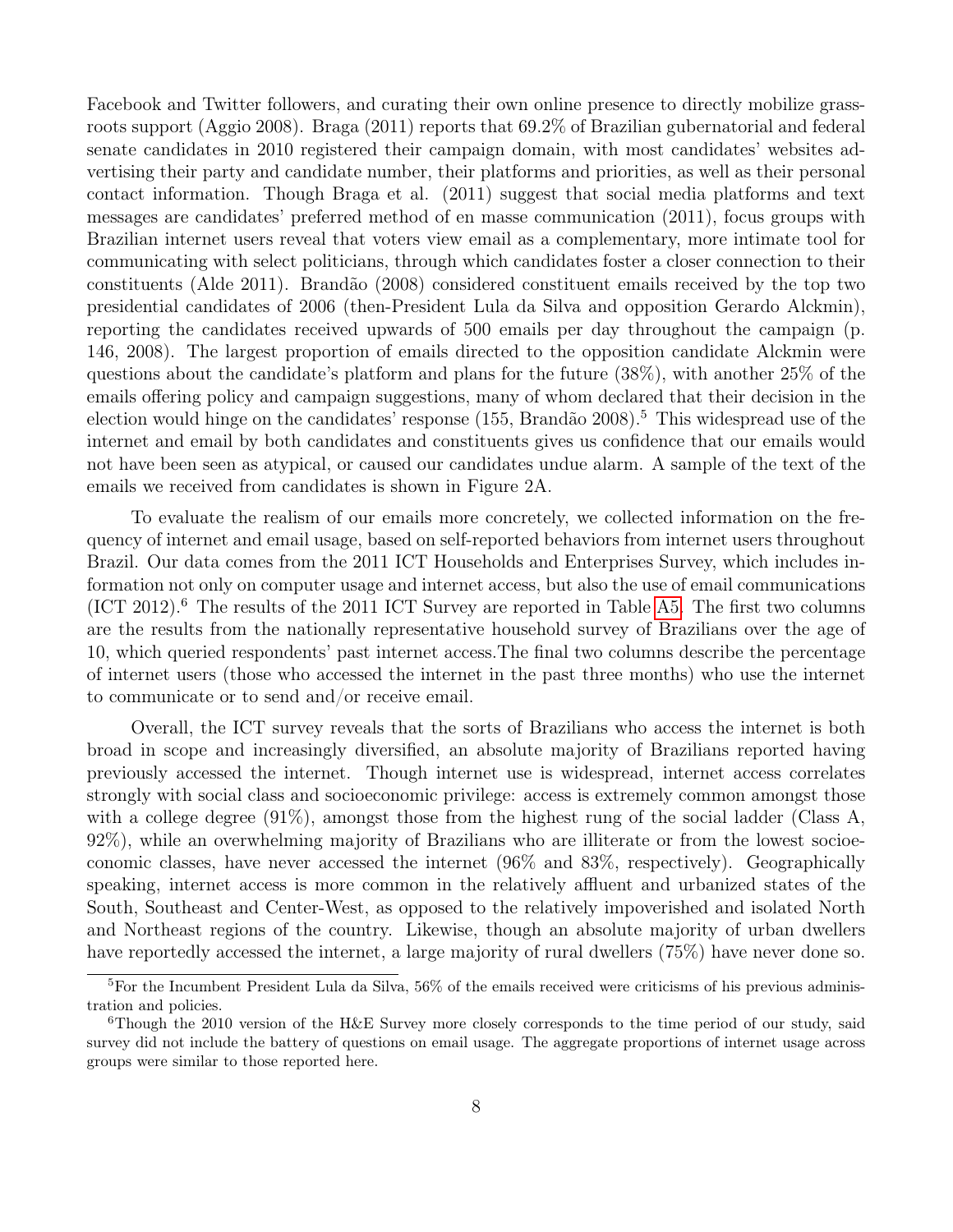Facebook and Twitter followers, and curating their own online presence to directly mobilize grassroots support (Aggio 2008). Braga (2011) reports that 69.2% of Brazilian gubernatorial and federal senate candidates in 2010 registered their campaign domain, with most candidates' websites advertising their party and candidate number, their platforms and priorities, as well as their personal contact information. Though Braga et al. (2011) suggest that social media platforms and text messages are candidates' preferred method of en masse communication (2011), focus groups with Brazilian internet users reveal that voters view email as a complementary, more intimate tool for communicating with select politicians, through which candidates foster a closer connection to their constituents (Alde 2011). Brandão (2008) considered constituent emails received by the top two presidential candidates of 2006 (then-President Lula da Silva and opposition Gerardo Alckmin), reporting the candidates received upwards of 500 emails per day throughout the campaign (p. 146, 2008). The largest proportion of emails directed to the opposition candidate Alckmin were questions about the candidate's platform and plans for the future (38%), with another 25% of the emails offering policy and campaign suggestions, many of whom declared that their decision in the election would hinge on the candidates' response (155, Brandão 2008).<sup>5</sup> This widespread use of the internet and email by both candidates and constituents gives us confidence that our emails would not have been seen as atypical, or caused our candidates undue alarm. A sample of the text of the emails we received from candidates is shown in Figure 2A.

To evaluate the realism of our emails more concretely, we collected information on the frequency of internet and email usage, based on self-reported behaviors from internet users throughout Brazil. Our data comes from the 2011 ICT Households and Enterprises Survey, which includes information not only on computer usage and internet access, but also the use of email communications  $(ICT 2012).<sup>6</sup>$  The results of the 2011 ICT Survey are reported in Table [A5.](#page-11-0) The first two columns are the results from the nationally representative household survey of Brazilians over the age of 10, which queried respondents' past internet access.The final two columns describe the percentage of internet users (those who accessed the internet in the past three months) who use the internet to communicate or to send and/or receive email.

Overall, the ICT survey reveals that the sorts of Brazilians who access the internet is both broad in scope and increasingly diversified, an absolute majority of Brazilians reported having previously accessed the internet. Though internet use is widespread, internet access correlates strongly with social class and socioeconomic privilege: access is extremely common amongst those with a college degree (91%), amongst those from the highest rung of the social ladder (Class A, 92%), while an overwhelming majority of Brazilians who are illiterate or from the lowest socioeconomic classes, have never accessed the internet (96% and 83%, respectively). Geographically speaking, internet access is more common in the relatively affluent and urbanized states of the South, Southeast and Center-West, as opposed to the relatively impoverished and isolated North and Northeast regions of the country. Likewise, though an absolute majority of urban dwellers have reportedly accessed the internet, a large majority of rural dwellers (75%) have never done so.

<sup>5</sup>For the Incumbent President Lula da Silva, 56% of the emails received were criticisms of his previous administration and policies.

<sup>&</sup>lt;sup>6</sup>Though the 2010 version of the H&E Survey more closely corresponds to the time period of our study, said survey did not include the battery of questions on email usage. The aggregate proportions of internet usage across groups were similar to those reported here.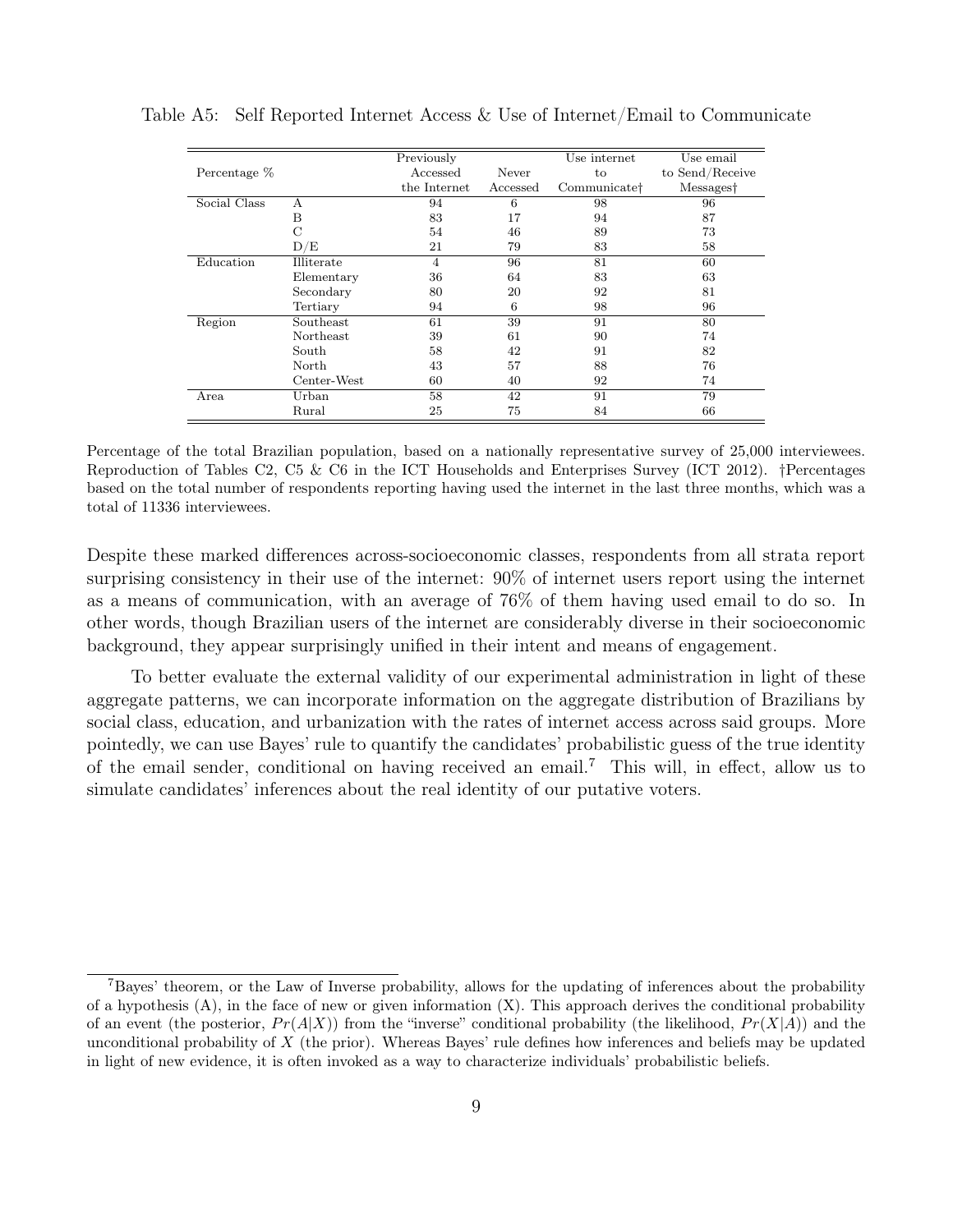<span id="page-11-0"></span>

|              |                  | Previously     |          | Use internet             | Use email       |
|--------------|------------------|----------------|----------|--------------------------|-----------------|
| Percentage % |                  | Accessed       | Never    | to                       | to Send/Receive |
|              |                  | the Internet   | Accessed | Communicate <sup>†</sup> | Messages†       |
| Social Class | А                | 94             | 6        | 98                       | 96              |
|              | Β                | 83             | 17       | 94                       | 87              |
|              | С                | 54             | 46       | 89                       | 73              |
|              | D/E              | 21             | 79       | 83                       | 58              |
| Education    | Illiterate       | $\overline{4}$ | 96       | 81                       | 60              |
|              | Elementary       | 36             | 64       | 83                       | 63              |
|              | Secondary        | 80             | 20       | 92                       | 81              |
|              | Tertiary         | 94             | 6        | 98                       | 96              |
| Region       | Southeast        | 61             | 39       | 91                       | 80              |
|              | <b>Northeast</b> | 39             | 61       | 90                       | 74              |
|              | South            | 58             | 42       | 91                       | 82              |
|              | North            | 43             | 57       | 88                       | 76              |
|              | Center-West      | 60             | 40       | 92                       | 74              |
| Area         | Urban            | 58             | 42       | 91                       | 79              |
|              | Rural            | 25             | 75       | 84                       | 66              |

Table A5: Self Reported Internet Access & Use of Internet/Email to Communicate

Percentage of the total Brazilian population, based on a nationally representative survey of 25,000 interviewees. Reproduction of Tables C2, C5 & C6 in the ICT Households and Enterprises Survey (ICT 2012). †Percentages based on the total number of respondents reporting having used the internet in the last three months, which was a total of 11336 interviewees.

Despite these marked differences across-socioeconomic classes, respondents from all strata report surprising consistency in their use of the internet: 90% of internet users report using the internet as a means of communication, with an average of 76% of them having used email to do so. In other words, though Brazilian users of the internet are considerably diverse in their socioeconomic background, they appear surprisingly unified in their intent and means of engagement.

To better evaluate the external validity of our experimental administration in light of these aggregate patterns, we can incorporate information on the aggregate distribution of Brazilians by social class, education, and urbanization with the rates of internet access across said groups. More pointedly, we can use Bayes' rule to quantify the candidates' probabilistic guess of the true identity of the email sender, conditional on having received an email.<sup>7</sup> This will, in effect, allow us to simulate candidates' inferences about the real identity of our putative voters.

<sup>7</sup>Bayes' theorem, or the Law of Inverse probability, allows for the updating of inferences about the probability of a hypothesis  $(A)$ , in the face of new or given information  $(X)$ . This approach derives the conditional probability of an event (the posterior,  $Pr(A|X)$ ) from the "inverse" conditional probability (the likelihood,  $Pr(X|A)$ ) and the unconditional probability of  $X$  (the prior). Whereas Bayes' rule defines how inferences and beliefs may be updated in light of new evidence, it is often invoked as a way to characterize individuals' probabilistic beliefs.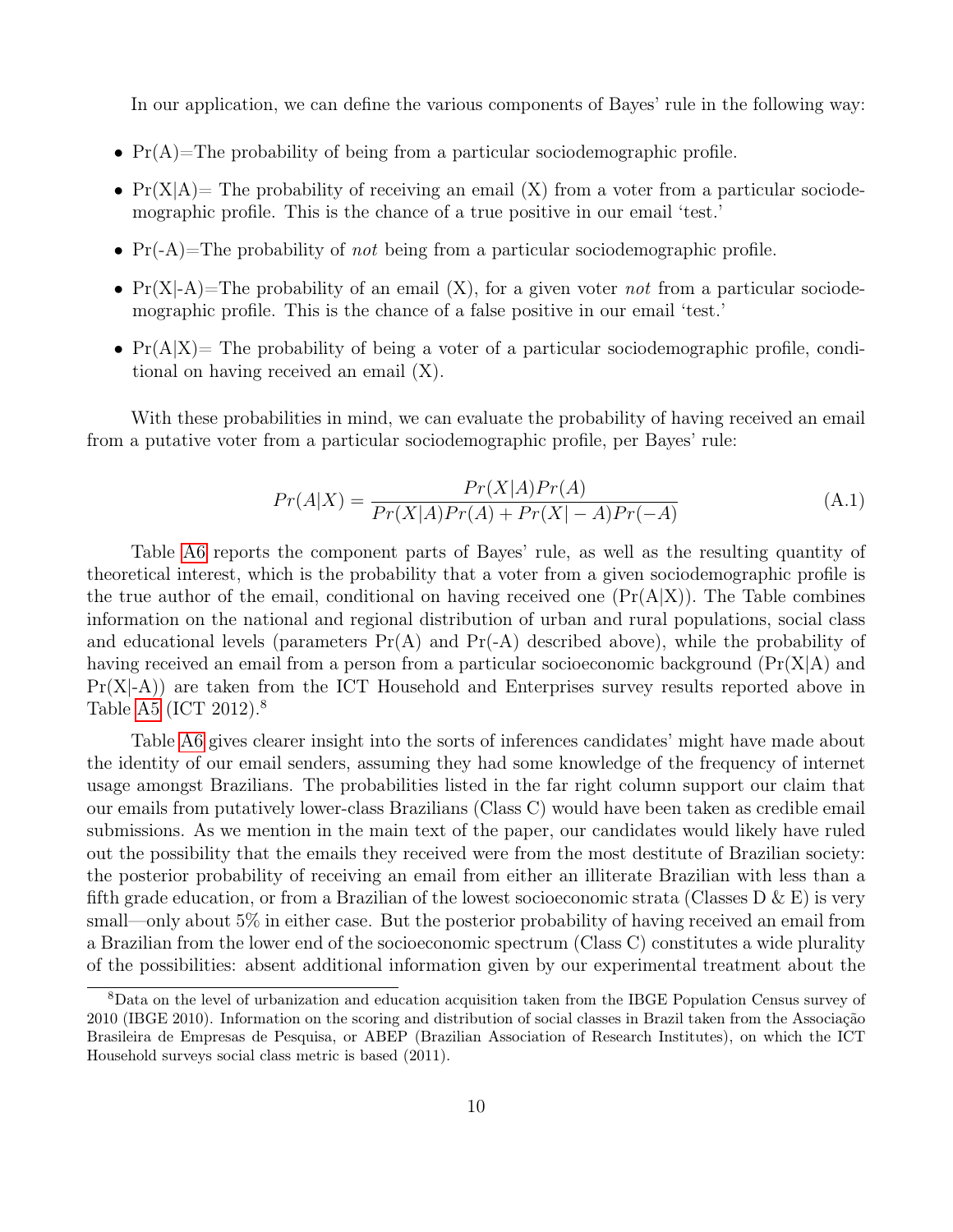In our application, we can define the various components of Bayes' rule in the following way:

- $Pr(A)$ =The probability of being from a particular sociodemographic profile.
- $Pr(X|A)$  The probability of receiving an email  $(X)$  from a voter from a particular sociodemographic profile. This is the chance of a true positive in our email 'test.'
- $Pr(A)$ =The probability of *not* being from a particular sociodemographic profile.
- $Pr(X|A)$ =The probability of an email  $(X)$ , for a given voter *not* from a particular sociodemographic profile. This is the chance of a false positive in our email 'test.'
- $Pr(A|X)$  The probability of being a voter of a particular sociodemographic profile, conditional on having received an email (X).

With these probabilities in mind, we can evaluate the probability of having received an email from a putative voter from a particular sociodemographic profile, per Bayes' rule:

$$
Pr(A|X) = \frac{Pr(X|A)Pr(A)}{Pr(X|A)Pr(A) + Pr(X| - A)Pr(-A)}
$$
(A.1)

Table [A6](#page-13-0) reports the component parts of Bayes' rule, as well as the resulting quantity of theoretical interest, which is the probability that a voter from a given sociodemographic profile is the true author of the email, conditional on having received one  $(\Pr(A|X))$ . The Table combines information on the national and regional distribution of urban and rural populations, social class and educational levels (parameters  $Pr(A)$  and  $Pr(-A)$  described above), while the probability of having received an email from a person from a particular socioeconomic background  $(\Pr(X|A)$  and  $Pr(X|A)$  are taken from the ICT Household and Enterprises survey results reported above in Table [A5](#page-11-0) (ICT 2012).<sup>8</sup>

Table [A6](#page-13-0) gives clearer insight into the sorts of inferences candidates' might have made about the identity of our email senders, assuming they had some knowledge of the frequency of internet usage amongst Brazilians. The probabilities listed in the far right column support our claim that our emails from putatively lower-class Brazilians (Class C) would have been taken as credible email submissions. As we mention in the main text of the paper, our candidates would likely have ruled out the possibility that the emails they received were from the most destitute of Brazilian society: the posterior probability of receiving an email from either an illiterate Brazilian with less than a fifth grade education, or from a Brazilian of the lowest socioeconomic strata (Classes  $D \& E$ ) is very small—only about 5% in either case. But the posterior probability of having received an email from a Brazilian from the lower end of the socioeconomic spectrum (Class C) constitutes a wide plurality of the possibilities: absent additional information given by our experimental treatment about the

<sup>8</sup>Data on the level of urbanization and education acquisition taken from the IBGE Population Census survey of 2010 (IBGE 2010). Information on the scoring and distribution of social classes in Brazil taken from the Associação Brasileira de Empresas de Pesquisa, or ABEP (Brazilian Association of Research Institutes), on which the ICT Household surveys social class metric is based (2011).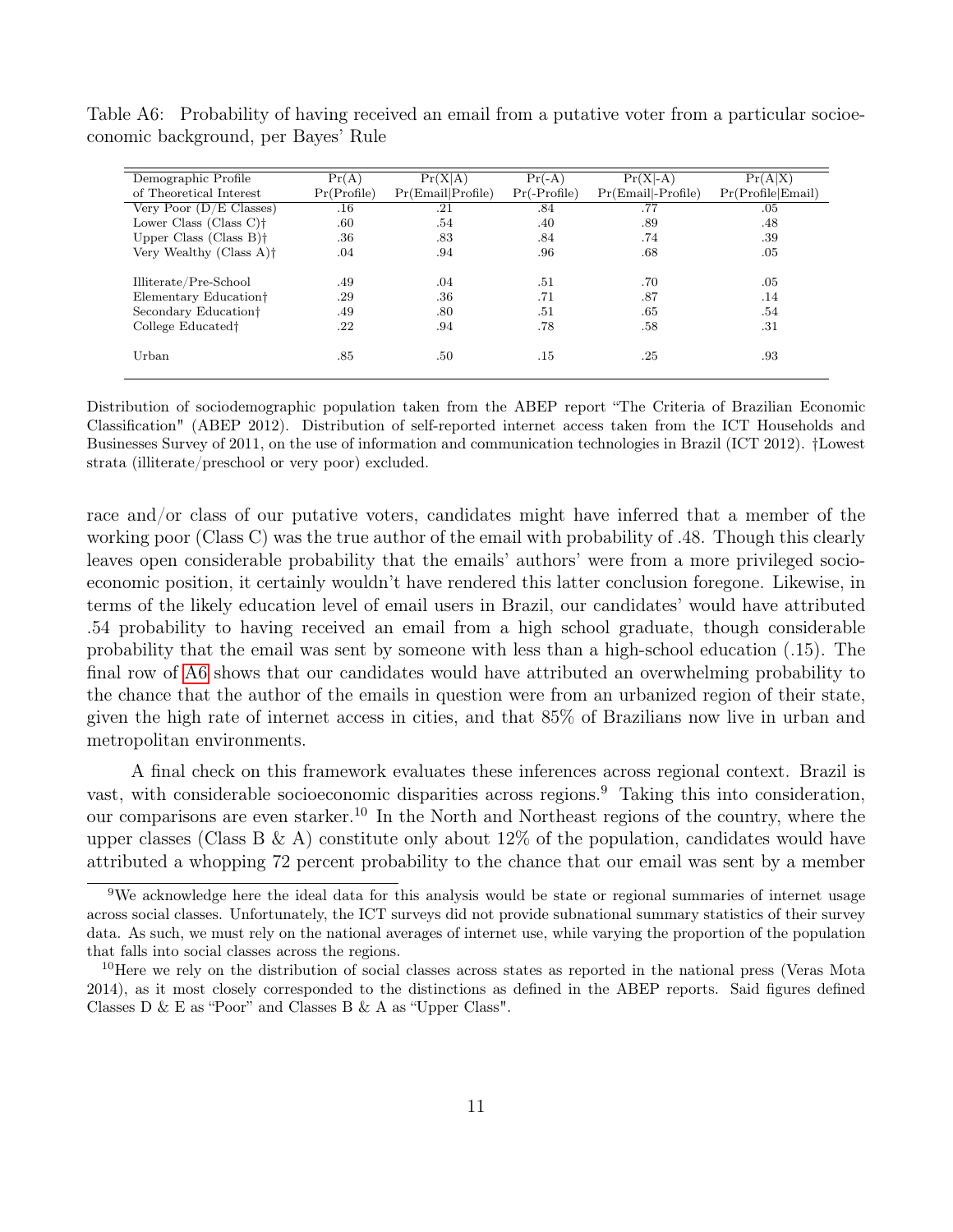<span id="page-13-0"></span>

| Demographic Profile                 | Pr(A)       | Pr(X A)           | $Pr(-A)$       | $\overline{\Pr}(X \text{-}A)$ | Pr(A X)           |
|-------------------------------------|-------------|-------------------|----------------|-------------------------------|-------------------|
| of Theoretical Interest             | Pr(Profile) | Pr(Email Profile) | $Pr(-Profile)$ | $Pr(Email  -Profile)$         | Pr(Profile Email) |
| Very Poor $(D/E$ Classes)           | .16         | .21               | .84            | .77                           | .05               |
| Lower Class $(Class C)$ †           | .60         | .54               | .40            | .89                           | .48               |
| Upper Class $(Class B)$ †           | .36         | .83               | .84            | .74                           | .39               |
| Very Wealthy (Class A) <sup>†</sup> | .04         | .94               | .96            | .68                           | .05               |
|                                     |             |                   |                |                               |                   |
| Illiterate/Pre-School               | .49         | .04               | .51            | .70                           | .05               |
| Elementary Education <sup>†</sup>   | .29         | .36               | .71            | .87                           | .14               |
| Secondary Education <sup>†</sup>    | .49         | .80               | .51            | .65                           | .54               |
| College Educated <sup>†</sup>       | $.22\,$     | .94               | .78            | .58                           | .31               |
|                                     |             |                   |                |                               |                   |
| Urban                               | .85         | .50               | .15            | .25                           | .93               |
|                                     |             |                   |                |                               |                   |

Table A6: Probability of having received an email from a putative voter from a particular socioeconomic background, per Bayes' Rule

Distribution of sociodemographic population taken from the ABEP report "The Criteria of Brazilian Economic Classification" (ABEP 2012). Distribution of self-reported internet access taken from the ICT Households and Businesses Survey of 2011, on the use of information and communication technologies in Brazil (ICT 2012). †Lowest strata (illiterate/preschool or very poor) excluded.

race and/or class of our putative voters, candidates might have inferred that a member of the working poor (Class C) was the true author of the email with probability of .48. Though this clearly leaves open considerable probability that the emails' authors' were from a more privileged socioeconomic position, it certainly wouldn't have rendered this latter conclusion foregone. Likewise, in terms of the likely education level of email users in Brazil, our candidates' would have attributed .54 probability to having received an email from a high school graduate, though considerable probability that the email was sent by someone with less than a high-school education (.15). The final row of [A6](#page-13-0) shows that our candidates would have attributed an overwhelming probability to the chance that the author of the emails in question were from an urbanized region of their state, given the high rate of internet access in cities, and that 85% of Brazilians now live in urban and metropolitan environments.

A final check on this framework evaluates these inferences across regional context. Brazil is vast, with considerable socioeconomic disparities across regions.<sup>9</sup> Taking this into consideration, our comparisons are even starker.<sup>10</sup> In the North and Northeast regions of the country, where the upper classes (Class B & A) constitute only about  $12\%$  of the population, candidates would have attributed a whopping 72 percent probability to the chance that our email was sent by a member

<sup>9</sup>We acknowledge here the ideal data for this analysis would be state or regional summaries of internet usage across social classes. Unfortunately, the ICT surveys did not provide subnational summary statistics of their survey data. As such, we must rely on the national averages of internet use, while varying the proportion of the population that falls into social classes across the regions.

<sup>&</sup>lt;sup>10</sup>Here we rely on the distribution of social classes across states as reported in the national press (Veras Mota 2014), as it most closely corresponded to the distinctions as defined in the ABEP reports. Said figures defined Classes  $D \& E$  as "Poor" and Classes  $B \& A$  as "Upper Class".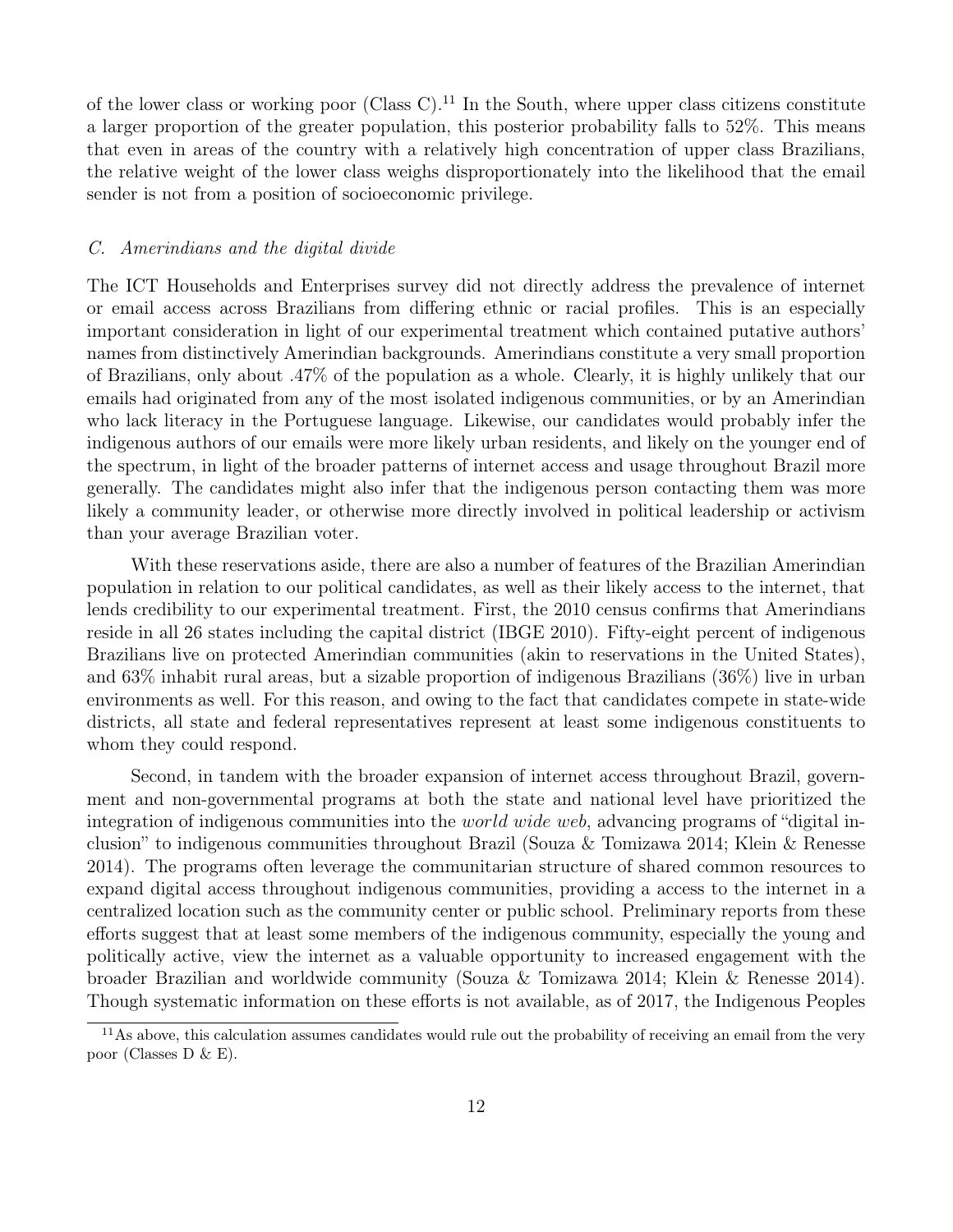of the lower class or working poor (Class C).<sup>11</sup> In the South, where upper class citizens constitute a larger proportion of the greater population, this posterior probability falls to 52%. This means that even in areas of the country with a relatively high concentration of upper class Brazilians, the relative weight of the lower class weighs disproportionately into the likelihood that the email sender is not from a position of socioeconomic privilege.

#### <span id="page-14-0"></span>C. Amerindians and the digital divide

The ICT Households and Enterprises survey did not directly address the prevalence of internet or email access across Brazilians from differing ethnic or racial profiles. This is an especially important consideration in light of our experimental treatment which contained putative authors' names from distinctively Amerindian backgrounds. Amerindians constitute a very small proportion of Brazilians, only about .47% of the population as a whole. Clearly, it is highly unlikely that our emails had originated from any of the most isolated indigenous communities, or by an Amerindian who lack literacy in the Portuguese language. Likewise, our candidates would probably infer the indigenous authors of our emails were more likely urban residents, and likely on the younger end of the spectrum, in light of the broader patterns of internet access and usage throughout Brazil more generally. The candidates might also infer that the indigenous person contacting them was more likely a community leader, or otherwise more directly involved in political leadership or activism than your average Brazilian voter.

With these reservations aside, there are also a number of features of the Brazilian Amerindian population in relation to our political candidates, as well as their likely access to the internet, that lends credibility to our experimental treatment. First, the 2010 census confirms that Amerindians reside in all 26 states including the capital district (IBGE 2010). Fifty-eight percent of indigenous Brazilians live on protected Amerindian communities (akin to reservations in the United States), and 63% inhabit rural areas, but a sizable proportion of indigenous Brazilians (36%) live in urban environments as well. For this reason, and owing to the fact that candidates compete in state-wide districts, all state and federal representatives represent at least some indigenous constituents to whom they could respond.

Second, in tandem with the broader expansion of internet access throughout Brazil, government and non-governmental programs at both the state and national level have prioritized the integration of indigenous communities into the *world wide web*, advancing programs of "digital inclusion" to indigenous communities throughout Brazil (Souza & Tomizawa 2014; Klein & Renesse 2014). The programs often leverage the communitarian structure of shared common resources to expand digital access throughout indigenous communities, providing a access to the internet in a centralized location such as the community center or public school. Preliminary reports from these efforts suggest that at least some members of the indigenous community, especially the young and politically active, view the internet as a valuable opportunity to increased engagement with the broader Brazilian and worldwide community (Souza & Tomizawa 2014; Klein & Renesse 2014). Though systematic information on these efforts is not available, as of 2017, the Indigenous Peoples

 $11\text{As}$  above, this calculation assumes candidates would rule out the probability of receiving an email from the very poor (Classes D & E).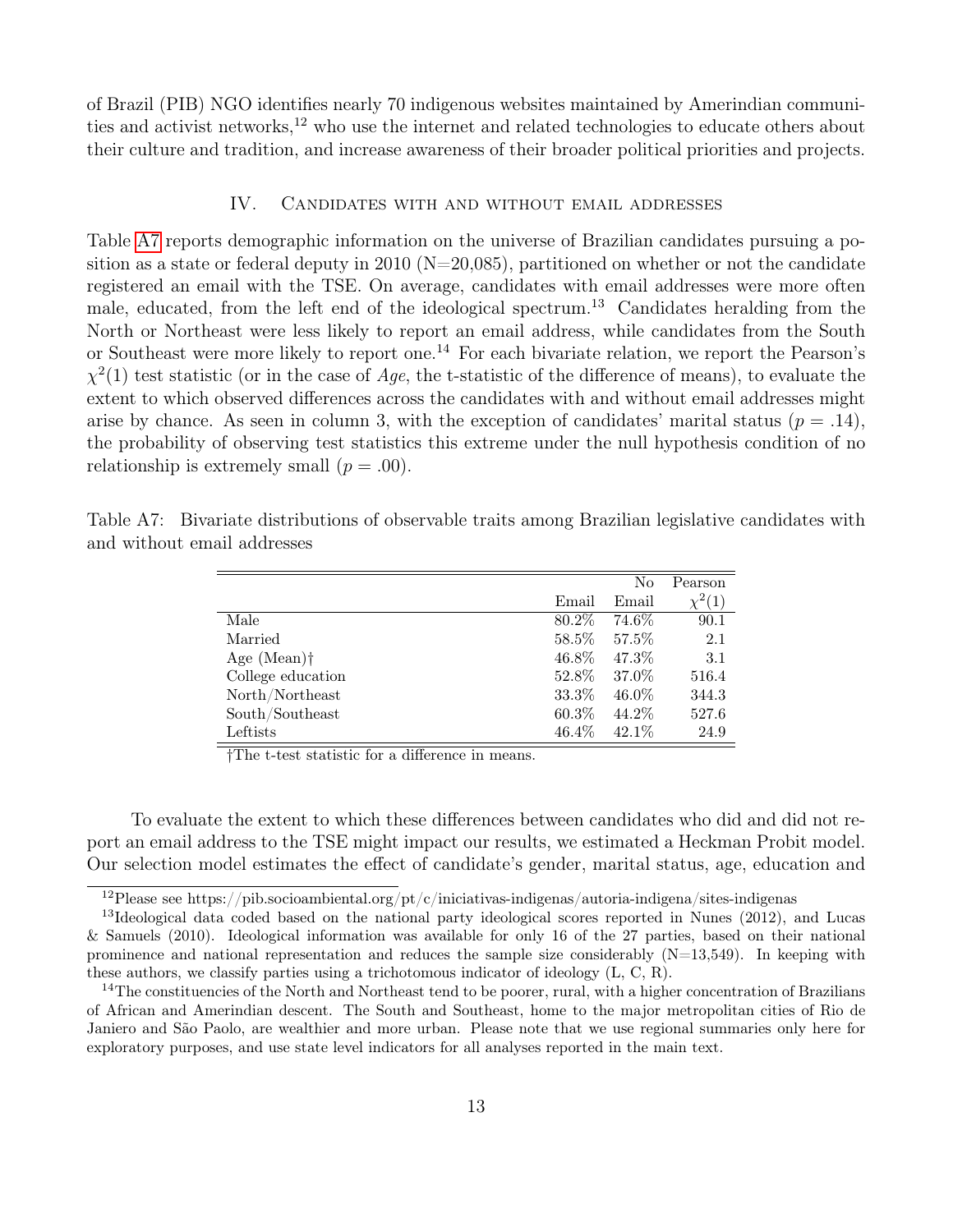of Brazil (PIB) NGO identifies nearly 70 indigenous websites maintained by Amerindian communities and activist networks,<sup>12</sup> who use the internet and related technologies to educate others about their culture and tradition, and increase awareness of their broader political priorities and projects.

#### IV. Candidates with and without email addresses

<span id="page-15-0"></span>Table [A7](#page-15-1) reports demographic information on the universe of Brazilian candidates pursuing a position as a state or federal deputy in 2010 ( $N=20,085$ ), partitioned on whether or not the candidate registered an email with the TSE. On average, candidates with email addresses were more often male, educated, from the left end of the ideological spectrum.<sup>13</sup> Candidates heralding from the North or Northeast were less likely to report an email address, while candidates from the South or Southeast were more likely to report one.<sup>14</sup> For each bivariate relation, we report the Pearson's  $\chi^2(1)$  test statistic (or in the case of Age, the t-statistic of the difference of means), to evaluate the extent to which observed differences across the candidates with and without email addresses might arise by chance. As seen in column 3, with the exception of candidates' marital status ( $p = .14$ ), the probability of observing test statistics this extreme under the null hypothesis condition of no relationship is extremely small  $(p=.00)$ .

<span id="page-15-1"></span>

|                           |       | No       | Pearson       |
|---------------------------|-------|----------|---------------|
|                           | Email | Email    | $\sqrt{2}(1)$ |
| Male                      | 80.2% | 74.6%    | 90.1          |
| Married                   | 58.5% | 57.5%    | 2.1           |
| Age $(Mean)$ <sup>†</sup> | 46.8% | 47.3%    | 3.1           |
| College education         | 52.8% | 37.0%    | 516.4         |
| North/Northeast           | 33.3% | $46.0\%$ | 344.3         |
| South/Southeast           | 60.3% | 44.2\%   | 527.6         |
| Leftists                  | 46.4% | 42.1\%   | 24.9          |

Table A7: Bivariate distributions of observable traits among Brazilian legislative candidates with and without email addresses

†The t-test statistic for a difference in means.

To evaluate the extent to which these differences between candidates who did and did not report an email address to the TSE might impact our results, we estimated a Heckman Probit model. Our selection model estimates the effect of candidate's gender, marital status, age, education and

 $12$ Please see https://pib.socioambiental.org/pt/c/iniciativas-indigenas/autoria-indigena/sites-indigenas

<sup>&</sup>lt;sup>13</sup>Ideological data coded based on the national party ideological scores reported in Nunes (2012), and Lucas & Samuels (2010). Ideological information was available for only 16 of the 27 parties, based on their national prominence and national representation and reduces the sample size considerably  $(N=13,549)$ . In keeping with these authors, we classify parties using a trichotomous indicator of ideology (L, C, R).

 $14$ The constituencies of the North and Northeast tend to be poorer, rural, with a higher concentration of Brazilians of African and Amerindian descent. The South and Southeast, home to the major metropolitan cities of Rio de Janiero and São Paolo, are wealthier and more urban. Please note that we use regional summaries only here for exploratory purposes, and use state level indicators for all analyses reported in the main text.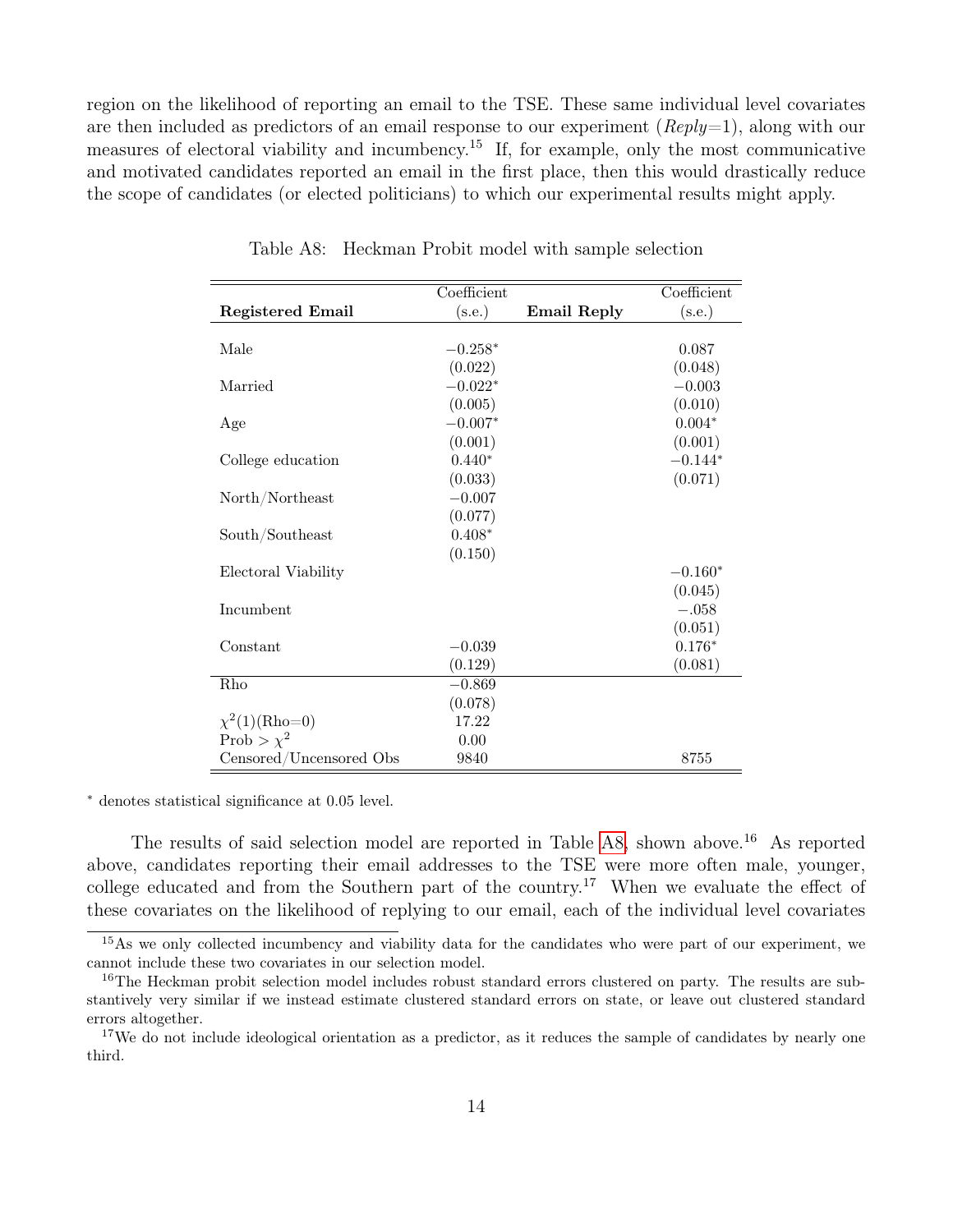region on the likelihood of reporting an email to the TSE. These same individual level covariates are then included as predictors of an email response to our experiment  $(\mathbb{R}e\nu y=1)$ , along with our measures of electoral viability and incumbency.<sup>15</sup> If, for example, only the most communicative and motivated candidates reported an email in the first place, then this would drastically reduce the scope of candidates (or elected politicians) to which our experimental results might apply.

|                           | Coefficient |                    | Coefficient |
|---------------------------|-------------|--------------------|-------------|
| <b>Registered Email</b>   | (s.e.)      | <b>Email Reply</b> | (s.e.)      |
|                           |             |                    |             |
| Male                      | $-0.258*$   |                    | 0.087       |
|                           | (0.022)     |                    | (0.048)     |
| Married                   | $-0.022*$   |                    | $-0.003$    |
|                           | (0.005)     |                    | (0.010)     |
| Age                       | $-0.007*$   |                    | $0.004*$    |
|                           | (0.001)     |                    | (0.001)     |
| College education         | $0.440*$    |                    | $-0.144*$   |
|                           | (0.033)     |                    | (0.071)     |
| North/Northeast           | $-0.007$    |                    |             |
|                           | (0.077)     |                    |             |
| South/Southeast           | $0.408*$    |                    |             |
|                           | (0.150)     |                    |             |
| Electoral Viability       |             |                    | $-0.160*$   |
|                           |             |                    | (0.045)     |
| Incumbent                 |             |                    | $-.058$     |
|                           |             |                    | (0.051)     |
| Constant                  | $-0.039$    |                    | $0.176*$    |
|                           | (0.129)     |                    | (0.081)     |
| Rho                       | $-0.869$    |                    |             |
|                           | (0.078)     |                    |             |
| $\chi^2(1)(\text{Rho=0})$ | 17.22       |                    |             |
| Prob > $\chi^2$           | 0.00        |                    |             |
| Censored/Uncensored Obs   | 9840        |                    | 8755        |

<span id="page-16-0"></span>Table A8: Heckman Probit model with sample selection

<sup>∗</sup> denotes statistical significance at 0.05 level.

The results of said selection model are reported in Table [A8,](#page-16-0) shown above.<sup>16</sup> As reported above, candidates reporting their email addresses to the TSE were more often male, younger, college educated and from the Southern part of the country.<sup>17</sup> When we evaluate the effect of these covariates on the likelihood of replying to our email, each of the individual level covariates

<sup>&</sup>lt;sup>15</sup>As we only collected incumbency and viability data for the candidates who were part of our experiment, we cannot include these two covariates in our selection model.

<sup>&</sup>lt;sup>16</sup>The Heckman probit selection model includes robust standard errors clustered on party. The results are substantively very similar if we instead estimate clustered standard errors on state, or leave out clustered standard errors altogether.

<sup>&</sup>lt;sup>17</sup>We do not include ideological orientation as a predictor, as it reduces the sample of candidates by nearly one third.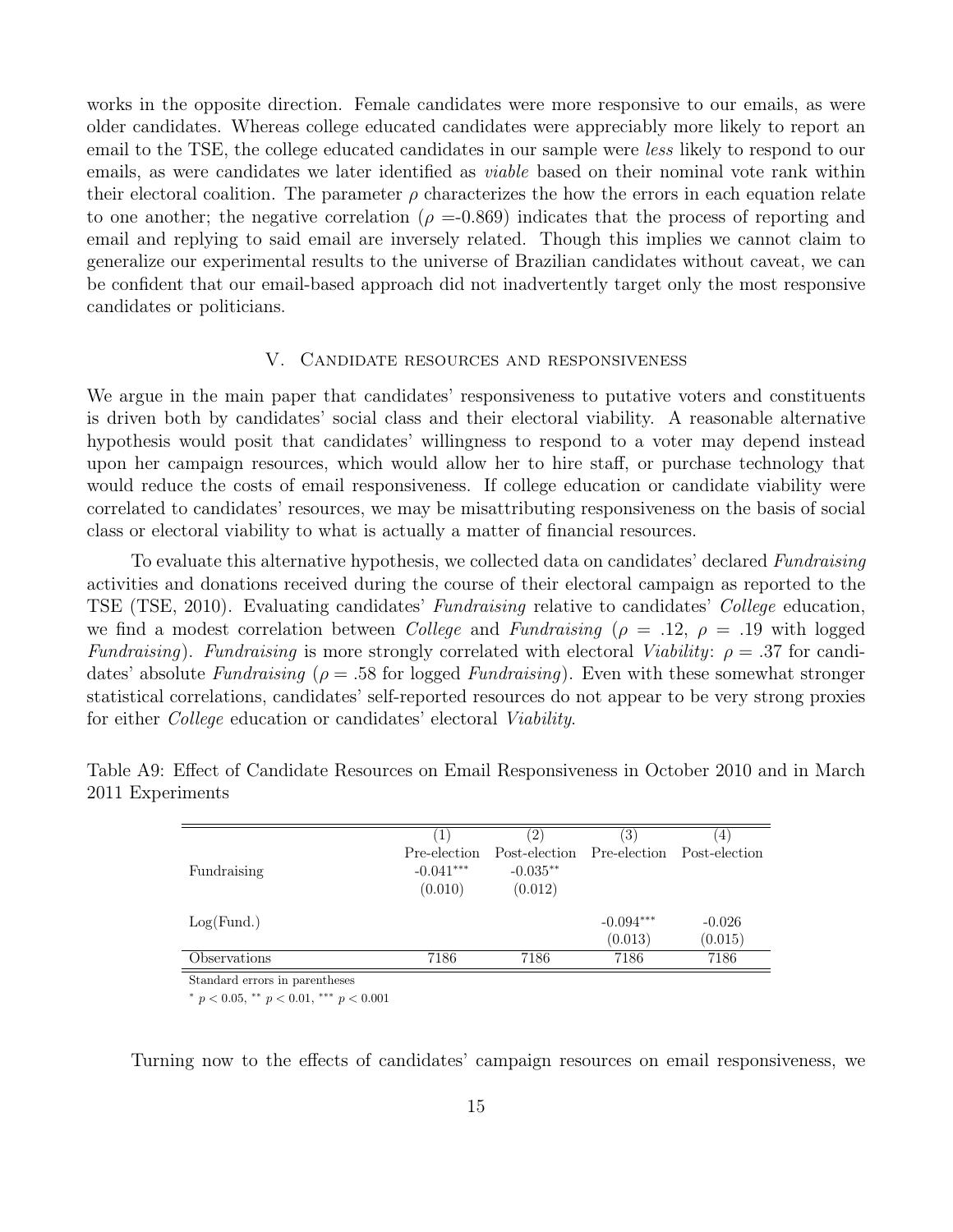works in the opposite direction. Female candidates were more responsive to our emails, as were older candidates. Whereas college educated candidates were appreciably more likely to report an email to the TSE, the college educated candidates in our sample were less likely to respond to our emails, as were candidates we later identified as viable based on their nominal vote rank within their electoral coalition. The parameter  $\rho$  characterizes the how the errors in each equation relate to one another; the negative correlation ( $\rho = 0.869$ ) indicates that the process of reporting and email and replying to said email are inversely related. Though this implies we cannot claim to generalize our experimental results to the universe of Brazilian candidates without caveat, we can be confident that our email-based approach did not inadvertently target only the most responsive candidates or politicians.

#### V. Candidate resources and responsiveness

<span id="page-17-0"></span>We argue in the main paper that candidates' responsiveness to putative voters and constituents is driven both by candidates' social class and their electoral viability. A reasonable alternative hypothesis would posit that candidates' willingness to respond to a voter may depend instead upon her campaign resources, which would allow her to hire staff, or purchase technology that would reduce the costs of email responsiveness. If college education or candidate viability were correlated to candidates' resources, we may be misattributing responsiveness on the basis of social class or electoral viability to what is actually a matter of financial resources.

To evaluate this alternative hypothesis, we collected data on candidates' declared Fundraising activities and donations received during the course of their electoral campaign as reported to the TSE (TSE, 2010). Evaluating candidates' Fundraising relative to candidates' College education, we find a modest correlation between *College* and *Fundraising* ( $\rho = .12, \rho = .19$  with logged Fundraising). Fundraising is more strongly correlated with electoral Viability:  $\rho = .37$  for candidates' absolute Fundraising ( $\rho = .58$  for logged Fundraising). Even with these somewhat stronger statistical correlations, candidates' self-reported resources do not appear to be very strong proxies for either College education or candidates' electoral Viability.

<span id="page-17-1"></span>

| Fundraising  | $-0.041***$ | $-0.035**$ | Post-election Pre-election | Post-election   |
|--------------|-------------|------------|----------------------------|-----------------|
| Log(Fund.)   | (0.010)     | (0.012)    | $-0.094***$                | $-0.026$        |
| Observations | 7186        | 7186       | (0.013)<br>7186            | (0.015)<br>7186 |

Table A9: Effect of Candidate Resources on Email Responsiveness in October 2010 and in March 2011 Experiments

Standard errors in parentheses

\*  $p < 0.05$ , \*\*  $p < 0.01$ , \*\*\*  $p < 0.001$ 

Turning now to the effects of candidates' campaign resources on email responsiveness, we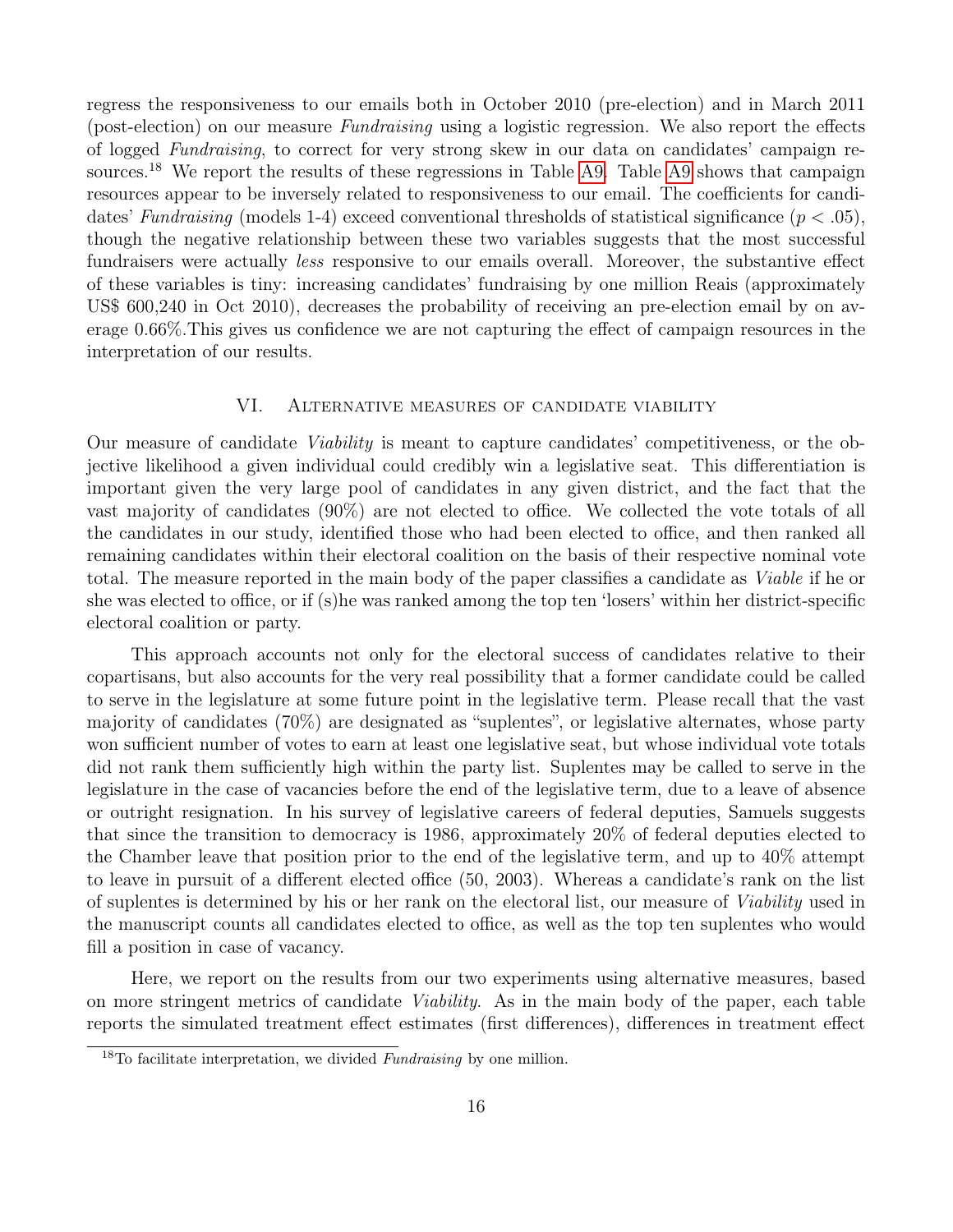regress the responsiveness to our emails both in October 2010 (pre-election) and in March 2011 (post-election) on our measure Fundraising using a logistic regression. We also report the effects of logged Fundraising, to correct for very strong skew in our data on candidates' campaign re-sources.<sup>18</sup> We report the results of these regressions in Table [A9.](#page-17-1) Table [A9](#page-17-1) shows that campaign resources appear to be inversely related to responsiveness to our email. The coefficients for candidates' Fundraising (models 1-4) exceed conventional thresholds of statistical significance ( $p < .05$ ), though the negative relationship between these two variables suggests that the most successful fundraisers were actually less responsive to our emails overall. Moreover, the substantive effect of these variables is tiny: increasing candidates' fundraising by one million Reais (approximately US\$ 600,240 in Oct 2010), decreases the probability of receiving an pre-election email by on average 0.66%.This gives us confidence we are not capturing the effect of campaign resources in the interpretation of our results.

#### VI. Alternative measures of candidate viability

<span id="page-18-0"></span>Our measure of candidate Viability is meant to capture candidates' competitiveness, or the objective likelihood a given individual could credibly win a legislative seat. This differentiation is important given the very large pool of candidates in any given district, and the fact that the vast majority of candidates (90%) are not elected to office. We collected the vote totals of all the candidates in our study, identified those who had been elected to office, and then ranked all remaining candidates within their electoral coalition on the basis of their respective nominal vote total. The measure reported in the main body of the paper classifies a candidate as Viable if he or she was elected to office, or if (s)he was ranked among the top ten 'losers' within her district-specific electoral coalition or party.

This approach accounts not only for the electoral success of candidates relative to their copartisans, but also accounts for the very real possibility that a former candidate could be called to serve in the legislature at some future point in the legislative term. Please recall that the vast majority of candidates (70%) are designated as "suplentes", or legislative alternates, whose party won sufficient number of votes to earn at least one legislative seat, but whose individual vote totals did not rank them sufficiently high within the party list. Suplentes may be called to serve in the legislature in the case of vacancies before the end of the legislative term, due to a leave of absence or outright resignation. In his survey of legislative careers of federal deputies, Samuels suggests that since the transition to democracy is 1986, approximately 20% of federal deputies elected to the Chamber leave that position prior to the end of the legislative term, and up to 40% attempt to leave in pursuit of a different elected office (50, 2003). Whereas a candidate's rank on the list of suplentes is determined by his or her rank on the electoral list, our measure of Viability used in the manuscript counts all candidates elected to office, as well as the top ten suplentes who would fill a position in case of vacancy.

Here, we report on the results from our two experiments using alternative measures, based on more stringent metrics of candidate Viability. As in the main body of the paper, each table reports the simulated treatment effect estimates (first differences), differences in treatment effect

<sup>&</sup>lt;sup>18</sup>To facilitate interpretation, we divided *Fundraising* by one million.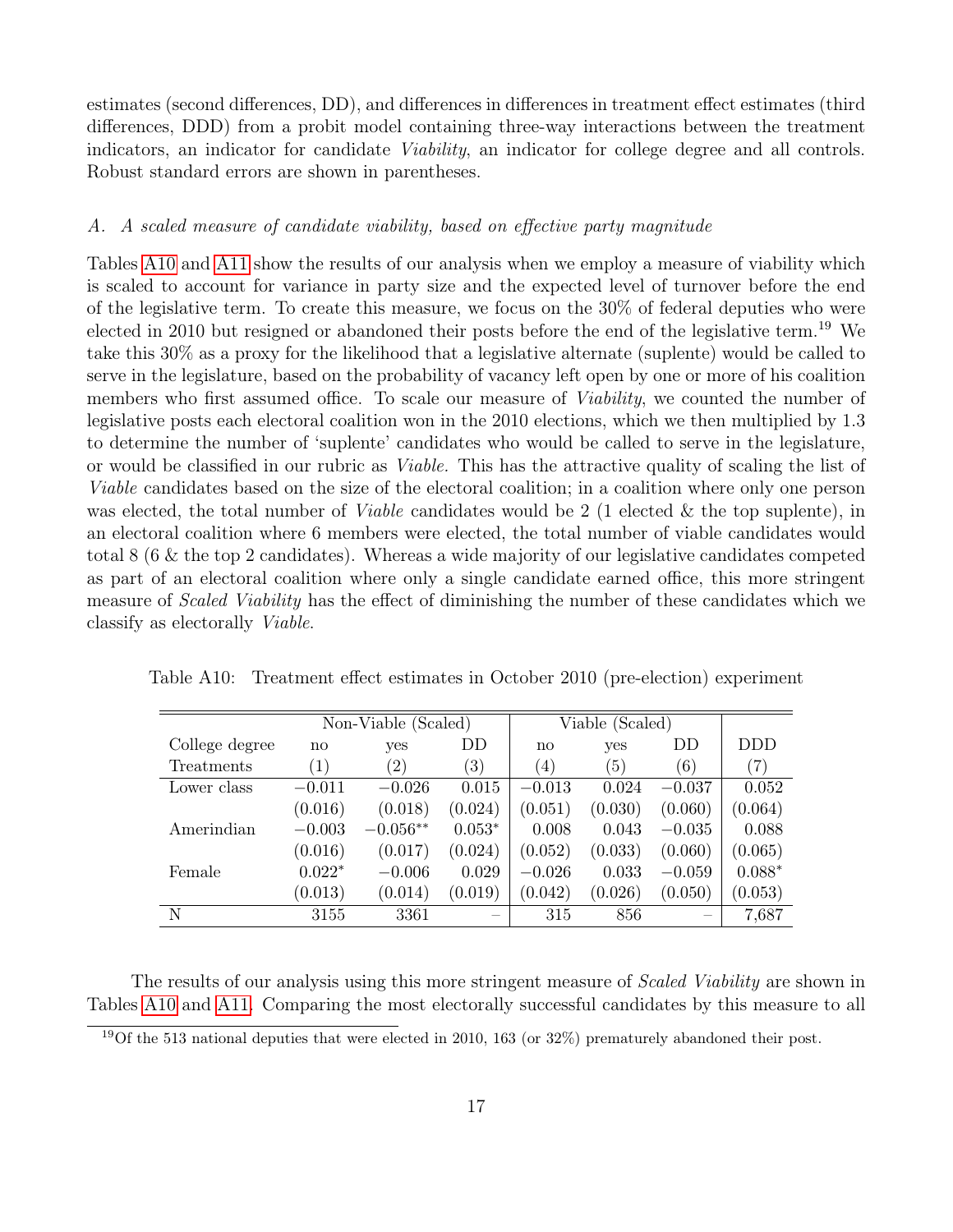estimates (second differences, DD), and differences in differences in treatment effect estimates (third differences, DDD) from a probit model containing three-way interactions between the treatment indicators, an indicator for candidate Viability, an indicator for college degree and all controls. Robust standard errors are shown in parentheses.

#### <span id="page-19-0"></span>A. A scaled measure of candidate viability, based on effective party magnitude

Tables [A10](#page-19-1) and [A11](#page-20-1) show the results of our analysis when we employ a measure of viability which is scaled to account for variance in party size and the expected level of turnover before the end of the legislative term. To create this measure, we focus on the 30% of federal deputies who were elected in 2010 but resigned or abandoned their posts before the end of the legislative term.<sup>19</sup> We take this 30% as a proxy for the likelihood that a legislative alternate (suplente) would be called to serve in the legislature, based on the probability of vacancy left open by one or more of his coalition members who first assumed office. To scale our measure of *Viability*, we counted the number of legislative posts each electoral coalition won in the 2010 elections, which we then multiplied by 1.3 to determine the number of 'suplente' candidates who would be called to serve in the legislature, or would be classified in our rubric as Viable. This has the attractive quality of scaling the list of Viable candidates based on the size of the electoral coalition; in a coalition where only one person was elected, the total number of *Viable* candidates would be 2 (1 elected & the top suplente), in an electoral coalition where 6 members were elected, the total number of viable candidates would total 8 (6 & the top 2 candidates). Whereas a wide majority of our legislative candidates competed as part of an electoral coalition where only a single candidate earned office, this more stringent measure of Scaled Viability has the effect of diminishing the number of these candidates which we classify as electorally Viable.

<span id="page-19-1"></span>

|                   | Non-Viable (Scaled) |                   |                  | Viable (Scaled)  |         |          |                   |
|-------------------|---------------------|-------------------|------------------|------------------|---------|----------|-------------------|
| College degree    | no                  | yes               | DD               | no               | yes     | DD       | <b>DDD</b>        |
| <b>Treatments</b> | (1)                 | $\left( 2\right)$ | $\left(3\right)$ | $\left(4\right)$ | (5)     | (6)      | $\left( 7\right)$ |
| Lower class       | $-0.011$            | $-0.026$          | 0.015            | $-0.013$         | 0.024   | $-0.037$ | 0.052             |
|                   | (0.016)             | (0.018)           | (0.024)          | (0.051)          | (0.030) | (0.060)  | (0.064)           |
| Amerindian        | $-0.003$            | $-0.056**$        | $0.053*$         | 0.008            | 0.043   | $-0.035$ | 0.088             |
|                   | (0.016)             | (0.017)           | (0.024)          | (0.052)          | (0.033) | (0.060)  | (0.065)           |
| Female            | $0.022*$            | $-0.006$          | 0.029            | $-0.026$         | 0.033   | $-0.059$ | $0.088*$          |
|                   | (0.013)             | (0.014)           | (0.019)          | (0.042)          | (0.026) | (0.050)  | (0.053)           |
| N                 | 3155                | 3361              |                  | 315              | 856     |          | 7,687             |

Table A10: Treatment effect estimates in October 2010 (pre-election) experiment

The results of our analysis using this more stringent measure of *Scaled Viability* are shown in Tables [A10](#page-19-1) and [A11.](#page-20-1) Comparing the most electorally successful candidates by this measure to all

<sup>&</sup>lt;sup>19</sup>Of the 513 national deputies that were elected in 2010, 163 (or  $32\%$ ) prematurely abandoned their post.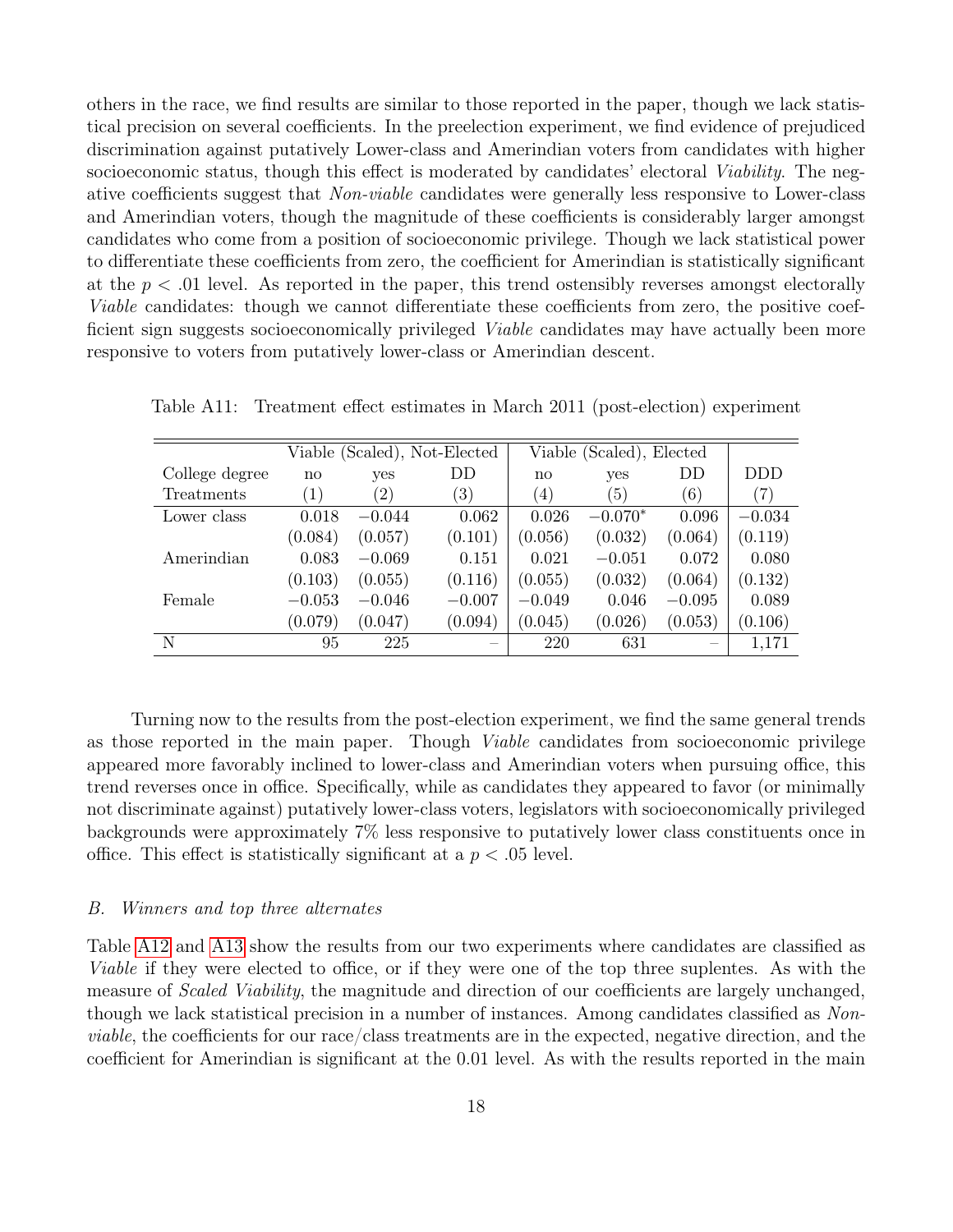others in the race, we find results are similar to those reported in the paper, though we lack statistical precision on several coefficients. In the preelection experiment, we find evidence of prejudiced discrimination against putatively Lower-class and Amerindian voters from candidates with higher socioeconomic status, though this effect is moderated by candidates' electoral *Viability*. The negative coefficients suggest that Non-viable candidates were generally less responsive to Lower-class and Amerindian voters, though the magnitude of these coefficients is considerably larger amongst candidates who come from a position of socioeconomic privilege. Though we lack statistical power to differentiate these coefficients from zero, the coefficient for Amerindian is statistically significant at the  $p < .01$  level. As reported in the paper, this trend ostensibly reverses amongst electorally Viable candidates: though we cannot differentiate these coefficients from zero, the positive coefficient sign suggests socioeconomically privileged Viable candidates may have actually been more responsive to voters from putatively lower-class or Amerindian descent.

|                   |                  |                   | Viable (Scaled), Not-Elected |                   | Viable (Scaled), Elected |          |            |
|-------------------|------------------|-------------------|------------------------------|-------------------|--------------------------|----------|------------|
| College degree    | no               | yes               | DD                           | no                | yes                      | DD       | <b>DDD</b> |
| <b>Treatments</b> | $\left(1\right)$ | $\left( 2\right)$ | (3)                          | $\left( 4\right)$ | (5)                      | (6)      | (7)        |
| Lower class       | 0.018            | $-0.044$          | 0.062                        | 0.026             | $-0.070*$                | 0.096    | $-0.034$   |
|                   | (0.084)          | (0.057)           | (0.101)                      | (0.056)           | (0.032)                  | (0.064)  | (0.119)    |
| Amerindian        | 0.083            | $-0.069$          | 0.151                        | 0.021             | $-0.051$                 | 0.072    | 0.080      |
|                   | (0.103)          | (0.055)           | (0.116)                      | (0.055)           | (0.032)                  | (0.064)  | (0.132)    |
| Female            | $-0.053$         | $-0.046$          | $-0.007$                     | $-0.049$          | 0.046                    | $-0.095$ | 0.089      |
|                   | (0.079)          | (0.047)           | (0.094)                      | (0.045)           | (0.026)                  | (0.053)  | (0.106)    |
| N                 | 95               | 225               |                              | 220               | 631                      |          | 1,171      |

<span id="page-20-1"></span>Table A11: Treatment effect estimates in March 2011 (post-election) experiment

Turning now to the results from the post-election experiment, we find the same general trends as those reported in the main paper. Though Viable candidates from socioeconomic privilege appeared more favorably inclined to lower-class and Amerindian voters when pursuing office, this trend reverses once in office. Specifically, while as candidates they appeared to favor (or minimally not discriminate against) putatively lower-class voters, legislators with socioeconomically privileged backgrounds were approximately 7% less responsive to putatively lower class constituents once in office. This effect is statistically significant at a  $p < .05$  level.

#### <span id="page-20-0"></span>B. Winners and top three alternates

Table [A12](#page-21-0) and [A13](#page-21-1) show the results from our two experiments where candidates are classified as Viable if they were elected to office, or if they were one of the top three suplentes. As with the measure of *Scaled Viability*, the magnitude and direction of our coefficients are largely unchanged, though we lack statistical precision in a number of instances. Among candidates classified as Nonviable, the coefficients for our race/class treatments are in the expected, negative direction, and the coefficient for Amerindian is significant at the 0.01 level. As with the results reported in the main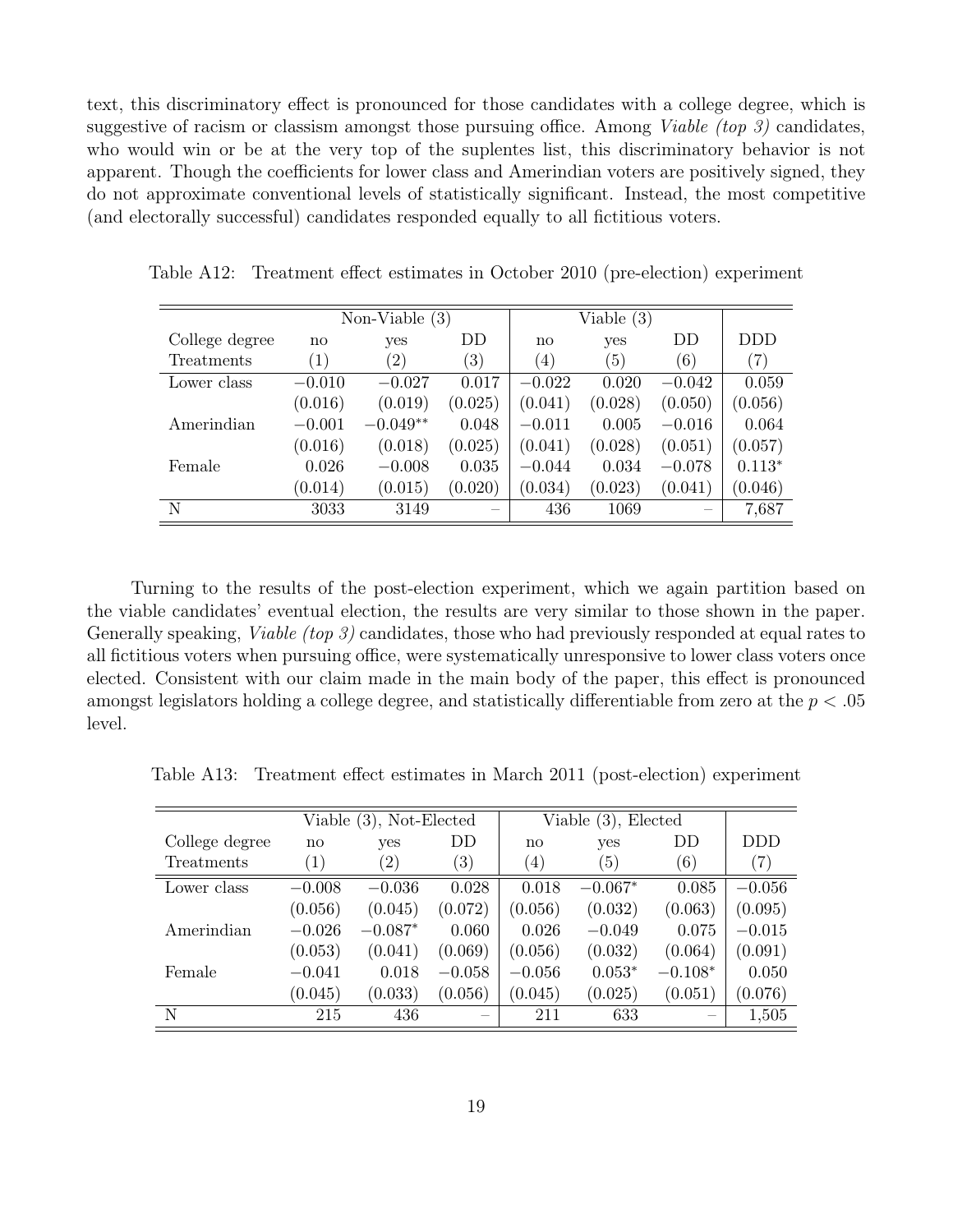text, this discriminatory effect is pronounced for those candidates with a college degree, which is suggestive of racism or classism amongst those pursuing office. Among *Viable (top 3)* candidates, who would win or be at the very top of the suplentes list, this discriminatory behavior is not apparent. Though the coefficients for lower class and Amerindian voters are positively signed, they do not approximate conventional levels of statistically significant. Instead, the most competitive (and electorally successful) candidates responded equally to all fictitious voters.

|                   |          | Non-Viable $(3)$  |                   |                  | Viable $(3)$     |          |          |
|-------------------|----------|-------------------|-------------------|------------------|------------------|----------|----------|
| College degree    | no       | yes               | DD.               | $\mathbf{n}$     | yes              | DD       | DDD.     |
| <b>Treatments</b> | (1)      | $\left( 2\right)$ | $\left( 3\right)$ | $\left(4\right)$ | $\left(5\right)$ | (6)      | (7)      |
| Lower class       | $-0.010$ | $-0.027$          | 0.017             | $-0.022$         | 0.020            | $-0.042$ | 0.059    |
|                   | (0.016)  | (0.019)           | (0.025)           | (0.041)          | (0.028)          | (0.050)  | (0.056)  |
| Amerindian        | $-0.001$ | $-0.049**$        | 0.048             | $-0.011$         | 0.005            | $-0.016$ | 0.064    |
|                   | (0.016)  | (0.018)           | (0.025)           | (0.041)          | (0.028)          | (0.051)  | (0.057)  |
| Female            | 0.026    | $-0.008$          | 0.035             | $-0.044$         | 0.034            | $-0.078$ | $0.113*$ |
|                   | (0.014)  | (0.015)           | (0.020)           | (0.034)          | (0.023)          | (0.041)  | (0.046)  |
| N                 | 3033     | 3149              |                   | 436              | 1069             |          | 7,687    |

<span id="page-21-0"></span>Table A12: Treatment effect estimates in October 2010 (pre-election) experiment

Turning to the results of the post-election experiment, which we again partition based on the viable candidates' eventual election, the results are very similar to those shown in the paper. Generally speaking, *Viable (top 3)* candidates, those who had previously responded at equal rates to all fictitious voters when pursuing office, were systematically unresponsive to lower class voters once elected. Consistent with our claim made in the main body of the paper, this effect is pronounced amongst legislators holding a college degree, and statistically differentiable from zero at the  $p < .05$ level.

<span id="page-21-1"></span>Table A13: Treatment effect estimates in March 2011 (post-election) experiment

|                |                   | Viable (3), Not-Elected |          |                   | Viable $(3)$ , Elected |           |                   |
|----------------|-------------------|-------------------------|----------|-------------------|------------------------|-----------|-------------------|
| College degree | no                | yes                     | DD       | no                | yes                    | DD        | DDD.              |
| Treatments     | $\left( 1\right)$ | (2)                     | (3)      | $\left( 4\right)$ | (5)                    | (6)       | $\left( 7\right)$ |
| Lower class    | $-0.008$          | $-0.036$                | 0.028    | 0.018             | $-0.067*$              | 0.085     | $-0.056$          |
|                | (0.056)           | (0.045)                 | (0.072)  | (0.056)           | (0.032)                | (0.063)   | (0.095)           |
| Amerindian     | $-0.026$          | $-0.087*$               | 0.060    | 0.026             | $-0.049$               | 0.075     | $-0.015$          |
|                | (0.053)           | (0.041)                 | (0.069)  | (0.056)           | (0.032)                | (0.064)   | (0.091)           |
| Female         | $-0.041$          | 0.018                   | $-0.058$ | $-0.056$          | $0.053*$               | $-0.108*$ | 0.050             |
|                | (0.045)           | (0.033)                 | (0.056)  | (0.045)           | (0.025)                | (0.051)   | (0.076)           |
| N              | 215               | 436                     |          | 211               | 633                    |           | 1,505             |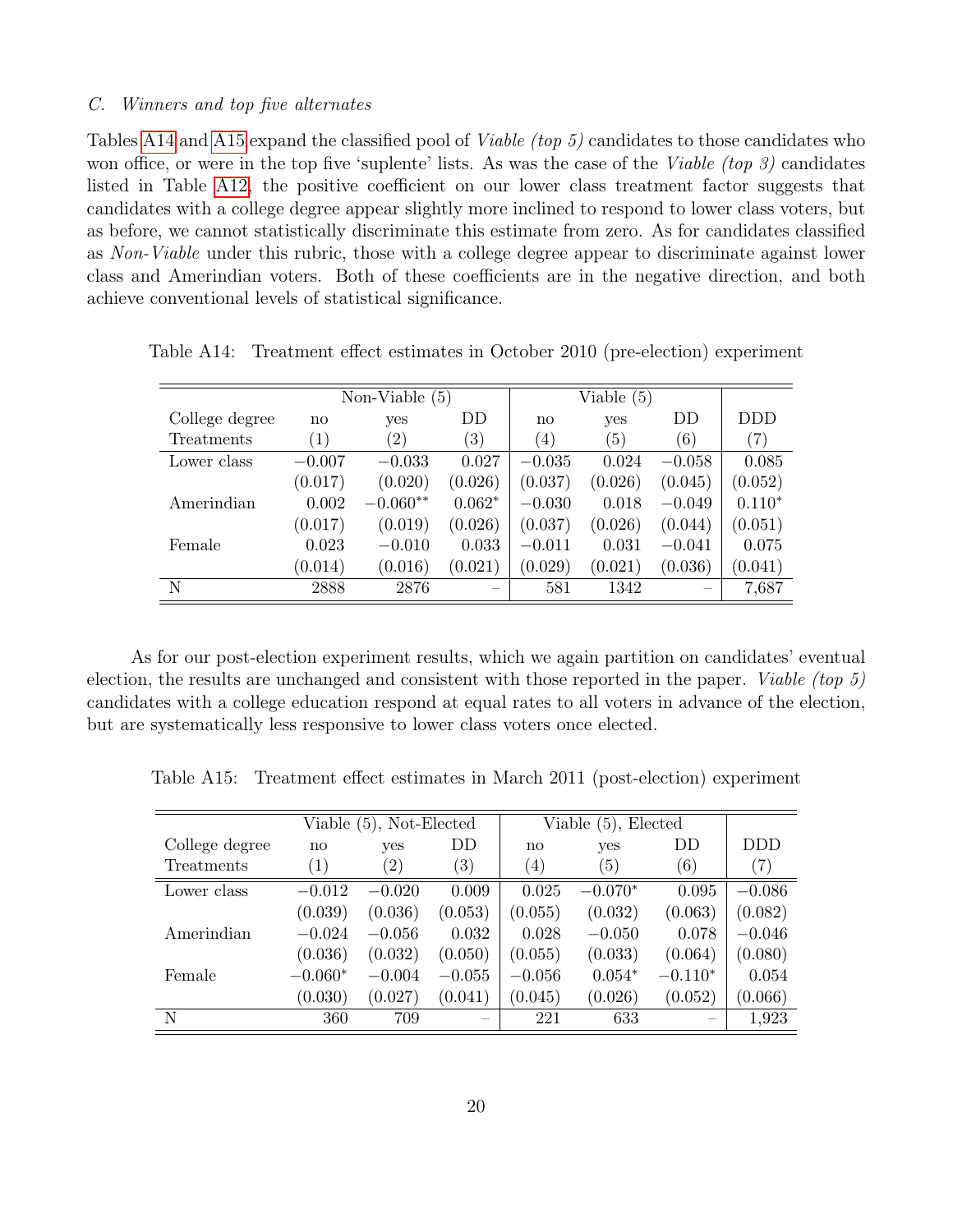#### <span id="page-22-0"></span>C. Winners and top five alternates

Tables [A14](#page-22-1) and [A15](#page-22-2) expand the classified pool of *Viable (top 5)* candidates to those candidates who won office, or were in the top five 'suplente' lists. As was the case of the *Viable (top 3)* candidates listed in Table [A12,](#page-21-0) the positive coefficient on our lower class treatment factor suggests that candidates with a college degree appear slightly more inclined to respond to lower class voters, but as before, we cannot statistically discriminate this estimate from zero. As for candidates classified as Non-Viable under this rubric, those with a college degree appear to discriminate against lower class and Amerindian voters. Both of these coefficients are in the negative direction, and both achieve conventional levels of statistical significance.

|                   |                   | Non-Viable $(5)$  |          |                  | Viable $(5)$ |          |                   |
|-------------------|-------------------|-------------------|----------|------------------|--------------|----------|-------------------|
| College degree    | no                | yes               | DD       | no               | yes          | DD       | <b>DDD</b>        |
| <b>Treatments</b> | $\left( 1\right)$ | $\left( 2\right)$ | (3)      | $\left(4\right)$ | (5)          | (6)      | $\left( 7\right)$ |
| Lower class       | $-0.007$          | $-0.033$          | 0.027    | $-0.035$         | 0.024        | $-0.058$ | 0.085             |
|                   | (0.017)           | (0.020)           | (0.026)  | (0.037)          | (0.026)      | (0.045)  | (0.052)           |
| Amerindian        | 0.002             | $-0.060**$        | $0.062*$ | $-0.030$         | 0.018        | $-0.049$ | $0.110*$          |
|                   | (0.017)           | (0.019)           | (0.026)  | (0.037)          | (0.026)      | (0.044)  | (0.051)           |
| Female            | 0.023             | $-0.010$          | 0.033    | $-0.011$         | 0.031        | $-0.041$ | 0.075             |
|                   | (0.014)           | (0.016)           | (0.021)  | (0.029)          | (0.021)      | (0.036)  | (0.041)           |
| N                 | 2888              | 2876              |          | 581              | 1342         |          | 7,687             |

<span id="page-22-1"></span>Table A14: Treatment effect estimates in October 2010 (pre-election) experiment

As for our post-election experiment results, which we again partition on candidates' eventual election, the results are unchanged and consistent with those reported in the paper. Viable (top  $5$ ) candidates with a college education respond at equal rates to all voters in advance of the election, but are systematically less responsive to lower class voters once elected.

<span id="page-22-2"></span>Table A15: Treatment effect estimates in March 2011 (post-election) experiment

|                   |                        | Viable (5), Not-Elected |                   |                  | Viable (5), Elected |           |          |
|-------------------|------------------------|-------------------------|-------------------|------------------|---------------------|-----------|----------|
| College degree    | $\mathbf{n}\mathbf{o}$ | yes                     | DD                | $\mathbf{n}$     | yes                 | DD        | DDD.     |
| <b>Treatments</b> | $\left( 1\right)$      | $\left( 2\right)$       | $\left( 3\right)$ | $\left(4\right)$ | (5)                 | (6)       | (7)      |
| Lower class       | $-0.012$               | $-0.020$                | 0.009             | 0.025            | $-0.070*$           | 0.095     | $-0.086$ |
|                   | (0.039)                | (0.036)                 | (0.053)           | (0.055)          | (0.032)             | (0.063)   | (0.082)  |
| Amerindian        | $-0.024$               | $-0.056$                | 0.032             | 0.028            | $-0.050$            | 0.078     | $-0.046$ |
|                   | (0.036)                | (0.032)                 | (0.050)           | (0.055)          | (0.033)             | (0.064)   | (0.080)  |
| Female            | $-0.060*$              | $-0.004$                | $-0.055$          | $-0.056$         | $0.054*$            | $-0.110*$ | 0.054    |
|                   | (0.030)                | (0.027)                 | (0.041)           | (0.045)          | (0.026)             | (0.052)   | (0.066)  |
| N                 | 360                    | 709                     |                   | 221              | 633                 |           | 1,923    |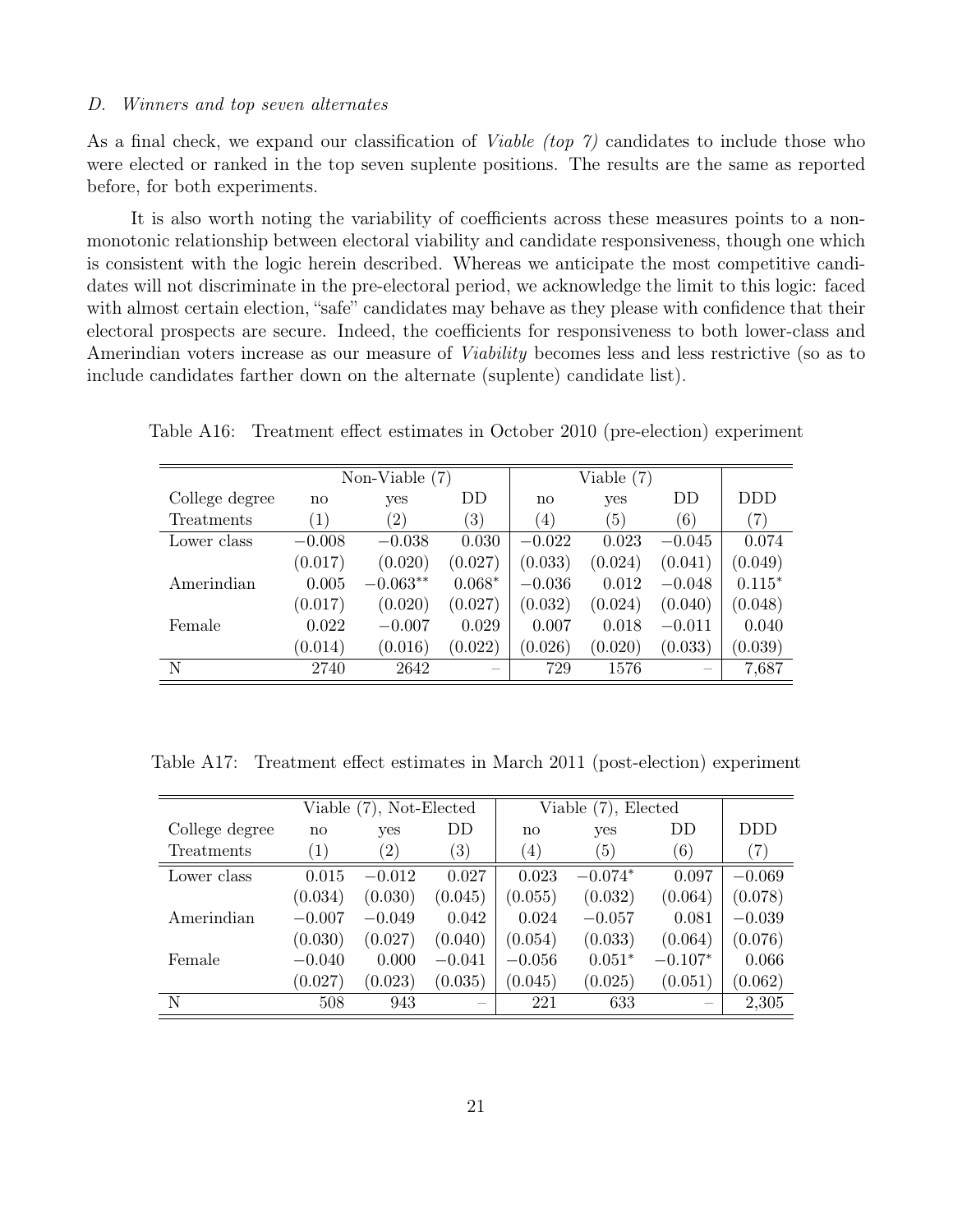#### <span id="page-23-0"></span>D. Winners and top seven alternates

As a final check, we expand our classification of *Viable (top 7)* candidates to include those who were elected or ranked in the top seven suplente positions. The results are the same as reported before, for both experiments.

It is also worth noting the variability of coefficients across these measures points to a nonmonotonic relationship between electoral viability and candidate responsiveness, though one which is consistent with the logic herein described. Whereas we anticipate the most competitive candidates will not discriminate in the pre-electoral period, we acknowledge the limit to this logic: faced with almost certain election, "safe" candidates may behave as they please with confidence that their electoral prospects are secure. Indeed, the coefficients for responsiveness to both lower-class and Amerindian voters increase as our measure of Viability becomes less and less restrictive (so as to include candidates farther down on the alternate (suplente) candidate list).

|                |                   | Non-Viable $(7)$  |                   |                  | Viable $(7)$ |          |            |
|----------------|-------------------|-------------------|-------------------|------------------|--------------|----------|------------|
| College degree | no                | yes               | DD                | no               | yes          | DD       | <b>DDD</b> |
| Treatments     | $\left( 1\right)$ | $\left( 2\right)$ | $\left( 3\right)$ | $\left(4\right)$ | (5)          | (6)      | (7)        |
| Lower class    | $-0.008$          | $-0.038$          | 0.030             | $-0.022$         | 0.023        | $-0.045$ | 0.074      |
|                | (0.017)           | (0.020)           | (0.027)           | (0.033)          | (0.024)      | (0.041)  | (0.049)    |
| Amerindian     | 0.005             | $-0.063**$        | $0.068*$          | $-0.036$         | 0.012        | $-0.048$ | $0.115*$   |
|                | (0.017)           | (0.020)           | (0.027)           | (0.032)          | (0.024)      | (0.040)  | (0.048)    |
| Female         | 0.022             | $-0.007$          | 0.029             | 0.007            | 0.018        | $-0.011$ | 0.040      |
|                | (0.014)           | (0.016)           | (0.022)           | (0.026)          | (0.020)      | (0.033)  | (0.039)    |
| N              | 2740              | 2642              |                   | 729              | 1576         |          | 7,687      |

Table A16: Treatment effect estimates in October 2010 (pre-election) experiment

Table A17: Treatment effect estimates in March 2011 (post-election) experiment

|                |                   | Viable (7), Not-Elected |                   |                  | Viable (7), Elected |           |                   |
|----------------|-------------------|-------------------------|-------------------|------------------|---------------------|-----------|-------------------|
| College degree | $\mathbf{n}$      | yes                     | DD                | no               | yes                 | DD        | DDD.              |
| Treatments     | $\left( 1\right)$ | $\left( 2\right)$       | $\left( 3\right)$ | $\left(4\right)$ | (5)                 | (6)       | $\left( 7\right)$ |
| Lower class    | 0.015             | $-0.012$                | 0.027             | 0.023            | $-0.074*$           | 0.097     | $-0.069$          |
|                | (0.034)           | (0.030)                 | (0.045)           | (0.055)          | (0.032)             | (0.064)   | (0.078)           |
| Amerindian     | $-0.007$          | $-0.049$                | 0.042             | 0.024            | $-0.057$            | 0.081     | $-0.039$          |
|                | (0.030)           | (0.027)                 | (0.040)           | (0.054)          | (0.033)             | (0.064)   | (0.076)           |
| Female         | $-0.040$          | 0.000                   | $-0.041$          | $-0.056$         | $0.051*$            | $-0.107*$ | 0.066             |
|                | (0.027)           | (0.023)                 | (0.035)           | (0.045)          | (0.025)             | (0.051)   | (0.062)           |
| N              | 508               | 943                     |                   | 221              | 633                 |           | 2,305             |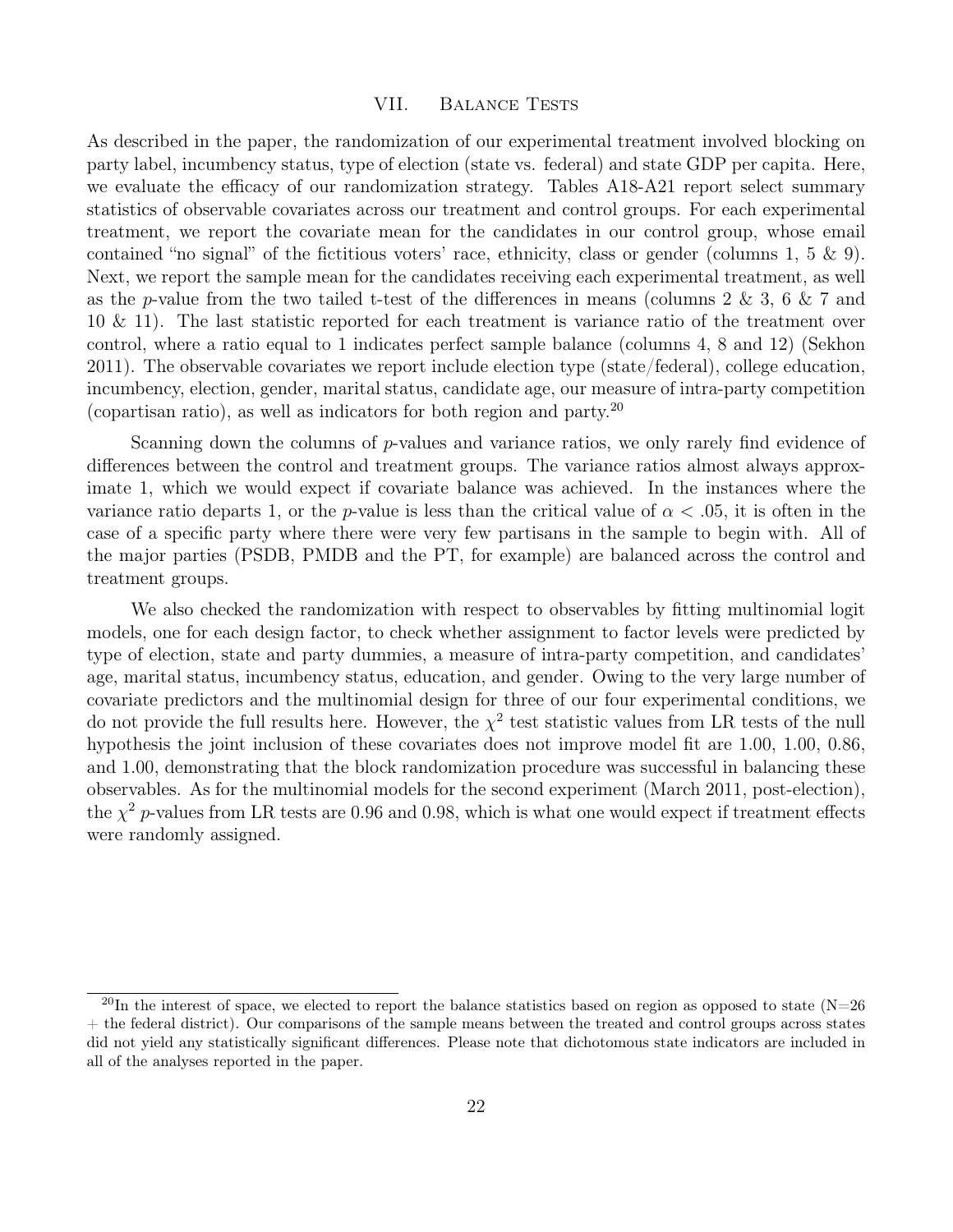#### VII. BALANCE TESTS

<span id="page-24-0"></span>As described in the paper, the randomization of our experimental treatment involved blocking on party label, incumbency status, type of election (state vs. federal) and state GDP per capita. Here, we evaluate the efficacy of our randomization strategy. Tables A18-A21 report select summary statistics of observable covariates across our treatment and control groups. For each experimental treatment, we report the covariate mean for the candidates in our control group, whose email contained "no signal" of the fictitious voters' race, ethnicity, class or gender (columns 1, 5  $\&$  9). Next, we report the sample mean for the candidates receiving each experimental treatment, as well as the p-value from the two tailed t-test of the differences in means (columns 2 & 3, 6 & 7 and 10 & 11). The last statistic reported for each treatment is variance ratio of the treatment over control, where a ratio equal to 1 indicates perfect sample balance (columns 4, 8 and 12) (Sekhon 2011). The observable covariates we report include election type (state/federal), college education, incumbency, election, gender, marital status, candidate age, our measure of intra-party competition (copartisan ratio), as well as indicators for both region and party.<sup>20</sup>

Scanning down the columns of p-values and variance ratios, we only rarely find evidence of differences between the control and treatment groups. The variance ratios almost always approximate 1, which we would expect if covariate balance was achieved. In the instances where the variance ratio departs 1, or the p-value is less than the critical value of  $\alpha < .05$ , it is often in the case of a specific party where there were very few partisans in the sample to begin with. All of the major parties (PSDB, PMDB and the PT, for example) are balanced across the control and treatment groups.

We also checked the randomization with respect to observables by fitting multinomial logit models, one for each design factor, to check whether assignment to factor levels were predicted by type of election, state and party dummies, a measure of intra-party competition, and candidates' age, marital status, incumbency status, education, and gender. Owing to the very large number of covariate predictors and the multinomial design for three of our four experimental conditions, we do not provide the full results here. However, the  $\chi^2$  test statistic values from LR tests of the null hypothesis the joint inclusion of these covariates does not improve model fit are 1.00, 1.00, 0.86, and 1.00, demonstrating that the block randomization procedure was successful in balancing these observables. As for the multinomial models for the second experiment (March 2011, post-election), the  $\chi^2$  p-values from LR tests are 0.96 and 0.98, which is what one would expect if treatment effects were randomly assigned.

<sup>&</sup>lt;sup>20</sup>In the interest of space, we elected to report the balance statistics based on region as opposed to state (N=26) + the federal district). Our comparisons of the sample means between the treated and control groups across states did not yield any statistically significant differences. Please note that dichotomous state indicators are included in all of the analyses reported in the paper.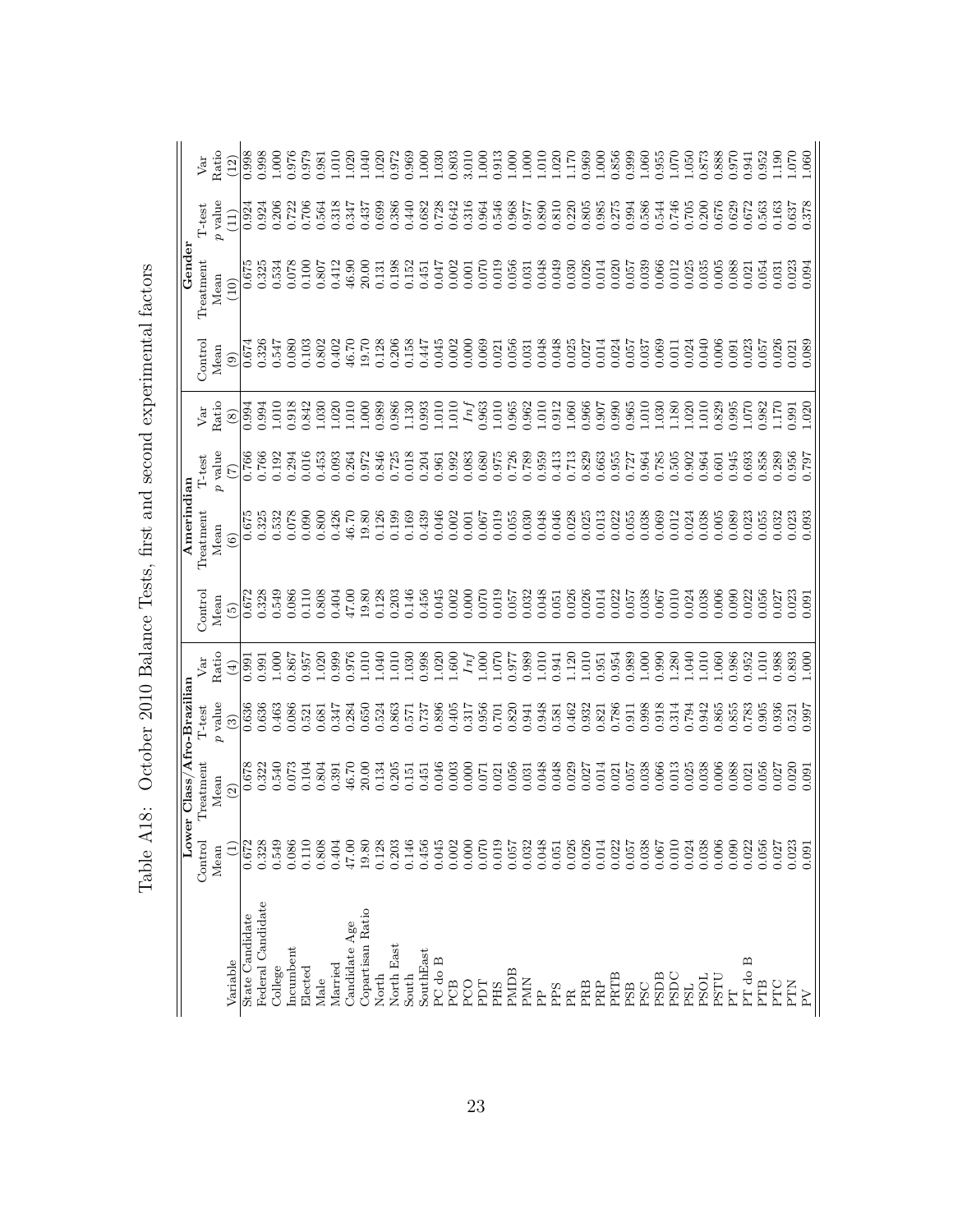| (10)<br>$\widehat{e}$<br>$\circledS$<br>(7)<br>$\widehat{6}$ |
|--------------------------------------------------------------|
| 0.674                                                        |
| 0.994                                                        |
| 0.766<br>0.766<br>$\frac{675}{675}$                          |
| 0.325<br>0.532                                               |
|                                                              |
| 0.328<br>0.549<br>0.086<br>0.110                             |
| 0.808<br>0.867<br>0.957<br>1.020<br>1.000<br>0.991           |
| 0.999<br>0.463<br>0.086<br>0.521<br>0.681<br>0.347           |
| 0.322<br>0.540<br>0.073<br>0.104<br>0.804<br>0.391           |
| 0.328<br>0.549<br>0.086<br>0.110<br>0.808<br>0.404           |
| 0.672<br>$\widehat{E}$                                       |

Table A18: October 2010 Balance Tests, first and second experimental factors Table A18: October 2010 Balance Tests, first and second experimental factors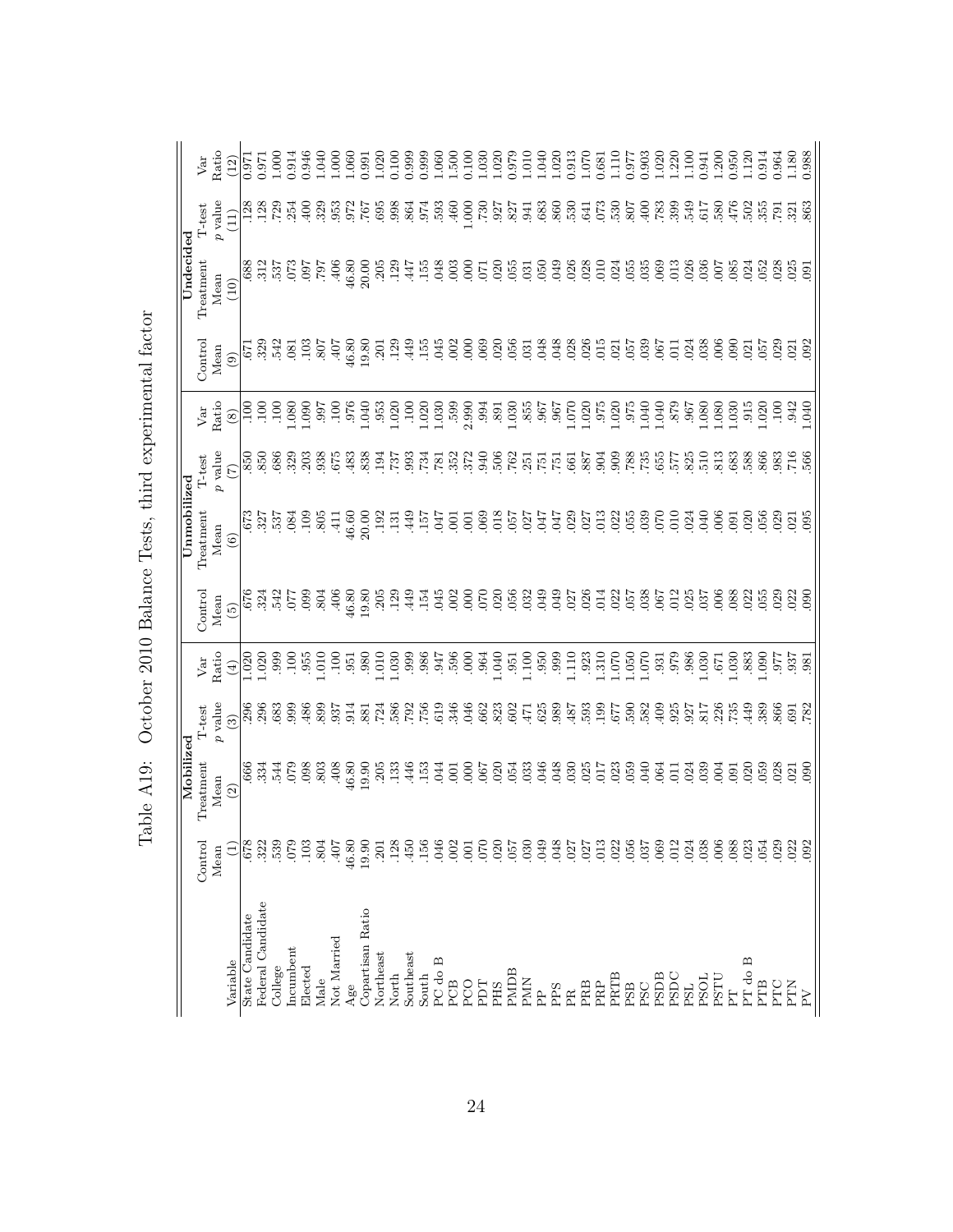|             | Var       | Ratio     | $\frac{(12)}{0.971}$                                |                  |                   |                                 |           |            |            | $\begin{array}{l} 0.971 \\ 1.000 \\ 0.914 \\ 0.946 \\ 1.000 \\ 1.000 \\ 1.000 \\ \end{array}$ |       | $\begin{array}{c} 0.991 \\ 1.020 \\ 0.100 \end{array}$ |           |                   |             | 0.999<br>0.999<br>0.500<br>1.030<br>1.030 |         |                    |                 |             | 1.020 | $0.079$<br>1.010 |                       | 1.040           |                | $\begin{array}{c} 1.020 \\ 0.913 \\ 1.070 \\ 0.681 \\ 1.110 \end{array}$ |                   |                  |      | 0.977      |       | $\begin{array}{c} 0.903 \\ 1.020 \\ 1.220 \end{array}$          |                | 1.10C      | $0.941$<br>$1.200$ |                 | 0.950            |         | 1.120<br>0.914 | 0.964                    | 1.180          | 0.988   |
|-------------|-----------|-----------|-----------------------------------------------------|------------------|-------------------|---------------------------------|-----------|------------|------------|-----------------------------------------------------------------------------------------------|-------|--------------------------------------------------------|-----------|-------------------|-------------|-------------------------------------------|---------|--------------------|-----------------|-------------|-------|------------------|-----------------------|-----------------|----------------|--------------------------------------------------------------------------|-------------------|------------------|------|------------|-------|-----------------------------------------------------------------|----------------|------------|--------------------|-----------------|------------------|---------|----------------|--------------------------|----------------|---------|
|             | T-test    | $p$ value | (11)                                                | 128              | .128              | .729                            | .254      | $-400$     | .329       | .953                                                                                          | .972  | .767                                                   | .695      | .998              | 864<br>508. |                                           | .593    | .460               | 000.1           | .730        | .927  | .827             | .941                  | .683            | $860$<br>$008$ |                                                                          | .641              | 0.530            |      | .807       | .400  | .783                                                            | .399           | .549       | .617               | .580            | 476              | .502    | 355            | .62                      | 321            | 863     |
| Undecided   | Treatment | Mean      | (10)                                                |                  |                   | $\frac{88}{37}$ $\frac{27}{37}$ |           |            |            | $00.05$<br>$304.00$<br>$304.00$<br>$304.00$                                                   |       |                                                        | .205      | .129              | -447        | .155                                      | .048    | .003               | 170.<br>000     |             | .020  | .055             | .031                  |                 | 35<br>926      |                                                                          | .028              | 010              | .024 | .055       | .035  | .069                                                            | .013           | .026       | .036               | $\overline{0}$  | .085             | 024     | 052            | 028                      | $\tilde{2}$    | $-0.91$ |
|             | Control   | Mean      | $\left( \begin{matrix} 0 \\ 0 \end{matrix} \right)$ | <b>L2</b>        | 325               | 542                             | .081      | $-103$     | .807       | $-407$                                                                                        |       | 46.80<br>19.80                                         | .201      | .129              | .449        | .155                                      | .045    | .002               | 89<br>000       |             | .02C  | $056$<br>$031$   |                       | .048            |                | 048<br>028<br>026                                                        |                   |                  |      |            |       | 15<br>98<br>95                                                  |                | .024       | .038               | 006             | 0.000            |         | $021$<br>$057$ | 029                      | .021           |         |
|             | Var       | Ratio     | $\circledast$                                       |                  | $\frac{5}{10}$    | 100                             | 0.080     | 0.06       |            | 326<br>266<br>306                                                                             |       |                                                        |           |                   |             | 1.040<br>.953<br>1.020<br>1.030<br>1.030  |         | $3.990$<br>$0.994$ |                 |             |       |                  | 391<br>1.035<br>1.967 |                 |                | $0.967$<br>0.070<br>1.020                                                |                   |                  |      |            |       | 080<br>1970 - 1970<br>1970 - 1980<br>1980 - 1980<br>1980 - 1980 |                |            |                    |                 | 1.030            |         |                | $0.015$<br>1.020<br>1.00 | .942           | 1.040   |
|             | $T$ -test | $p$ value | (7)                                                 | $850$<br>$850$   |                   | $\frac{686}{329}$               |           | 203        | 938        | 675                                                                                           | 483   | $.838$<br>$.194$                                       |           | .737              | .993        | <b>181</b><br>PEZ-                        |         | 352                | .372            | 940<br>040. |       | $.762$<br>$.251$ |                       | $\overline{51}$ |                | $.531$<br>$.661$                                                         | 887<br>588<br>589 |                  |      | 788        |       | 755<br>857<br>75                                                |                | 825        |                    | 813             | 683              |         | .588           | 383<br>317.56            |                |         |
| Unmobilized | Treatment | Mean      | $\widehat{6}$                                       | .327             |                   | 537                             | .084      | $-109$     | .805       | $\overline{41}$                                                                               |       | $46.60$<br>20.00                                       | .192      | $\overline{.}131$ | <b>449</b>  | $-157$                                    | $-047$  | $\overline{0}$     | $\overline{0}0$ | .069        | .018  | .057             | .027                  | .047            | .047           | .029                                                                     | .027              | .013             | .022 | .055       | .039  | 070                                                             | 010            | .024       | 040                | $\frac{8}{2}$   | $\overline{160}$ | 020     | 056            | 029                      | $\overline{0}$ | $-095$  |
|             | Control   | Mean      | $\widetilde{\omega}$                                | .676             | 324               | 542                             | 077       | 0.099      | <b>804</b> | 406                                                                                           | 46.80 | 19.80                                                  | .205      | .129              | 449         | .154                                      | .045    | .002               | 000             | 070         | 020   | 056              | .032                  | .049            | .049           | .027                                                                     | .026              | .014             | .027 |            | .038  | .067                                                            | .012           | .025       | .037               | $\overline{0}0$ | .088             |         | 022            | 029                      | 022            | 090     |
|             | Var       | Ratio     | $\tag{4}$                                           | 0.020            | 0.020             |                                 |           |            |            | 999<br>1955<br>1955<br>1955<br>1955                                                           | .951  | .980                                                   | 1.010     | 1.030             |             | 98<br>58<br>98<br>98<br>98<br>98          |         |                    | $000$<br>$000$  |             | 1.040 | .951             | 1.100                 | .950            | .999           | 1.110                                                                    | .923              | 1.310            | 0.07 | 1.050      | 1.070 | $0.65$<br>$0.65$                                                |                | .986       | 1.671              |                 | .030             | .883    | 0.090          | .977                     | 937            | .981    |
|             | T-test    | $p$ value | $\binom{3}{2}$                                      | $\frac{36}{296}$ |                   | 683                             | 0.66      | 486        | 899        | .937                                                                                          | .914  | .881                                                   | .586      |                   |             | 285<br>2857.51                            |         | .346               | .046<br>662     |             | 823   | .602             | $-471$                | .625            | .989           | 187<br>784.                                                              |                   | $^{779}_{661}$ . |      | 582        |       | 409                                                             | .925           | .927       | .817               |                 | .735             |         | 389            | 865<br>87<br>82          |                |         |
| Mobilized   | Treatment | Mean      | $\widehat{2}$                                       | .666             |                   | $3340$<br>$-150$                |           | .098       | .803       | $-408$                                                                                        | 46.80 | 0.90                                                   | .205      | .133              | .446        | .153                                      | .044    | .001               | 000             | .067        | .020  | .054             | .033                  | .046            | .048           | .030                                                                     | .025              | 717              | .023 | .059       | 040   | .064                                                            | $\overline{1}$ | .024       | 039                | $\mathcal{L}$   | $\overline{0}0$  | 020     | 059            | 028                      | 021            | 090     |
|             | Control   | Mean      | $\widehat{L}$                                       | 678              | 322               | 539                             | 079       | <b>103</b> | 804        | 407                                                                                           | 46.80 | 19.90                                                  | .201      | .128              | 450         | 156                                       | .046    | .002               | .001            | 070         | 020   | 757              | 030                   | 049             | .048           | 027                                                                      | 027               | .013             | .022 | 056        | 037   | .069                                                            | 012            | 024        | .038               | .006            | .088             | 023     | .054           | 029                      | 022            | 092     |
|             |           |           | Variable                                            | State Candidate  | Federal Candidate | College                         | incumbent | Elected    | Male       | Not Married                                                                                   | Age   | Copartisan Ratio                                       | Northeast | North             | Southeast   | South                                     | PC do B | PCB                | PCO             | PDT         | PHS   | PMDB             | <b>PMN</b>            | $\mathbf{r}$    | PPS            | $_{\rm PR}$                                                              | PRB               | PRP              | PRTB | <b>PSB</b> | PSC   | <b>PSDB</b>                                                     | PSDC           | <b>PSL</b> | <b>PSOL</b>        | PSTU            | E                | PT do B | PTB            | PTC                      | PTN            | $\geq$  |

Table A19: October 2010 Balance Tests, third experimental factor Table A19: October 2010 Balance Tests, third experimental factor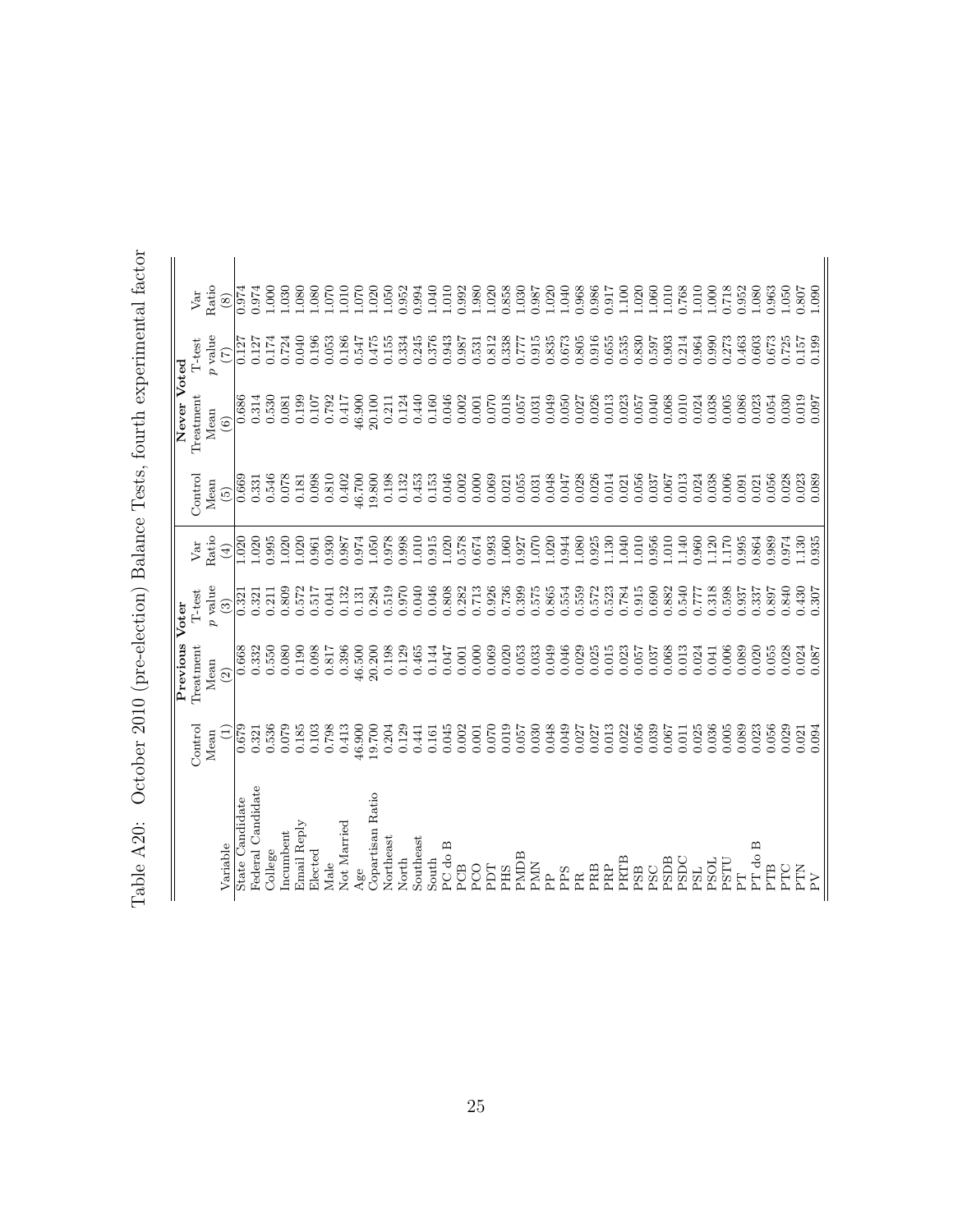| $+$ $\sim$ $+$ $\sim$ $+$                                                                                                                       |  |
|-------------------------------------------------------------------------------------------------------------------------------------------------|--|
|                                                                                                                                                 |  |
| $1222 + 1222 + 1222$                                                                                                                            |  |
|                                                                                                                                                 |  |
| (pre-election) Balance Tests fourth experiment<br>֧֧֧ׅ֧֧֧֧֦֧ׅ֧֧ׅ֧֧ׅ֧֧ׅ֛֧֧֧֧֛֛֛֛֧֛֚֚֚֚֚֚֚֚֚֚֚֚֚֚֚֚֚֚֚֚֚֚֚֚֚֚֚֚֚֚֝֝֓֝֬֓֝֬֝֓֝֬֜֓֝֬֜֝֬֜֝֬֜֝֬֝֬֝֬֜֟֓ |  |
|                                                                                                                                                 |  |
| $\Delta$ 90. October 9010 (pro<br>CONNELL TO CONNEL                                                                                             |  |
| $T_2$ $I_2$ $\Lambda$ $20$ .<br>TATT STONT                                                                                                      |  |
|                                                                                                                                                 |  |

|                   |                 | Previous Voter |           |                              |                 | Never Voted            |               |             |
|-------------------|-----------------|----------------|-----------|------------------------------|-----------------|------------------------|---------------|-------------|
|                   | Control         | Treatment      | $T$ -test | Var                          | Control         | Treatment              | T-test        | Var         |
|                   | Mean            | Mean           | $p$ value | Ratio                        | Mean            | Mean                   | $p$ value     | Ratio       |
| Variable          | $\widehat{\Xi}$ | $\widehat{2}$  | $\odot$   | $\left( \frac{1}{2} \right)$ | $\widetilde{5}$ | $\widehat{\mathbf{6}}$ | $\widehat{C}$ | $\circledS$ |
| State Candidate   | 0.679           | 0.668          | 0.321     | 1.020                        | 0.669           | 0.686                  | 0.127         | 0.974       |
| Federal Candidate | 0.321           | 0.332          | 0.321     | 1.020                        | 0.331           | 0.314                  | 0.127         | 0.974       |
| College           | 0.536           | 0.550          | 0.211     | 0.995                        | 0.546           | 0.530                  | 0.174         | 1.000       |
| Incumbent         | 0.079           | 0.080          | 0.809     | 1.020                        | 0.078           | 0.081                  | 0.724         | 1.030       |
| Email Reply       | 0.185           | 0.190          | 0.572     | 1.020                        | 0.181           | 0.199                  | 0.040         | 1.080       |
| Elected           | 0.103           | 0.098          | 0.517     | 0.961                        | 0.098           | 0.107                  | 0.196         | 1.080       |
| Male              | 0.798           | 0.817          | 0.041     | 0.930                        | 0.810           | 0.792                  | 0.053         | 1.070       |
| Not Married       | 0.413           | 0.396          | 0.132     | 0.987                        | 0.402           | 0.417                  | 0.186         | 1.010       |
| Age               | 46.900          | 46.500         | 0.131     | 0.974                        | 46.700          | 46.900                 | 0.547         | 1.070       |
| Copartisan Ratio  | 19.700          | 20.200         | 0.284     | 1.050                        | 19.800          | 20.100                 | 0.475         | 1.020       |
| Northeast         | 0.204           | 0.198          | 0.519     | 0.978                        | 0.198           | 0.211                  | 0.155         | 1.050       |
| North             | 0.129           | 0.129          | 0.970     | 0.998                        | 0.132           | 0.124                  | 0.334         | 0.952       |
| Southeast         | 0.441           | 0.465          | 0.040     | 1.010                        | 0.453           | 0.440                  | 0.245         | 0.994       |
| South             | 0.161           | 0.144          | 0.046     | 0.915                        | 0.153           | 0.160                  | 0.376         | 1.040       |
| PC do B           | 0.045           | 0.047          | 0.808     | 1.020                        | 0.046           | 0.046                  | 0.943         | 1.010       |
| PCB               | 0.002           | 0.001          | 0.282     | 0.578                        | 0.002           | 0.002                  | 0.987         | 0.992       |
| PCO               | 0.001           | 0.000          | 0.713     | 0.674                        | 0.000           | 0.001                  | 0.531         | 1.980       |
| PDT               | 0.070           | 0.069          | 0.926     | 0.993                        | 0.069           | 0.070                  | 0.812         | 1.020       |
| PHS               | 0.019           | 0.020          | 0.736     | 1.060                        | 0.021           | 0.018                  | 0.338         | 0.858       |
| PMDB              | 0.057           | 0.053          | 0.399     | 0.927                        | 0.055           | 0.057                  | 7777          | 1.030       |
| <b>PMN</b>        | 0.030           | 0.033          | 0.575     | $1.070\,$                    | 0.031           | 0.031                  | 0.915         | 0.987       |
| $\mathbf{r}$      | 0.048           | 0.049          | 0.865     | 1.020                        | 0.048           | 0.049                  | 0.835         | 1.020       |
| PPS               | 0.049           | 0.046          | 0.554     | 0.944                        | 0.047           | 0.050                  | 0.673         | 1.040       |
| ΡŘ                | 0.027           | 0.029          | 0.559     | 1.080                        | 0.028           | 0.027                  | 0.805         | 0.968       |
| PRB               | 0.027           | 0.025          | 0.572     | 0.925                        | 0.026           | 0.026                  | 0.916         | 0.986       |
| PRP               | 0.013           | 0.015          | 0.523     | 1.130                        | 0.014           | 0.013                  | 0.655         | 0.917       |
| PRTB              | 0.022           | 0.023          | 0.784     | 1.040                        | 0.021           | 0.023                  | 0.535         | 1.100       |
| PSB               | 0.056           | $0.057\,$      | 0.915     | 1.010                        | 0.056           | 0.057                  | 0.830         | 1.020       |
| PSC               | 0.039           | 0.037          | 0.690     | 0.956                        | 0.037           | 0.040                  | 0.597         | 1.060       |
| <b>PSDB</b>       | 0.067           | 0.068          | 0.882     | 1.010                        | 0.067           | 0.068                  | 0.903         | 1.010       |
| PSDC              | 0.011           | 0.013          | 0.540     | 1.140                        | 0.013           | 0.010                  | 0.214         | 0.768       |
| PSL               | 0.025           | 0.024          | 0.777     | 0.960                        | 0.024           | 0.024                  | 0.964         | 1.010       |
| <b>PSOL</b>       | 0.036           | 0.041          | 0.318     | 1.120                        | 0.038           | 0.038                  | 0.990         | 1.000       |
| PSTU              | $0.005\,$       | 0.006          | 0.598     | 1.170                        | 0.006           | 0.005                  | 0.273         | 0.718       |
| 臣                 | 0.089           | 0.089          | 0.937     | 0.995                        | 0.091           | 0.086                  | 0.463         | 0.952       |
| PT do B           | 0.023           | 0.020          | 0.337     | 0.864                        | 0.021           | 0.023                  | 0.603         | 1.080       |
| PTB               | 0.056           | 0.055          | 0.897     | 0.989                        | 0.056           | 0.054                  | 0.673         | 0.963       |
| PTC               | 0.029           | 0.028          | 0.840     | 0.974                        | 0.028           | 0.030                  | 0.725         | 1.050       |
| <b>NLG</b>        | 0.021           | 0.024          | 0.430     | 1.130                        | 0.023           | 0.019                  | 0.157         | 0.807       |
| ΣÁ                | 0.094           | 0.087          | 0.307     | 0.935                        | 0.089           | 0.097                  | 0.199         | 1.090       |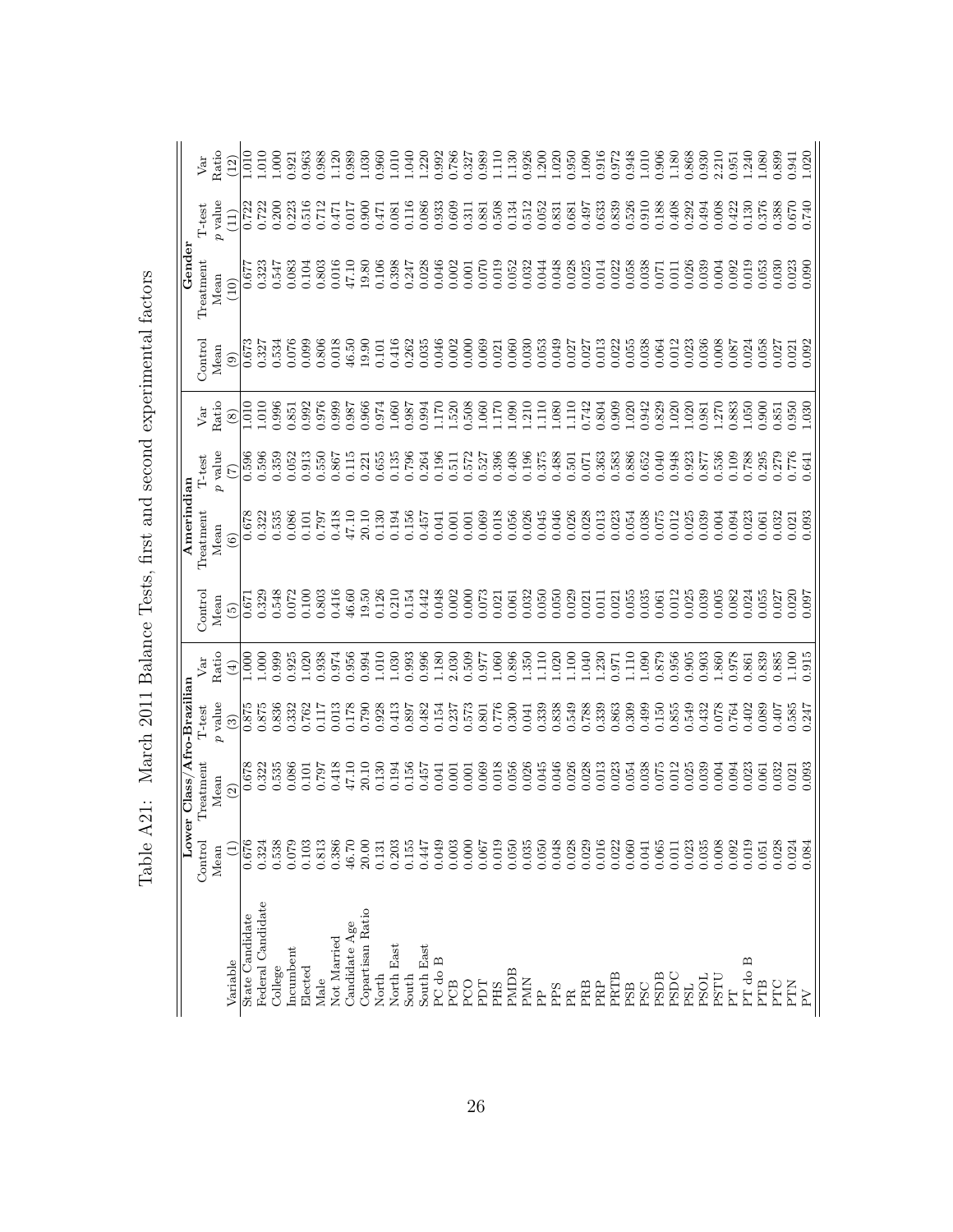|                   |               | Lower Class/Afro-Brazilian |               |              |               | Amerindian    |         |             |         | Gender    |           |           |
|-------------------|---------------|----------------------------|---------------|--------------|---------------|---------------|---------|-------------|---------|-----------|-----------|-----------|
|                   | Control       | Treatment                  | T-test        | Var          | Control       | Treatment     | T-test  | Var         | Control | Treatment | $T-test$  | Var       |
|                   | Mean          | Mean                       | p value       | Ratio        | Mean          | Mean          | p value | Ratio       | Mean    | Mean      | $p$ value | Ratio     |
| Variable          | $\widehat{E}$ | $\widehat{2}$              | $\widehat{c}$ | $\bigoplus$  | $\widehat{5}$ | $\widehat{6}$ | E       | $\circledS$ | $\odot$ | (10)      | (11)      | (12)      |
| State Candidate   | 0.676         | 0.678                      | 0.875         | 000          | 0.671         | 0.678         | 0.596   | 010         | 0.673   | 0.677     | 0.722     | 010       |
| Federal Candidate | 0.324         | 0.322                      | 0.875         | 1.000        | 0.329         | 0.322         | 0.596   | 1.010       | 0.327   | 0.323     | 0.722     | 1.010     |
| College           | 0.538         | 0.535                      | 0.836         | 0.999        | 0.548         | 0.535         | 0.359   | 0.996       | 0.534   | 0.547     | 0.200     | 1.000     |
| Incumbent         | 0.079         | 0.086                      | 0.332         | 0.925        | 0.072         | 0.086         | 0.052   | 0.851       | 0.076   | 0.083     | 0.223     | 0.921     |
| Elected           | 0.103         | 0.101                      | 0.762         | 1.020        | 0.100         | 0.101         | 0.913   | 0.992       | 0.099   | 0.104     | 0.516     | 0.963     |
| Male              | 0.813         | 162.0                      | 0.117         | 0.938        | 0.803         | 0.797         | 0.550   | 0.976       | 0.806   | 0.803     | 0.712     | 0.988     |
| Not Married       | 0.386         | 0.418                      | 0.013         | 0.974        | 0.416         | 0.418         | 0.867   | 0.999       | 0.018   | 0.016     | 0.471     | 1.120     |
| Candidate Age     | 46.70         | 47.10                      | 0.178         | 0.956        | 46.60         | 47.10         | 0.115   | 0.987       | 46.50   | 47.10     | 0.017     | 0.989     |
| Copartisan Ratio  | 20.00         | 20.10                      | 0.790         | 0.994        | 19.50         | 20.10         | 0.221   | 0.966       | 19.90   | 19.80     | 0.900     | 1.030     |
| North             | 0.131         | 0.130                      | 0.928         | 1.010        | 0.126         | 0.130         | 0.655   | 0.974       | 0.101   | 0.106     | 0.471     | 0.960     |
| North East        | 0.203         | 0.194                      | 0.413         | 1.030        | 0.210         | 0.194         | 0.135   | 1.060       | 0.416   | 0.398     | 0.081     | $1.010\,$ |
| South             | 0.155         | 0.156                      | 0.897         | 0.993        | 0.154         | 0.156         | 0.796   | 0.987       | 0.262   | 0.247     | 0.116     | 1.040     |
| South East        | 0.447         | 0.457                      | 0.482         | 0.996        | 0.442         | 0.457         | 0.264   | 0.994       | 0.035   | 0.028     | 0.086     | 1.220     |
| PC do B           | 0.049         | 0.041                      | 0.154         | 1.180        | 0.048         | 0.041         | 0.196   | 1.170       | 0.046   | 0.046     | 0.933     | 0.992     |
| PCB               | 0.003         | 0.001                      | 0.237         | 2.030        | 0.002         | 0.001         | 0.511   | 1.520       | 0.002   | 0.002     | 0.609     | 0.786     |
| PCO               | 0.000         | 0.001                      | 0.573         | 0.509        | 0.000         | 0.001         | 0.572   | 0.508       | 0.000   | 0.001     | 0.311     | 0.327     |
| PDT               | 0.067         | 0.069                      | 0.801         | 0.977        | 0.073         | 0.069         | 0.527   | 1.060       | 0.069   | 0.070     | 0.881     | 0.989     |
| PHS               | 0.019         | 0.018                      | 0.776         | 1.060        | 0.021         | 0.018         | 0.396   | 1.170       | 0.021   | 0.019     | 0.508     | 1.110     |
| PMDB              | 0.050         | 0.056                      | 0.300         | 0.896        | 0.061         | 0.056         | 0.408   | 1.090       | 0.060   | 0.052     | 0.134     | 1.130     |
| <b>PMN</b>        | 0.035         | 0.026                      | 0.041         | 1.350        | 0.032         | 0.026         | 0.196   | 1.210       | 0.030   | 0.032     | 0.512     | 0.926     |
| $\frac{p}{p}$     | 0.050         | 0.045                      | 0.339         | 1110         | 0.050         | 0.045         | 0.375   | 1.110       | 0.053   | 0.044     | 0.052     | 1.200     |
| PPS               | 0.048         | 0.046                      | 0.838         | 1.020        | 0.050         | 0.046         | 0.488   | 1.080       | 0.049   | 0.048     | 0.831     | 1.020     |
| $\mathbb{R}$      | 0.028         | 0.026                      | 0.549         | $-100$       | 0.029         | 0.026         | 0.501   | 1.110       | 0.027   | 0.028     | 0.681     | 0.950     |
| PRB               | 0.029         | 0.028                      | 0.788         | 1.040        | 0.021         | 0.028         | 0.071   | 0.742       | 0.027   | 0.025     | 0.497     | 1.090     |
| PRP               | 0.016         | 0.013                      | 0.339         | 1.230        | 0.011         | 0.013         | 0.363   | 0.804       | 0.013   | 0.014     | 0.633     | 0.916     |
| PRTB              | 0.022         | 0.023                      | 0.863         | 1.971        | 0.021         | 0.023         | 0.583   | 0.909       | 0.022   | 0.022     | 0.839     | 0.972     |
| PSB               | 0.060         | 0.054                      | 0.309         | 1110         | 0.055         | 0.054         | 0.886   | 1.020       | 0.055   | 0.058     | 0.526     | 0.948     |
| PSC               | 0.041         | 0.038                      | 0.499         | <b>090.1</b> | 0.035         | 0.038         | 0.652   | 0.942       | 0.038   | 0.038     | 0.910     | $1.010\,$ |
| <b>PSDB</b>       | 0.065         | 0.075                      | 0.150         | 0.879        | 0.061         | 0.075         | 0.040   | 0.829       | 0.064   | 0.071     | 0.188     | 0.906     |
| PSDC              | $0.011\,$     | 0.012                      | 0.855         | 0.956        | 0.012         | 0.012         | 0.948   | 1.020       | 0.012   | 0.011     | 0.408     | 1.180     |
| PSL               | 0.023         | 0.025                      | 0.549         | 0.905        | 0.025         | 0.025         | 0.923   | 1.020       | 0.023   | 0.026     | 0.292     | 0.868     |
| PSOL              | 0.035         | 0.039                      | 0.432         | 0.903        | 0.039         | 0.039         | 0.877   | 0.981       | 0.036   | 0.039     | 0.494     | 0.930     |
| PSTU              | 0.008         | 0.004                      | 0.078         | 1.860        | 0.005         | 0.004         | 0.536   | 1.270       | 0.008   | 0.004     | 0.008     | 2.210     |
| 톱                 | 0.092         | 0.094                      | 0.764         | 0.978        | 0.082         | 0.094         | 0.109   | 0.883       | 0.087   | 0.092     | 0.422     | 0.951     |
| PT do B           | 0.019         | 0.023                      | 0.402         | 0.861        | 0.024         | 0.023         | 0.788   | 1.050       | 0.024   | 0.019     | 0.130     | 1.240     |
| PTB               | 0.051         | 0.061                      | 0.089         | 0.839        | 0.055         | 0.061         | 0.295   | 0.900       | 0.058   | 0.053     | 0.376     | 1.080     |
| PTC               | 0.028         | 0.032                      | 0.407         | 0.885        | 0.027         | 0.032         | 0.279   | 0.851       | 0.027   | 0.030     | 0.388     | 0.899     |
| PTN               | 0.024         | 0.021                      | 0.585         | 1.100        | 0.020         | 0.021         | 0.776   | 0.950       | 0.021   | 0.023     | 0.670     | 0.941     |
| $\geq$            | 0.084         | 0.093                      | 0.247         | 0.915        | 0.097         | 0.093         | 0.641   | 1.030       | 0.092   | 0.090     | 0.740     | 1.020     |

Table A21: March 2011 Balance Tests, first and second experimental factors Table A21: March 2011 Balance Tests, first and second experimental factors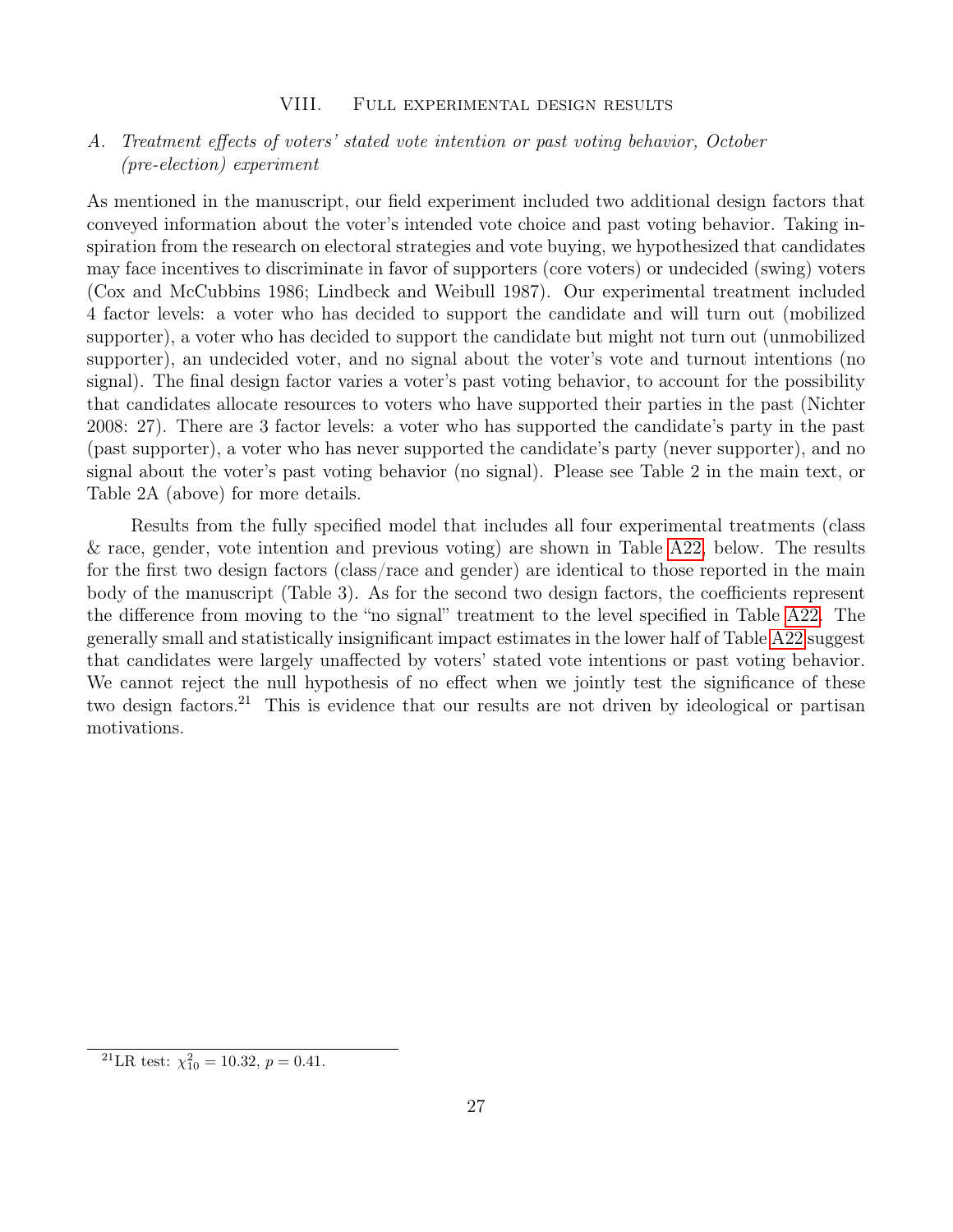# <span id="page-29-1"></span><span id="page-29-0"></span>A. Treatment effects of voters' stated vote intention or past voting behavior, October (pre-election) experiment

As mentioned in the manuscript, our field experiment included two additional design factors that conveyed information about the voter's intended vote choice and past voting behavior. Taking inspiration from the research on electoral strategies and vote buying, we hypothesized that candidates may face incentives to discriminate in favor of supporters (core voters) or undecided (swing) voters (Cox and McCubbins 1986; Lindbeck and Weibull 1987). Our experimental treatment included 4 factor levels: a voter who has decided to support the candidate and will turn out (mobilized supporter), a voter who has decided to support the candidate but might not turn out (unmobilized supporter), an undecided voter, and no signal about the voter's vote and turnout intentions (no signal). The final design factor varies a voter's past voting behavior, to account for the possibility that candidates allocate resources to voters who have supported their parties in the past (Nichter 2008: 27). There are 3 factor levels: a voter who has supported the candidate's party in the past (past supporter), a voter who has never supported the candidate's party (never supporter), and no signal about the voter's past voting behavior (no signal). Please see Table 2 in the main text, or Table 2A (above) for more details.

Results from the fully specified model that includes all four experimental treatments (class & race, gender, vote intention and previous voting) are shown in Table [A22,](#page-30-0) below. The results for the first two design factors (class/race and gender) are identical to those reported in the main body of the manuscript (Table 3). As for the second two design factors, the coefficients represent the difference from moving to the "no signal" treatment to the level specified in Table [A22.](#page-30-0) The generally small and statistically insignificant impact estimates in the lower half of Table [A22](#page-30-0) suggest that candidates were largely unaffected by voters' stated vote intentions or past voting behavior. We cannot reject the null hypothesis of no effect when we jointly test the significance of these two design factors.<sup>21</sup> This is evidence that our results are not driven by ideological or partisan motivations.

<sup>&</sup>lt;sup>21</sup>LR test:  $\chi_{10}^2 = 10.32, p = 0.41.$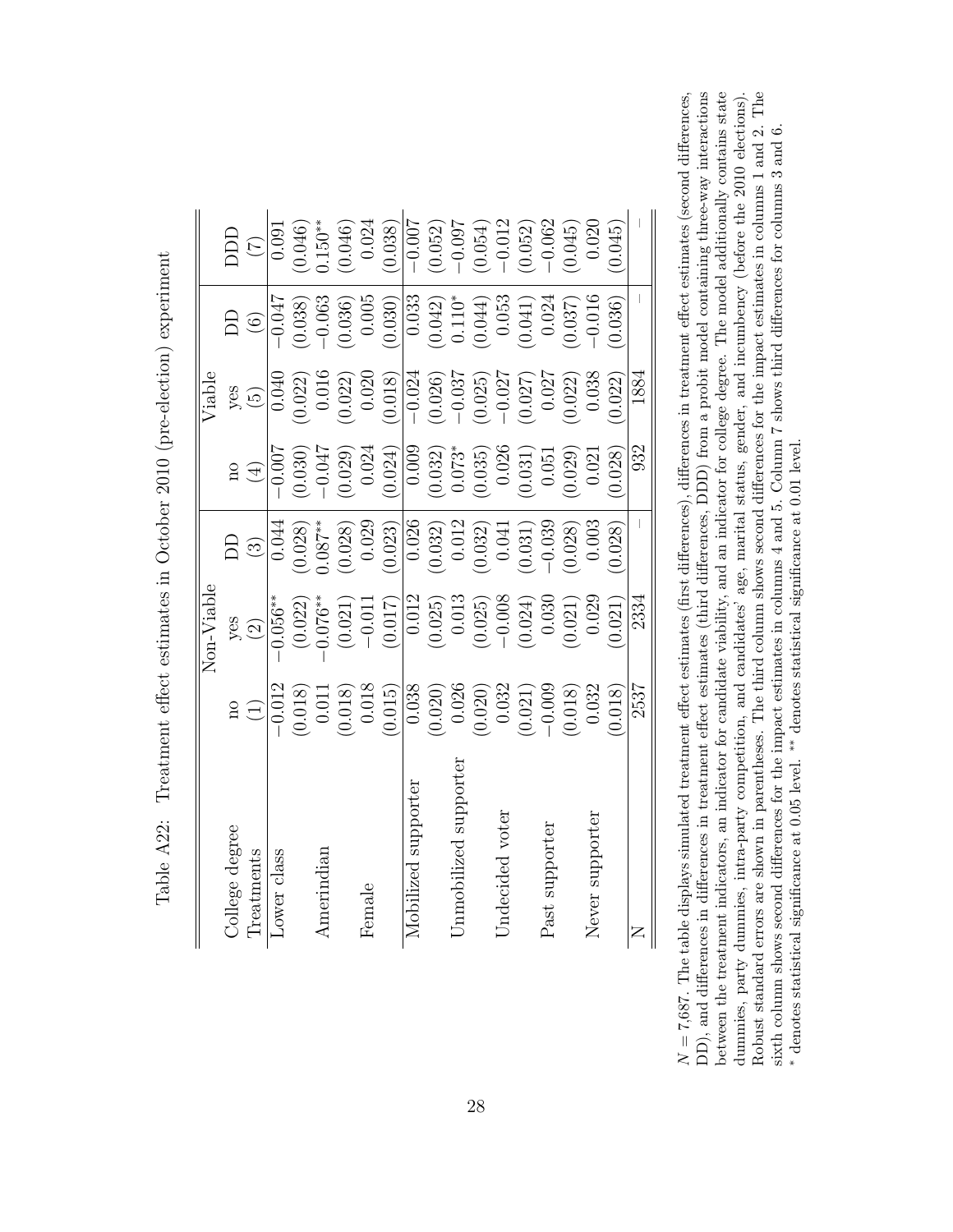| ľ<br>֧ׅ֧ׅ֧֧ׅ֧֧ׅ֧֧֧֚֚֚֚֚֚֚֚֚֚֚֚֚֚֚֚֚֚֚֚֚֚֚֚֚֚֚֚֚֚֚֡֝֜֓֝֬֜֓֝֬֜֓֝֬֝֬                                                                                                                                                                     |
|---------------------------------------------------------------------------------------------------------------------------------------------------------------------------------------------------------------------------------------|
| meelection   experiment<br>$\sim$ $\sim$ $\sim$ $\sim$ $\sim$<br>ţ                                                                                                                                                                    |
| l dinaminal includes the case of the control of the control of the control of the control of the control of the control of the control of the control of the control of the control of the control of the control of the contr<br>くりく |
|                                                                                                                                                                                                                                       |
| $\frac{1}{2}$<br>l<br>Į                                                                                                                                                                                                               |
| י<br>וו<br>ξ<br>$\frac{1}{2}$<br>.<br>.<br>.<br>I<br>ĵ<br>۱                                                                                                                                                                           |

|                       |                                                                   | $\text{Non-Value}$                        |                                                                                       |                                                                                                      | Viable                                                                                                                           |                                                                                 |                                                |
|-----------------------|-------------------------------------------------------------------|-------------------------------------------|---------------------------------------------------------------------------------------|------------------------------------------------------------------------------------------------------|----------------------------------------------------------------------------------------------------------------------------------|---------------------------------------------------------------------------------|------------------------------------------------|
| College degree        |                                                                   |                                           |                                                                                       |                                                                                                      |                                                                                                                                  |                                                                                 |                                                |
| Treatments            | $\Xi$                                                             | $yes$<br>(2)                              | $\Xi$                                                                                 | $\frac{1}{2}$                                                                                        | yes<br>(5)                                                                                                                       | $\frac{1}{6}$                                                                   | $\widehat{C}$                                  |
| class<br>Lower        | $-0.012$                                                          | $-0.056**$                                | 0.044                                                                                 | $-\underline{\overline{0.00}}$ 7                                                                     | 0.040                                                                                                                            | -0.047                                                                          | $\frac{1}{0.091}$                              |
|                       | (0.018)                                                           | (0.022)                                   | (0.028)                                                                               | $(0.030)$<br>-0.047                                                                                  | $(0.022)$<br>0.016                                                                                                               | (0.038)                                                                         |                                                |
| Amerindiar            |                                                                   | $0.076**$                                 | 0.087                                                                                 |                                                                                                      |                                                                                                                                  | $-0.063$                                                                        | $(0.046)$<br>$0.150**$                         |
|                       | $\begin{array}{c} 0.011 \\ (0.018) \\ 0.018 \\ 0.018 \end{array}$ | $(0.021)$<br>-0.011                       | $(0.028)$<br>0.029                                                                    |                                                                                                      | $(0.022)$<br>0.020                                                                                                               | $(0.036)$<br>0.005                                                              | $(0.046)$<br>0.024                             |
| Female                |                                                                   |                                           |                                                                                       |                                                                                                      |                                                                                                                                  |                                                                                 |                                                |
|                       |                                                                   | (0.017)                                   | (0.023)                                                                               | $(0.029)$<br>$(0.024)$<br>$(0.024)$<br>$(0.032)$<br>$(0.035)$<br>$(0.035)$<br>$(0.031)$<br>$(0.031)$ | (0.018)                                                                                                                          | (0.030)                                                                         | (0.038)                                        |
| Mobilized supporter   | $\frac{1}{0.038}$                                                 | 0.012                                     |                                                                                       |                                                                                                      |                                                                                                                                  |                                                                                 | $-0.007$                                       |
|                       | $(0.020)$<br>0.026                                                | $\left(0.025\right)$ $\left(0.013\right)$ |                                                                                       |                                                                                                      |                                                                                                                                  |                                                                                 |                                                |
| Jnmobilized supporter |                                                                   |                                           |                                                                                       |                                                                                                      |                                                                                                                                  |                                                                                 |                                                |
|                       |                                                                   | $(0.025)$<br>-0.008                       | $\begin{array}{c} \hline 0.026 \\ (0.032) \\ 0.012 \\ (0.032) \\ (0.032) \end{array}$ |                                                                                                      |                                                                                                                                  | $\begin{array}{c} \hline 0.033 \ 0.042) \ 0.110^* \ 0.044) \ 0.053 \end{array}$ | $(0.052)$<br>$-0.097$<br>$(0.054)$<br>$-0.012$ |
| Indecided voter       |                                                                   |                                           |                                                                                       |                                                                                                      |                                                                                                                                  |                                                                                 |                                                |
|                       | $\begin{array}{c} (0.020) \ 0.032 \ 0.021) \end{array}$           | (0.024)                                   | (0.031)                                                                               |                                                                                                      | $\begin{array}{r} \hline -0.024 \\ \hline 0.026) \\ -0.037 \\ -0.037 \\ -0.025) \\ -0.027 \\ \hline 0.027 \\ \hline \end{array}$ | 0.041                                                                           | $0.052)$<br>-0.062                             |
| Past supporter        | $-0.009$                                                          | 0.030                                     | $-0.039$                                                                              |                                                                                                      |                                                                                                                                  | 0.024                                                                           |                                                |
|                       | (0.018)                                                           | $(0.021)$<br>0.029                        | 0.028)                                                                                | $(0.029)$<br>0.021                                                                                   | $(0.022)$<br>0.038                                                                                                               | 0.037)                                                                          | (0.045)                                        |
| supporte<br>Never     | 0.032                                                             |                                           | 0.003                                                                                 |                                                                                                      |                                                                                                                                  | $-0.016$                                                                        | 0.020                                          |
|                       | 0.018)                                                            | 0.021)                                    | (0.028)                                                                               | 0.028)                                                                                               | 0.022)                                                                                                                           | 0.036)                                                                          | 0.045)                                         |
| Z                     | 2537                                                              | 2334                                      |                                                                                       | 932                                                                                                  | 1884                                                                                                                             |                                                                                 |                                                |

<span id="page-30-0"></span>Robust standard errors are shown in parentheses. The third column shows second differences for the impact estimates in columns 1 and 2. The DD), and differences in differences in treatment effect estimates (third differences, DDD) from a probit model containing three-way interactions between the treatment indicators, an indicator for candidate viability, and an indicator for college degree. The model additionally contains state  $N = 7,687$ . The table displays simulated treatment effect estimates (first differences), differences in treatment effect estimates (second differences, dummies, party dummies, intra-party competition, and candidates' age, marital status, gender, and incumbency (before the 2010 elections).  $N = 7,687$ . The table displays simulated treatment effect estimates (first differences), differences in treatment effect estimates (second differences,  $\ldots$ ,  $\ldots$ ,  $\ldots$ ,  $\ldots$ ,  $\ldots$ ,  $\ldots$ ,  $\ldots$ ,  $\ldots$ ,  $\ldots$ ,  $\ldots$ , DD), and differences in differences in treatment effect estimates (third differences, DDD) from a probit model containing three-way interactions between the treatment indicators, an indicator for candidate viability, and an indicator for college degree. The model additionally contains state dummies, party dummies, intra-party competition, and candidates' age, marital status, gender, and incumbency (before the 2010 elections). Robust standard errors are shown in parentheses. The third column shows second differences for the impact estimates in columns 1 and 2. The sixth column shows second differences for the impact estimates in columns 4 and 5. Column 7 shows third differences for columns 3 and 6. sixth column shows second differences for the impact estimates in columns 4 and 5. Column 7 shows third differences for columns 3 and 6. \* denotes statistical significance at 0.05 level. \*\* denotes statistical significance at 0.01 level. denotes statistical significance at 0.05 level. ∗∗ denotes statistical significance at 0.01 level.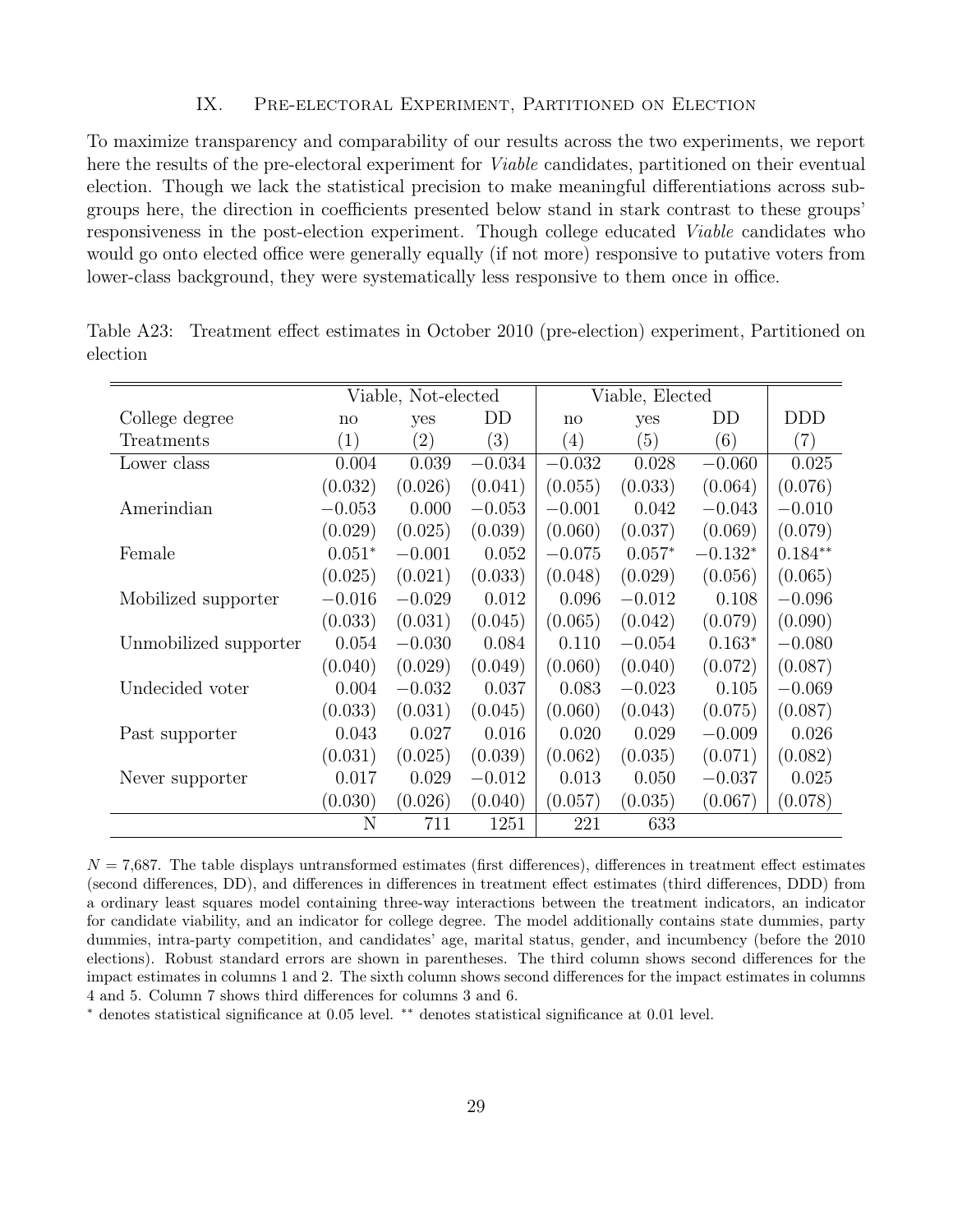### IX. Pre-electoral Experiment, Partitioned on Election

<span id="page-31-0"></span>To maximize transparency and comparability of our results across the two experiments, we report here the results of the pre-electoral experiment for Viable candidates, partitioned on their eventual election. Though we lack the statistical precision to make meaningful differentiations across subgroups here, the direction in coefficients presented below stand in stark contrast to these groups' responsiveness in the post-election experiment. Though college educated Viable candidates who would go onto elected office were generally equally (if not more) responsive to putative voters from lower-class background, they were systematically less responsive to them once in office.

|                       |          | Viable, Not-elected |          |                   | Viable, Elected |           |                   |
|-----------------------|----------|---------------------|----------|-------------------|-----------------|-----------|-------------------|
| College degree        | no       | yes                 | DD       | $\mathbf{n}$      | yes             | DD        | <b>DDD</b>        |
| Treatments            | (1)      | $\left( 2\right)$   | (3)      | $\left( 4\right)$ | (5)             | (6)       | $\left( 7\right)$ |
| Lower class           | 0.004    | 0.039               | $-0.034$ | $-0.032$          | 0.028           | $-0.060$  | 0.025             |
|                       | (0.032)  | (0.026)             | (0.041)  | (0.055)           | (0.033)         | (0.064)   | (0.076)           |
| Amerindian            | $-0.053$ | 0.000               | $-0.053$ | $-0.001$          | 0.042           | $-0.043$  | $-0.010$          |
|                       | (0.029)  | (0.025)             | (0.039)  | (0.060)           | (0.037)         | (0.069)   | (0.079)           |
| Female                | $0.051*$ | $-0.001$            | 0.052    | $-0.075$          | $0.057*$        | $-0.132*$ | $0.184**$         |
|                       | (0.025)  | (0.021)             | (0.033)  | (0.048)           | (0.029)         | (0.056)   | (0.065)           |
| Mobilized supporter   | $-0.016$ | $-0.029$            | 0.012    | 0.096             | $-0.012$        | 0.108     | $-0.096$          |
|                       | (0.033)  | (0.031)             | (0.045)  | (0.065)           | (0.042)         | (0.079)   | (0.090)           |
| Unmobilized supporter | 0.054    | $-0.030$            | 0.084    | 0.110             | $-0.054$        | $0.163*$  | $-0.080$          |
|                       | (0.040)  | (0.029)             | (0.049)  | (0.060)           | (0.040)         | (0.072)   | (0.087)           |
| Undecided voter       | 0.004    | $-0.032$            | 0.037    | 0.083             | $-0.023$        | 0.105     | $-0.069$          |
|                       | (0.033)  | (0.031)             | (0.045)  | (0.060)           | (0.043)         | (0.075)   | (0.087)           |
| Past supporter        | 0.043    | 0.027               | 0.016    | 0.020             | 0.029           | $-0.009$  | 0.026             |
|                       | (0.031)  | (0.025)             | (0.039)  | (0.062)           | (0.035)         | (0.071)   | (0.082)           |
| Never supporter       | 0.017    | 0.029               | $-0.012$ | 0.013             | 0.050           | $-0.037$  | 0.025             |
|                       | (0.030)  | (0.026)             | (0.040)  | (0.057)           | (0.035)         | (0.067)   | (0.078)           |
|                       | N        | 711                 | 1251     | 221               | 633             |           |                   |

Table A23: Treatment effect estimates in October 2010 (pre-election) experiment, Partitioned on election

 $N = 7,687$ . The table displays untransformed estimates (first differences), differences in treatment effect estimates (second differences, DD), and differences in differences in treatment effect estimates (third differences, DDD) from a ordinary least squares model containing three-way interactions between the treatment indicators, an indicator for candidate viability, and an indicator for college degree. The model additionally contains state dummies, party dummies, intra-party competition, and candidates' age, marital status, gender, and incumbency (before the 2010 elections). Robust standard errors are shown in parentheses. The third column shows second differences for the impact estimates in columns 1 and 2. The sixth column shows second differences for the impact estimates in columns 4 and 5. Column 7 shows third differences for columns 3 and 6.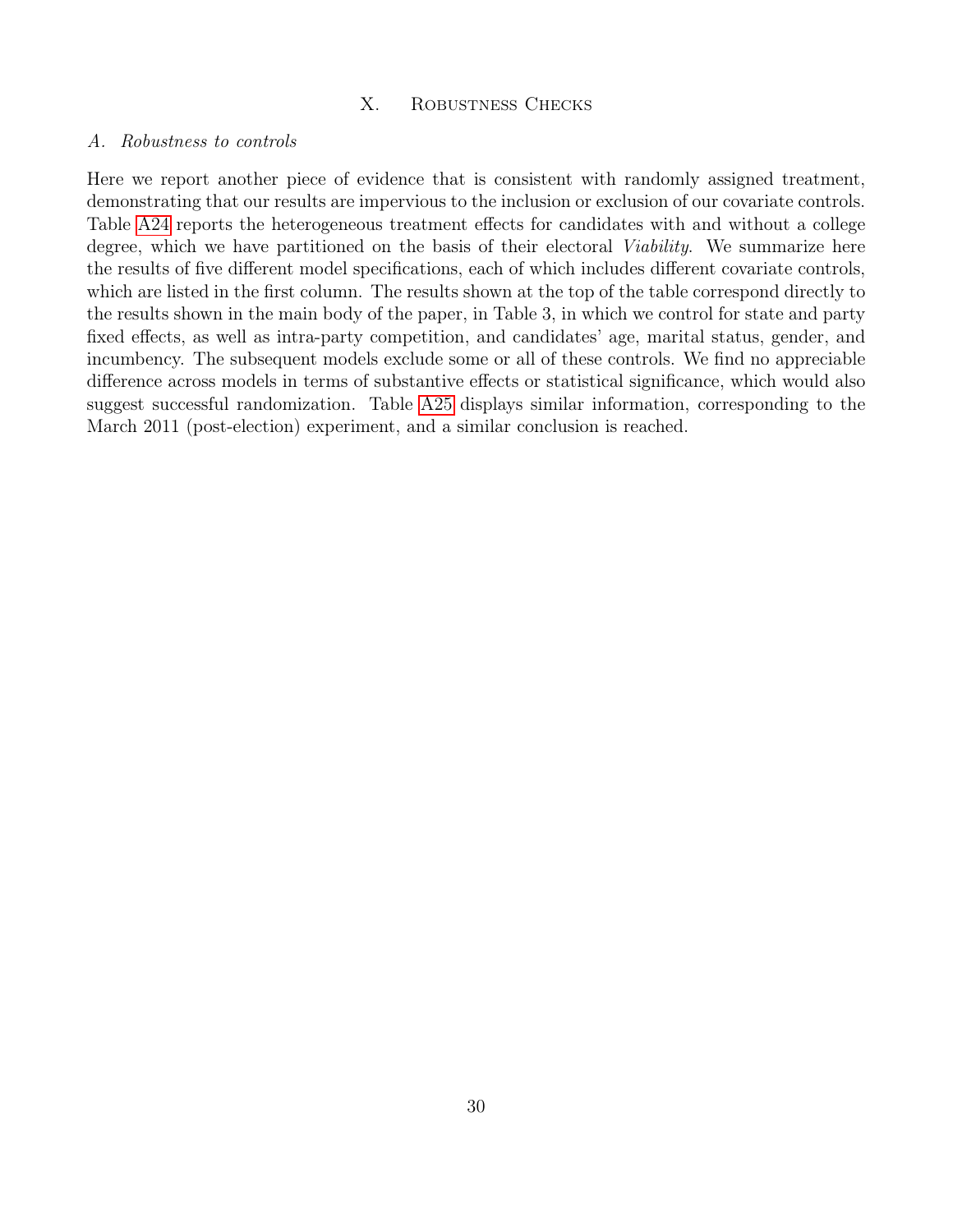# X. Robustness Checks

#### <span id="page-32-1"></span><span id="page-32-0"></span>A. Robustness to controls

Here we report another piece of evidence that is consistent with randomly assigned treatment, demonstrating that our results are impervious to the inclusion or exclusion of our covariate controls. Table [A24](#page-33-0) reports the heterogeneous treatment effects for candidates with and without a college degree, which we have partitioned on the basis of their electoral *Viability*. We summarize here the results of five different model specifications, each of which includes different covariate controls, which are listed in the first column. The results shown at the top of the table correspond directly to the results shown in the main body of the paper, in Table 3, in which we control for state and party fixed effects, as well as intra-party competition, and candidates' age, marital status, gender, and incumbency. The subsequent models exclude some or all of these controls. We find no appreciable difference across models in terms of substantive effects or statistical significance, which would also suggest successful randomization. Table [A25](#page-34-0) displays similar information, corresponding to the March 2011 (post-election) experiment, and a similar conclusion is reached.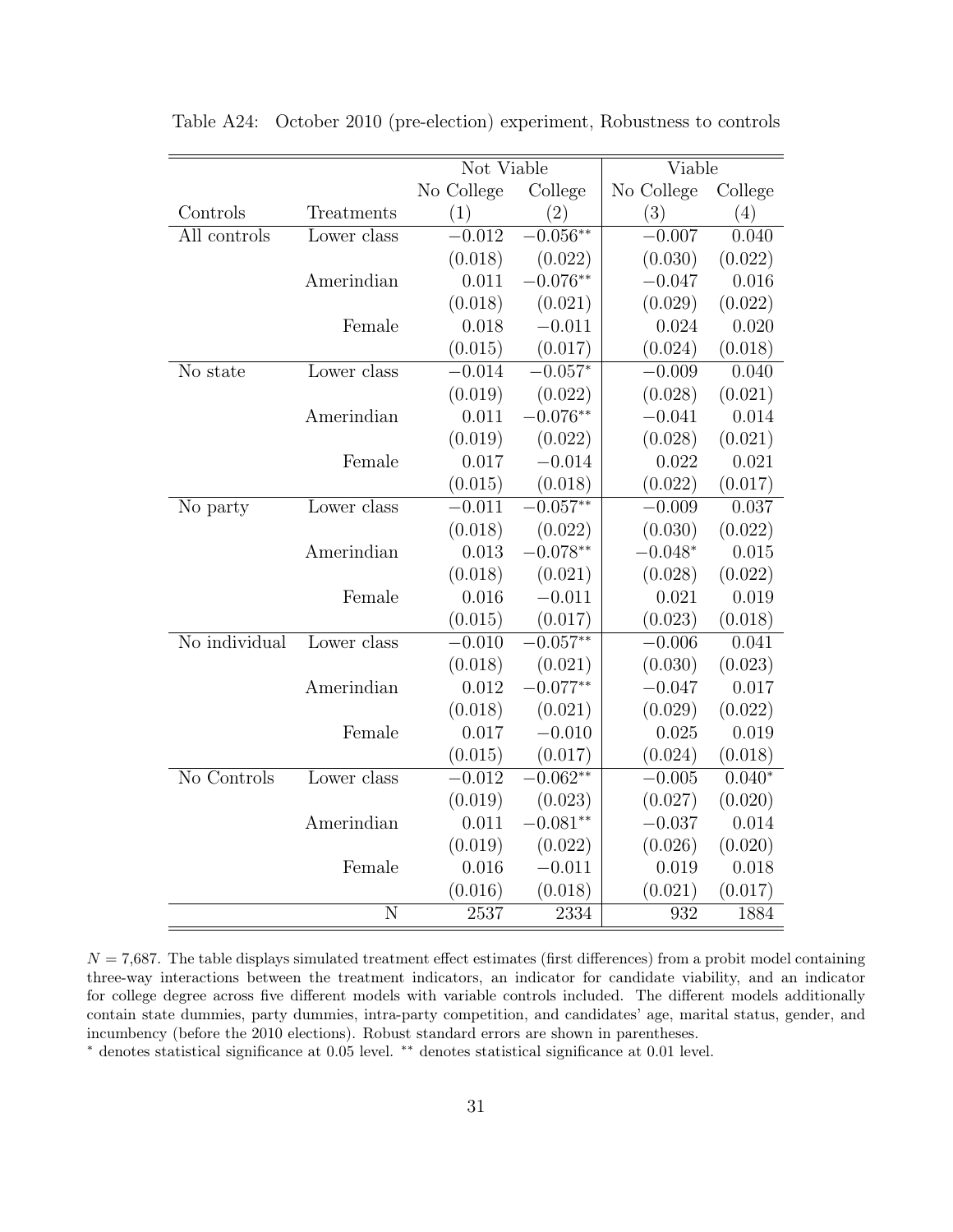|               |                | Not Viable |             | $\overline{\text{V}}$ iable |          |
|---------------|----------------|------------|-------------|-----------------------------|----------|
|               |                | No College | College     | No College                  | College  |
| Controls      | Treatments     | (1)        | (2)         | (3)                         | (4)      |
| All controls  | Lower class    | $-0.012$   | $-0.056**$  | $-0.007$                    | 0.040    |
|               |                | (0.018)    | (0.022)     | (0.030)                     | (0.022)  |
|               | Amerindian     | 0.011      | $-0.076**$  | $-0.047$                    | 0.016    |
|               |                | (0.018)    | (0.021)     | (0.029)                     | (0.022)  |
|               | Female         | 0.018      | $-0.011$    | 0.024                       | 0.020    |
|               |                | (0.015)    | (0.017)     | (0.024)                     | (0.018)  |
| No state      | Lower class    | $-0.014$   | $-0.057*$   | $-0.009$                    | 0.040    |
|               |                | (0.019)    | (0.022)     | (0.028)                     | (0.021)  |
|               | Amerindian     | 0.011      | $-0.076**$  | $-0.041$                    | 0.014    |
|               |                | (0.019)    | (0.022)     | (0.028)                     | (0.021)  |
|               | Female         | 0.017      | $-0.014$    | 0.022                       | 0.021    |
|               |                | (0.015)    | (0.018)     | (0.022)                     | (0.017)  |
| No party      | Lower class    | $-0.011$   | $-0.057**$  | $-0.009$                    | 0.037    |
|               |                | (0.018)    | (0.022)     | (0.030)                     | (0.022)  |
|               | Amerindian     | 0.013      | $-0.078**$  | $-0.048*$                   | 0.015    |
|               |                | (0.018)    | (0.021)     | (0.028)                     | (0.022)  |
|               | Female         | 0.016      | $-0.011$    | 0.021                       | 0.019    |
|               |                | (0.015)    | (0.017)     | (0.023)                     | (0.018)  |
| No individual | Lower class    | $-0.010$   | $-0.057***$ | $-0.006$                    | 0.041    |
|               |                | (0.018)    | (0.021)     | (0.030)                     | (0.023)  |
|               | Amerindian     | 0.012      | $-0.077**$  | $-0.047$                    | 0.017    |
|               |                | (0.018)    | (0.021)     | (0.029)                     | (0.022)  |
|               | Female         | 0.017      | $-0.010$    | 0.025                       | 0.019    |
|               |                | (0.015)    | (0.017)     | (0.024)                     | (0.018)  |
| No Controls   | Lower class    | $-0.012$   | $-0.062**$  | $-0.005$                    | $0.040*$ |
|               |                | (0.019)    | (0.023)     | (0.027)                     | (0.020)  |
|               | Amerindian     | 0.011      | $-0.081**$  | $-0.037$                    | 0.014    |
|               |                | (0.019)    | (0.022)     | (0.026)                     | (0.020)  |
|               | Female         | 0.016      | $-0.011$    | 0.019                       | 0.018    |
|               |                | (0.016)    | (0.018)     | (0.021)                     | (0.017)  |
|               | $\overline{N}$ | 2537       | 2334        | 932                         | 1884     |

<span id="page-33-0"></span>Table A24: October 2010 (pre-election) experiment, Robustness to controls

 $N = 7,687$ . The table displays simulated treatment effect estimates (first differences) from a probit model containing three-way interactions between the treatment indicators, an indicator for candidate viability, and an indicator for college degree across five different models with variable controls included. The different models additionally contain state dummies, party dummies, intra-party competition, and candidates' age, marital status, gender, and incumbency (before the 2010 elections). Robust standard errors are shown in parentheses.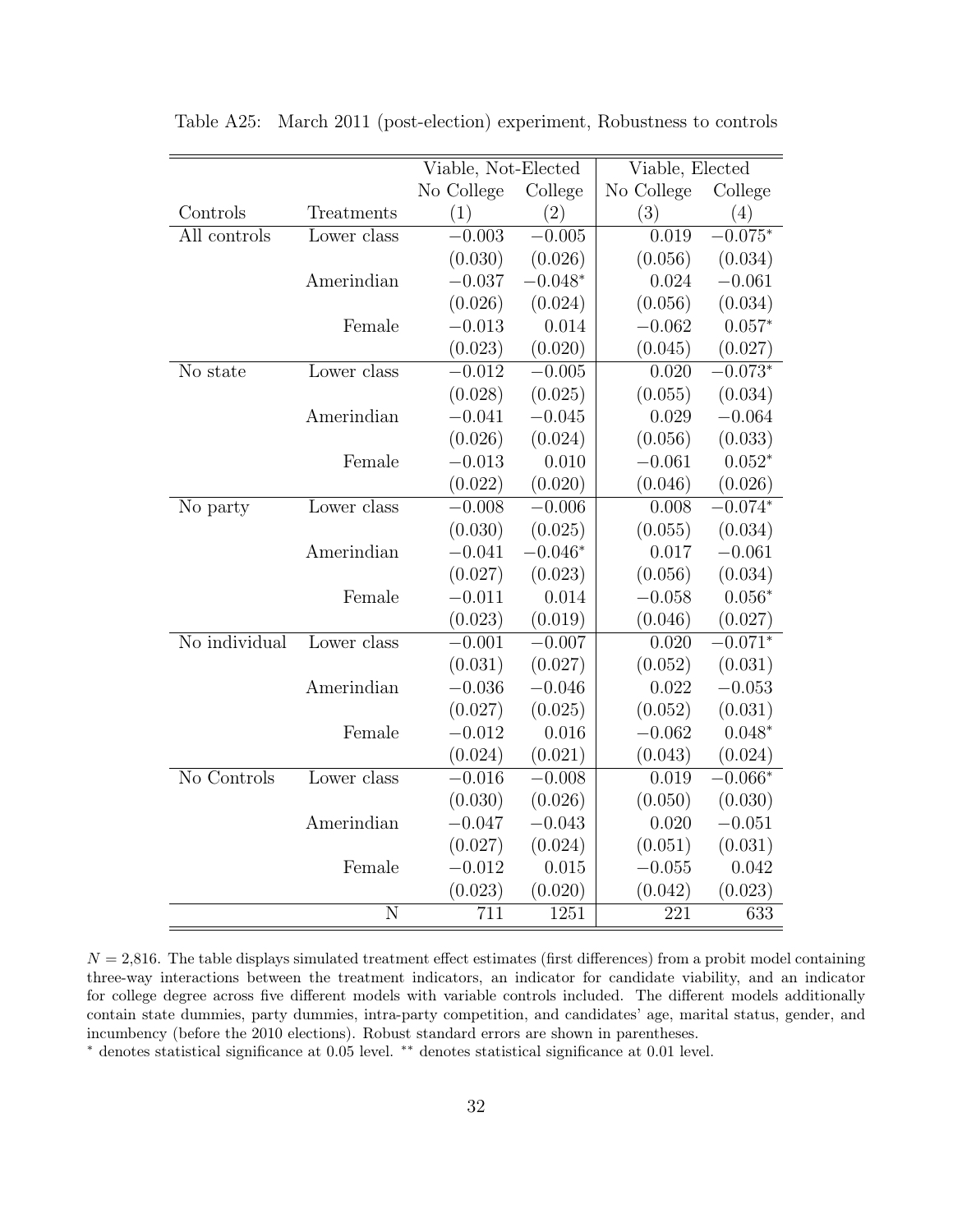|               |                | Viable, Not-Elected |           | Viable, Elected |           |
|---------------|----------------|---------------------|-----------|-----------------|-----------|
|               |                | No College          | College   | No College      | College   |
| Controls      | Treatments     | (1)                 | (2)       | (3)             | (4)       |
| All controls  | Lower class    | $-0.003$            | $-0.005$  | 0.019           | $0.075*$  |
|               |                | (0.030)             | (0.026)   | (0.056)         | (0.034)   |
|               | Amerindian     | $-0.037$            | $-0.048*$ | 0.024           | $-0.061$  |
|               |                | (0.026)             | (0.024)   | (0.056)         | (0.034)   |
|               | Female         | $-0.013$            | 0.014     | $-0.062$        | $0.057*$  |
|               |                | (0.023)             | (0.020)   | (0.045)         | (0.027)   |
| No state      | Lower class    | $-0.012$            | $-0.005$  | 0.020           | $-0.073*$ |
|               |                | (0.028)             | (0.025)   | (0.055)         | (0.034)   |
|               | Amerindian     | $-0.041$            | $-0.045$  | 0.029           | $-0.064$  |
|               |                | (0.026)             | (0.024)   | (0.056)         | (0.033)   |
|               | Female         | $-0.013$            | 0.010     | $-0.061$        | $0.052*$  |
|               |                | (0.022)             | (0.020)   | (0.046)         | (0.026)   |
| No party      | Lower class    | $-0.008$            | $-0.006$  | 0.008           | $-0.074*$ |
|               |                | (0.030)             | (0.025)   | (0.055)         | (0.034)   |
|               | Amerindian     | $-0.041$            | $-0.046*$ | 0.017           | $-0.061$  |
|               |                | (0.027)             | (0.023)   | (0.056)         | (0.034)   |
|               | Female         | $-0.011$            | 0.014     | $-0.058$        | $0.056*$  |
|               |                | (0.023)             | (0.019)   | (0.046)         | (0.027)   |
| No individual | Lower class    | $-0.001$            | $-0.007$  | 0.020           | $-0.071*$ |
|               |                | (0.031)             | (0.027)   | (0.052)         | (0.031)   |
|               | Amerindian     | $-0.036$            | $-0.046$  | 0.022           | $-0.053$  |
|               |                | (0.027)             | (0.025)   | (0.052)         | (0.031)   |
|               | Female         | $-0.012$            | 0.016     | $-0.062$        | $0.048*$  |
|               |                | (0.024)             | (0.021)   | (0.043)         | (0.024)   |
| No Controls   | Lower class    | $-0.016$            | $-0.008$  | 0.019           | $-0.066*$ |
|               |                | (0.030)             | (0.026)   | (0.050)         | (0.030)   |
|               | Amerindian     | $-0.047$            | $-0.043$  | 0.020           | $-0.051$  |
|               |                | (0.027)             | (0.024)   | (0.051)         | (0.031)   |
|               | Female         | $-0.012$            | 0.015     | $-0.055$        | 0.042     |
|               |                | (0.023)             | (0.020)   | (0.042)         | (0.023)   |
|               | $\overline{N}$ | 711                 | 1251      | 221             | 633       |

<span id="page-34-0"></span>Table A25: March 2011 (post-election) experiment, Robustness to controls

 $N = 2,816$ . The table displays simulated treatment effect estimates (first differences) from a probit model containing three-way interactions between the treatment indicators, an indicator for candidate viability, and an indicator for college degree across five different models with variable controls included. The different models additionally contain state dummies, party dummies, intra-party competition, and candidates' age, marital status, gender, and incumbency (before the 2010 elections). Robust standard errors are shown in parentheses.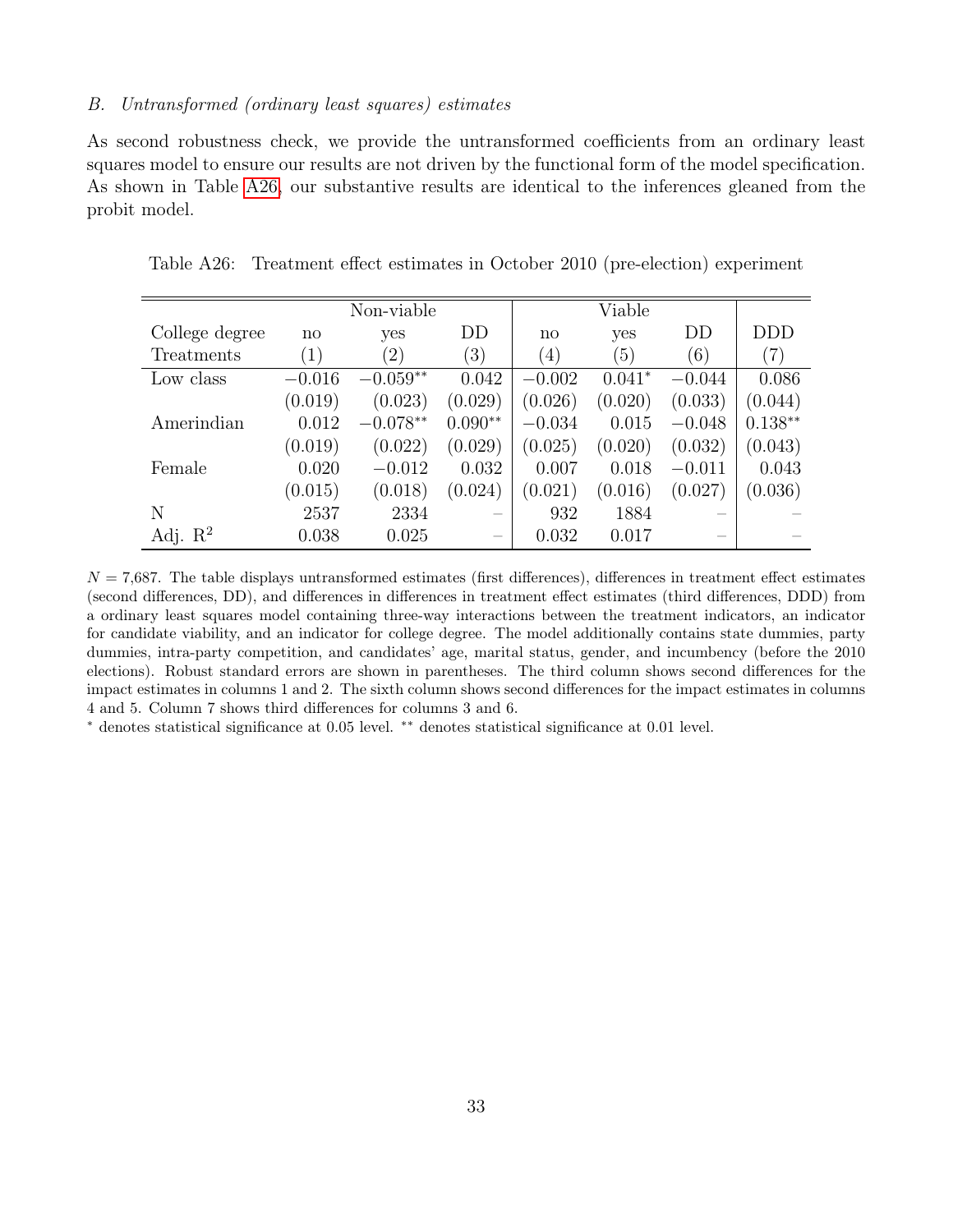# <span id="page-35-0"></span>B. Untransformed (ordinary least squares) estimates

As second robustness check, we provide the untransformed coefficients from an ordinary least squares model to ensure our results are not driven by the functional form of the model specification. As shown in Table [A26,](#page-35-1) our substantive results are identical to the inferences gleaned from the probit model.

|                     |               | Non-viable        |           |                  | Viable   |          |               |
|---------------------|---------------|-------------------|-----------|------------------|----------|----------|---------------|
| College degree      | $\mathbf{n}$  | yes               | DD        | $\mathbf{n}$     | yes      | DD       | <b>DDD</b>    |
| Treatments          | $^{\prime}1)$ | $\left( 2\right)$ | (3)       | $\left(4\right)$ | (5)      | (6)      | $^{\prime}7)$ |
| Low class           | $-0.016$      | $-0.059**$        | 0.042     | $-0.002$         | $0.041*$ | $-0.044$ | 0.086         |
|                     | (0.019)       | (0.023)           | (0.029)   | (0.026)          | (0.020)  | (0.033)  | (0.044)       |
| Amerindian          | 0.012         | $-0.078**$        | $0.090**$ | $-0.034$         | 0.015    | $-0.048$ | $0.138**$     |
|                     | (0.019)       | (0.022)           | (0.029)   | (0.025)          | (0.020)  | (0.032)  | (0.043)       |
| Female              | 0.020         | $-0.012$          | 0.032     | 0.007            | 0.018    | $-0.011$ | 0.043         |
|                     | (0.015)       | (0.018)           | (0.024)   | (0.021)          | (0.016)  | (0.027)  | (0.036)       |
| N                   | 2537          | 2334              |           | 932              | 1884     |          |               |
| Adj. $\mathbb{R}^2$ | 0.038         | 0.025             |           | 0.032            | 0.017    |          |               |

<span id="page-35-1"></span>Table A26: Treatment effect estimates in October 2010 (pre-election) experiment

 $N = 7,687$ . The table displays untransformed estimates (first differences), differences in treatment effect estimates (second differences, DD), and differences in differences in treatment effect estimates (third differences, DDD) from a ordinary least squares model containing three-way interactions between the treatment indicators, an indicator for candidate viability, and an indicator for college degree. The model additionally contains state dummies, party dummies, intra-party competition, and candidates' age, marital status, gender, and incumbency (before the 2010 elections). Robust standard errors are shown in parentheses. The third column shows second differences for the impact estimates in columns 1 and 2. The sixth column shows second differences for the impact estimates in columns 4 and 5. Column 7 shows third differences for columns 3 and 6.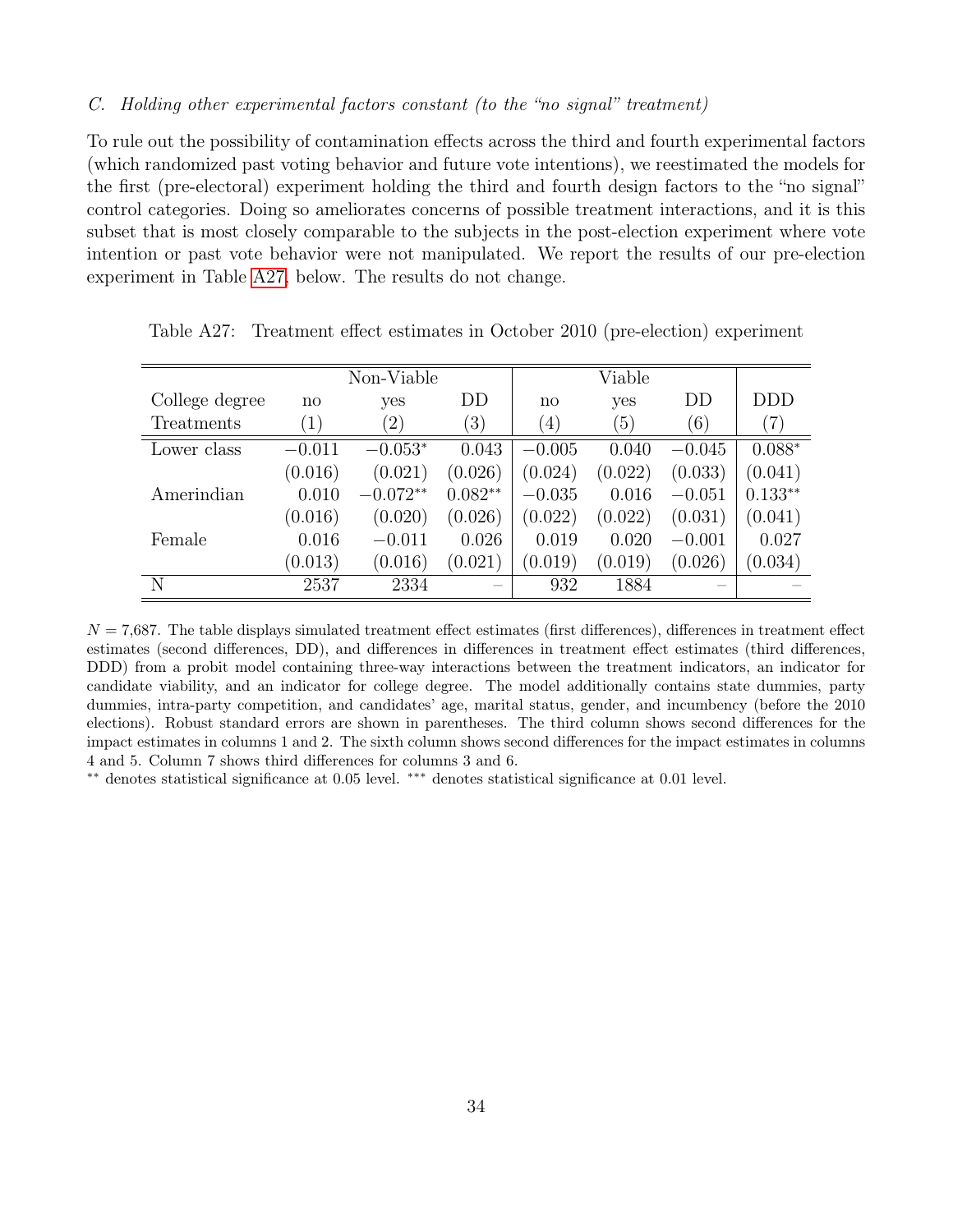## <span id="page-36-0"></span>C. Holding other experimental factors constant (to the "no signal" treatment)

To rule out the possibility of contamination effects across the third and fourth experimental factors (which randomized past voting behavior and future vote intentions), we reestimated the models for the first (pre-electoral) experiment holding the third and fourth design factors to the "no signal" control categories. Doing so ameliorates concerns of possible treatment interactions, and it is this subset that is most closely comparable to the subjects in the post-election experiment where vote intention or past vote behavior were not manipulated. We report the results of our pre-election experiment in Table [A27,](#page-36-1) below. The results do not change.

|                |                   | Non-Viable        |                  |                        | Viable  |          |                   |
|----------------|-------------------|-------------------|------------------|------------------------|---------|----------|-------------------|
| College degree | no                | yes               | DD               | $\mathbf{n}\mathbf{o}$ | yes     | DD       | DDD               |
| Treatments     | $\left( 1\right)$ | $\left( 2\right)$ | $\left(3\right)$ | $\left(4\right)$       | (5)     | (6)      | $\left( 7\right)$ |
| Lower class    | $-0.011$          | $-0.053*$         | 0.043            | $-0.005$               | 0.040   | $-0.045$ | $0.088*$          |
|                | (0.016)           | (0.021)           | (0.026)          | (0.024)                | (0.022) | (0.033)  | (0.041)           |
| Amerindian     | 0.010             | $-0.072**$        | $0.082**$        | $-0.035$               | 0.016   | $-0.051$ | $0.133**$         |
|                | (0.016)           | (0.020)           | (0.026)          | (0.022)                | (0.022) | (0.031)  | (0.041)           |
| Female         | 0.016             | $-0.011$          | 0.026            | 0.019                  | 0.020   | $-0.001$ | 0.027             |
|                | (0.013)           | (0.016)           | (0.021)          | (0.019)                | (0.019) | (0.026)  | (0.034)           |
| N              | 2537              | 2334              |                  | 932                    | 1884    |          |                   |

<span id="page-36-1"></span>Table A27: Treatment effect estimates in October 2010 (pre-election) experiment

 $N = 7,687$ . The table displays simulated treatment effect estimates (first differences), differences in treatment effect estimates (second differences, DD), and differences in differences in treatment effect estimates (third differences, DDD) from a probit model containing three-way interactions between the treatment indicators, an indicator for candidate viability, and an indicator for college degree. The model additionally contains state dummies, party dummies, intra-party competition, and candidates' age, marital status, gender, and incumbency (before the 2010 elections). Robust standard errors are shown in parentheses. The third column shows second differences for the impact estimates in columns 1 and 2. The sixth column shows second differences for the impact estimates in columns 4 and 5. Column 7 shows third differences for columns 3 and 6.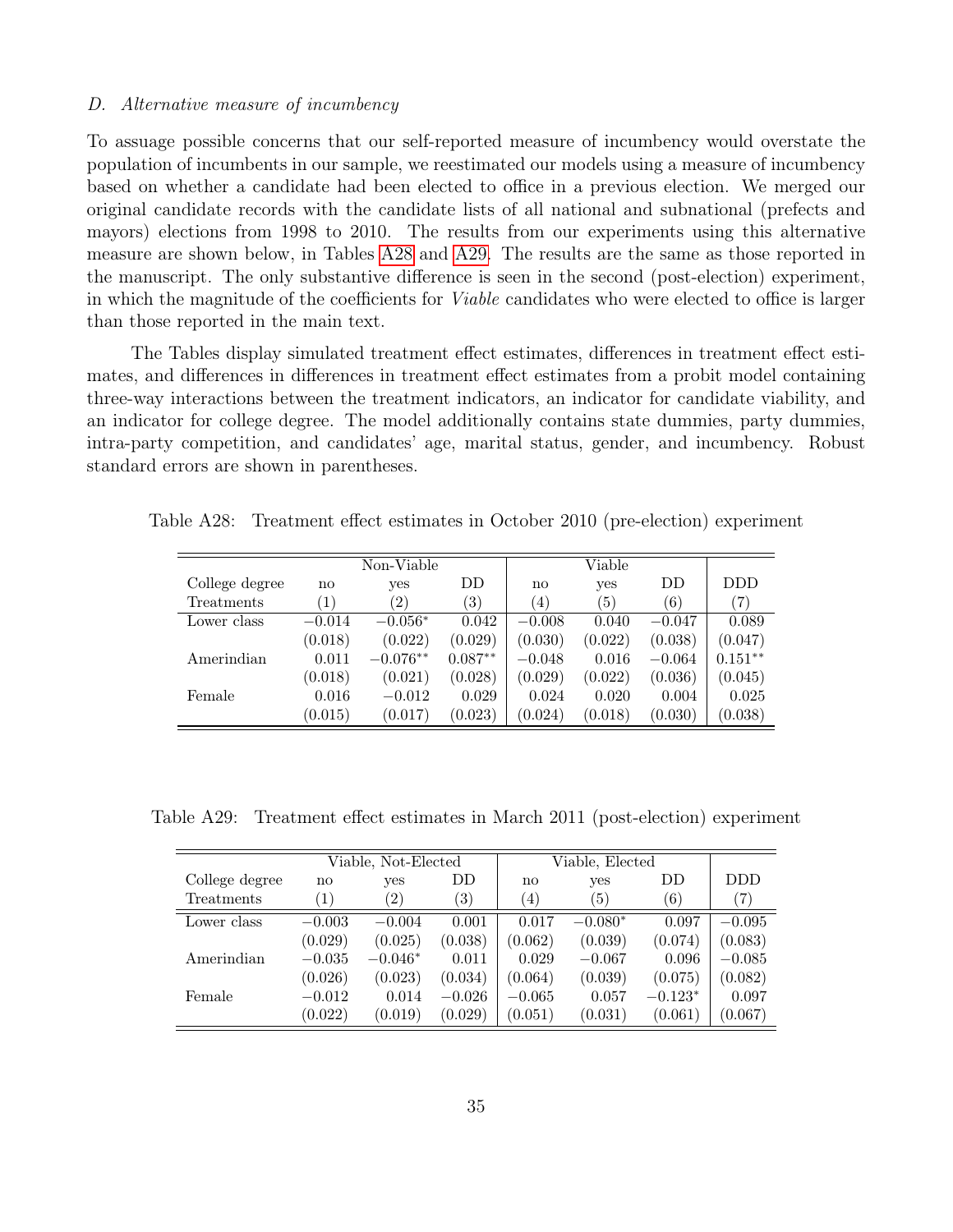#### <span id="page-37-0"></span>D. Alternative measure of incumbency

To assuage possible concerns that our self-reported measure of incumbency would overstate the population of incumbents in our sample, we reestimated our models using a measure of incumbency based on whether a candidate had been elected to office in a previous election. We merged our original candidate records with the candidate lists of all national and subnational (prefects and mayors) elections from 1998 to 2010. The results from our experiments using this alternative measure are shown below, in Tables [A28](#page-37-1) and [A29.](#page-37-2) The results are the same as those reported in the manuscript. The only substantive difference is seen in the second (post-election) experiment, in which the magnitude of the coefficients for Viable candidates who were elected to office is larger than those reported in the main text.

The Tables display simulated treatment effect estimates, differences in treatment effect estimates, and differences in differences in treatment effect estimates from a probit model containing three-way interactions between the treatment indicators, an indicator for candidate viability, and an indicator for college degree. The model additionally contains state dummies, party dummies, intra-party competition, and candidates' age, marital status, gender, and incumbency. Robust standard errors are shown in parentheses.

Table A28: Treatment effect estimates in October 2010 (pre-election) experiment

<span id="page-37-1"></span>

|                |               | Non-Viable    |           |                        | Viable  |          |                   |
|----------------|---------------|---------------|-----------|------------------------|---------|----------|-------------------|
| College degree | $\mathbf{no}$ | yes           | DD        | $\mathbf{n}\mathbf{o}$ | yes     | DD       | <b>DDD</b>        |
| Treatments     | (1)           | $^{\prime}2)$ | (3)       | (4)                    | 5)      | (6)      | $\left( 7\right)$ |
| Lower class    | $-0.014$      | $-0.056*$     | 0.042     | $-0.008$               | 0.040   | $-0.047$ | 0.089             |
|                | (0.018)       | (0.022)       | (0.029)   | (0.030)                | (0.022) | (0.038)  | (0.047)           |
| Amerindian     | 0.011         | $-0.076**$    | $0.087**$ | $-0.048$               | 0.016   | $-0.064$ | $0.151***$        |
|                | (0.018)       | (0.021)       | (0.028)   | (0.029)                | (0.022) | (0.036)  | (0.045)           |
| Female         | 0.016         | $-0.012$      | 0.029     | 0.024                  | 0.020   | 0.004    | 0.025             |
|                | (0.015)       | (0.017)       | (0.023)   | (0.024)                | (0.018) | (0.030)  | (0.038)           |

Table A29: Treatment effect estimates in March 2011 (post-election) experiment

<span id="page-37-2"></span>

|                |                        | Viable, Not-Elected |          |              | Viable, Elected |           |          |
|----------------|------------------------|---------------------|----------|--------------|-----------------|-----------|----------|
| College degree | $\mathbf{n}\mathbf{o}$ | yes                 | DD       | $\mathbf{n}$ | yes             | DD        | DDD.     |
| Treatments     | (1)                    | $\left( 2\right)$   | (3)      | (4)          | 5)              | (6)       | (7)      |
| Lower class    | $-0.003$               | $-0.004$            | 0.001    | 0.017        | $-0.080*$       | 0.097     | $-0.095$ |
|                | (0.029)                | (0.025)             | (0.038)  | (0.062)      | (0.039)         | (0.074)   | (0.083)  |
| Amerindian     | $-0.035$               | $-0.046*$           | 0.011    | 0.029        | $-0.067$        | 0.096     | $-0.085$ |
|                | (0.026)                | (0.023)             | (0.034)  | (0.064)      | (0.039)         | (0.075)   | (0.082)  |
| Female         | $-0.012$               | 0.014               | $-0.026$ | $-0.065$     | 0.057           | $-0.123*$ | 0.097    |
|                | (0.022)                | (0.019)             | (0.029)  | (0.051)      | (0.031)         | (0.061)   | (0.067)  |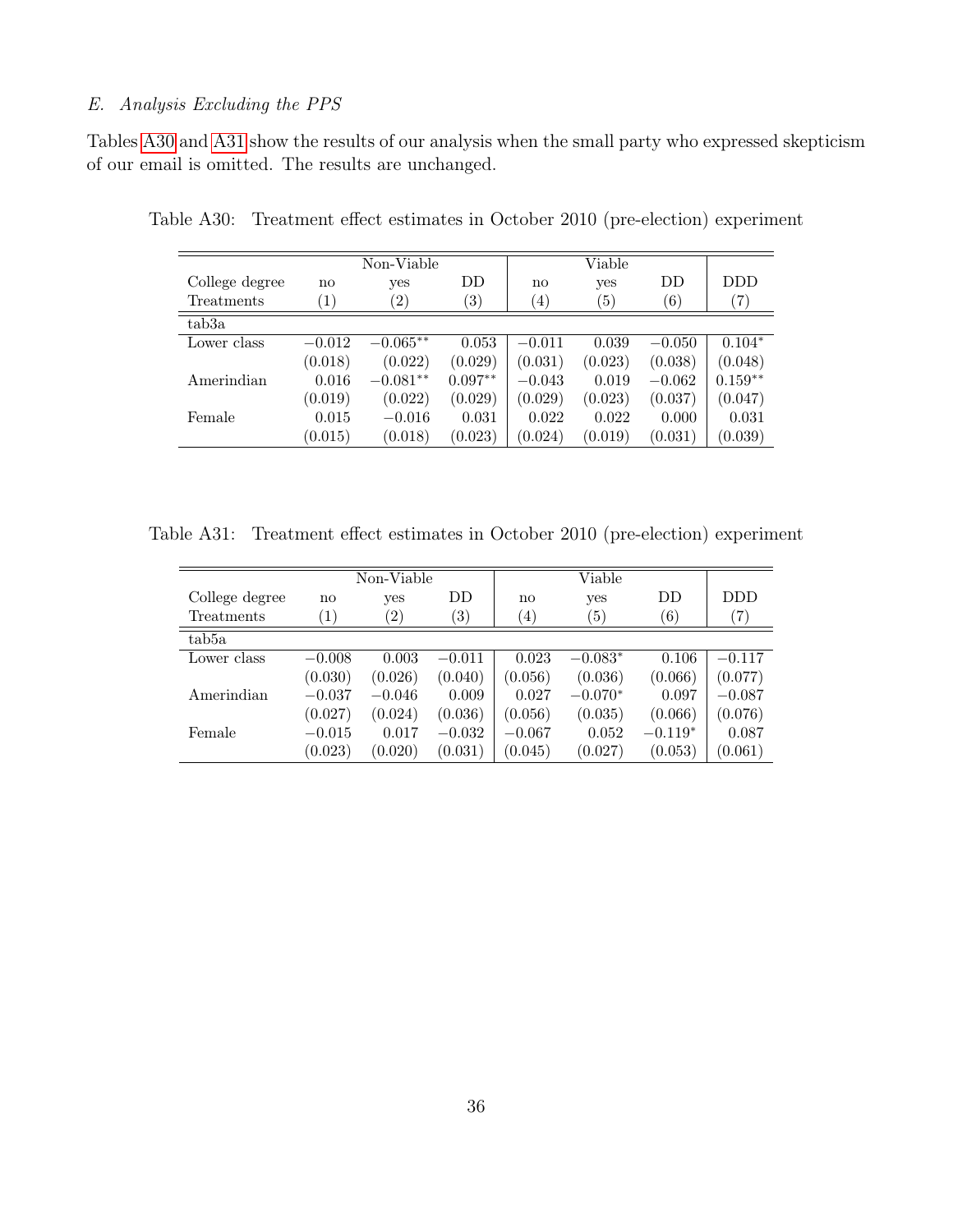# <span id="page-38-0"></span>E. Analysis Excluding the PPS

Tables [A30](#page-38-1) and [A31](#page-38-2) show the results of our analysis when the small party who expressed skepticism of our email is omitted. The results are unchanged.

<span id="page-38-1"></span>

|                    |                   | Non-Viable        |                   |                   | Viable  |          |                   |
|--------------------|-------------------|-------------------|-------------------|-------------------|---------|----------|-------------------|
| College degree     | no                | yes               | DD                | $\mathbf{no}$     | yes     | DD       | <b>DDD</b>        |
| Treatments         | $\left( 1\right)$ | $\left( 2\right)$ | $\left( 3\right)$ | $\left( 4\right)$ | (5)     | (6)      | $\left( 7\right)$ |
| tab <sub>3</sub> a |                   |                   |                   |                   |         |          |                   |
| Lower class        | $-0.012$          | $-0.065**$        | 0.053             | $-0.011$          | 0.039   | $-0.050$ | $0.104*$          |
|                    | (0.018)           | (0.022)           | (0.029)           | (0.031)           | (0.023) | (0.038)  | (0.048)           |
| Amerindian         | 0.016             | $-0.081**$        | $0.097**$         | $-0.043$          | 0.019   | $-0.062$ | $0.159**$         |
|                    | (0.019)           | (0.022)           | (0.029)           | (0.029)           | (0.023) | (0.037)  | (0.047)           |
| Female             | 0.015             | $-0.016$          | 0.031             | 0.022             | 0.022   | 0.000    | 0.031             |
|                    | (0.015)           | (0.018)           | (0.023)           | (0.024)           | (0.019) | (0.031)  | (0.039)           |

Table A30: Treatment effect estimates in October 2010 (pre-election) experiment

Table A31: Treatment effect estimates in October 2010 (pre-election) experiment

<span id="page-38-2"></span>

|                |                        | Non-Viable        |                   |                        | Viable            |                  |                   |
|----------------|------------------------|-------------------|-------------------|------------------------|-------------------|------------------|-------------------|
| College degree | $\mathbf{n}\mathbf{o}$ | yes               | DD.               | $\mathbf{n}\mathbf{o}$ | yes               | DD               | <b>DDD</b>        |
| Treatments     | $\left(1\right)$       | $\left( 2\right)$ | $\left( 3\right)$ | $^{(4)}$               | $\left( 5\right)$ | $\left(6\right)$ | $\left( 7\right)$ |
| tab5a          |                        |                   |                   |                        |                   |                  |                   |
| Lower class    | $-0.008$               | 0.003             | $-0.011$          | 0.023                  | $-0.083*$         | 0.106            | $-0.117$          |
|                | (0.030)                | (0.026)           | (0.040)           | (0.056)                | (0.036)           | (0.066)          | (0.077)           |
| Amerindian     | $-0.037$               | $-0.046$          | 0.009             | 0.027                  | $-0.070*$         | 0.097            | $-0.087$          |
|                | (0.027)                | (0.024)           | (0.036)           | (0.056)                | (0.035)           | (0.066)          | (0.076)           |
| Female         | $-0.015$               | 0.017             | $-0.032$          | $-0.067$               | 0.052             | $-0.119*$        | 0.087             |
|                | (0.023)                | (0.020)           | (0.031)           | (0.045)                | (0.027)           | (0.053)          | (0.061)           |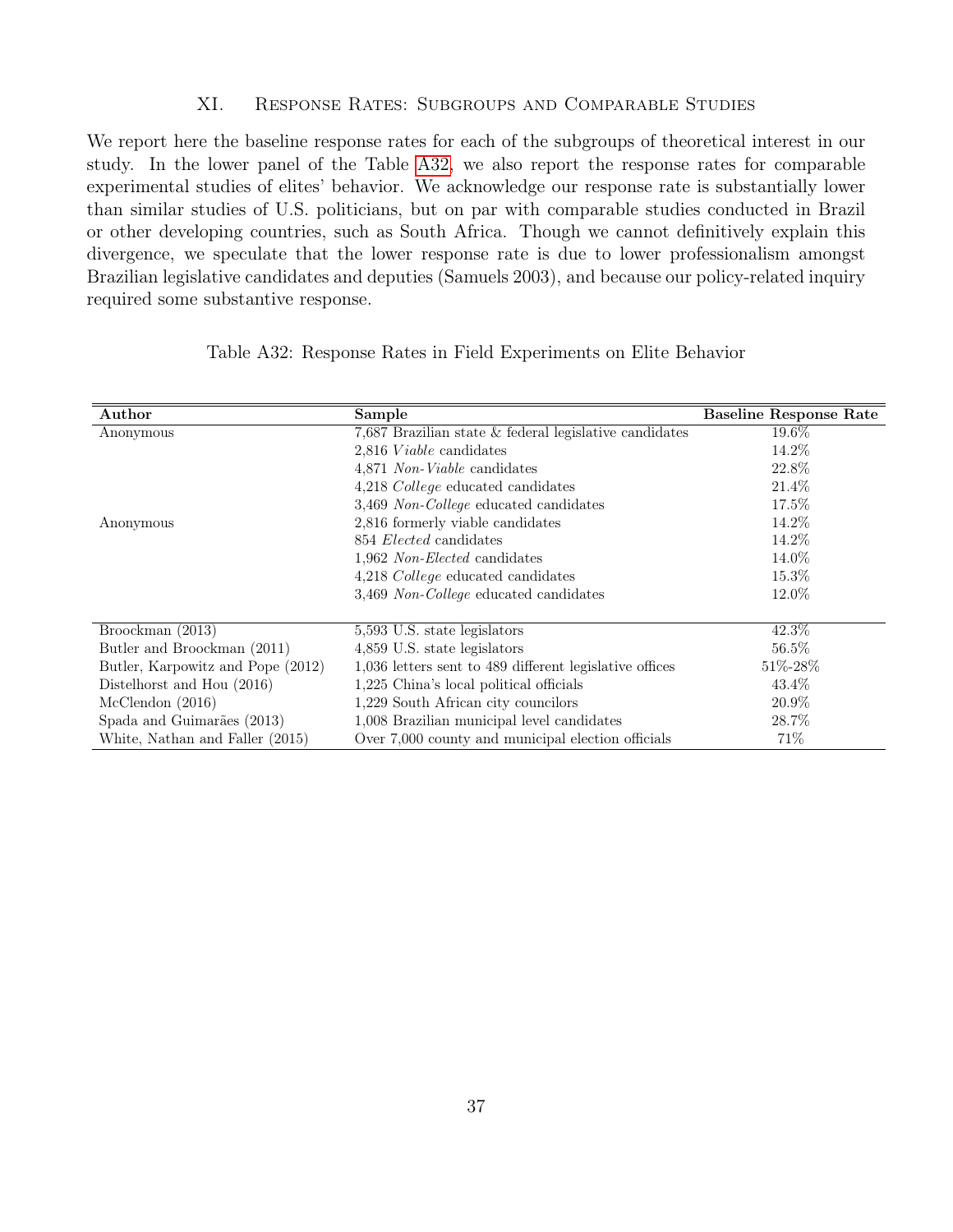## XI. Response Rates: Subgroups and Comparable Studies

<span id="page-39-0"></span>We report here the baseline response rates for each of the subgroups of theoretical interest in our study. In the lower panel of the Table [A32,](#page-39-1) we also report the response rates for comparable experimental studies of elites' behavior. We acknowledge our response rate is substantially lower than similar studies of U.S. politicians, but on par with comparable studies conducted in Brazil or other developing countries, such as South Africa. Though we cannot definitively explain this divergence, we speculate that the lower response rate is due to lower professionalism amongst Brazilian legislative candidates and deputies (Samuels 2003), and because our policy-related inquiry required some substantive response.

| Author                            | Sample                                                   | Baseline Response Rate |
|-----------------------------------|----------------------------------------------------------|------------------------|
| Anonymous                         | 7,687 Brazilian state $&$ federal legislative candidates | 19.6%                  |
|                                   | 2,816 Viable candidates                                  | 14.2\%                 |
|                                   | 4,871 Non-Viable candidates                              | 22.8%                  |
|                                   | 4,218 College educated candidates                        | 21.4\%                 |
|                                   | 3,469 Non-College educated candidates                    | 17.5%                  |
| Anonymous                         | 2,816 formerly viable candidates                         | 14.2\%                 |
|                                   | 854 Elected candidates                                   | 14.2\%                 |
|                                   | 1,962 Non-Elected candidates                             | 14.0%                  |
|                                   | 4,218 College educated candidates                        | 15.3%                  |
|                                   | 3,469 Non-College educated candidates                    | 12.0%                  |
|                                   |                                                          |                        |
| Broockman (2013)                  | 5,593 U.S. state legislators                             | 42.3\%                 |
| Butler and Broockman (2011)       | 4,859 U.S. state legislators                             | 56.5%                  |
| Butler, Karpowitz and Pope (2012) | 1,036 letters sent to 489 different legislative offices  | 51\%-28\%              |
| Distelhorst and Hou (2016)        | 1,225 China's local political officials                  | 43.4\%                 |
| McClendon(2016)                   | 1,229 South African city councilors                      | 20.9%                  |
| Spada and Guimarães (2013)        | 1,008 Brazilian municipal level candidates               | 28.7%                  |
| White, Nathan and Faller (2015)   | Over 7,000 county and municipal election officials       | 71\%                   |

<span id="page-39-1"></span>

| Table A32: Response Rates in Field Experiments on Elite Behavior |  |  |  |  |  |
|------------------------------------------------------------------|--|--|--|--|--|
|                                                                  |  |  |  |  |  |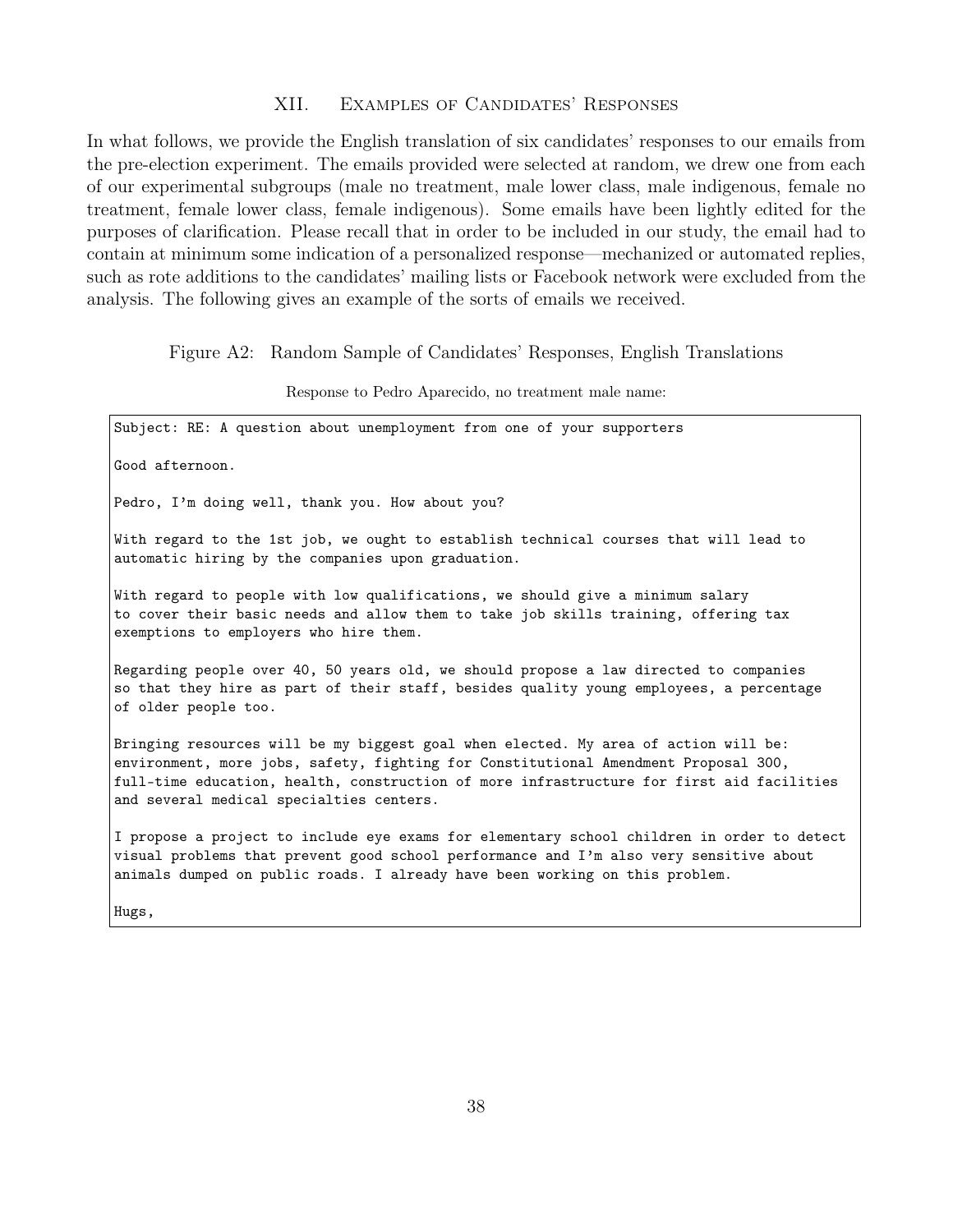# XII. Examples of Candidates' Responses

<span id="page-40-0"></span>In what follows, we provide the English translation of six candidates' responses to our emails from the pre-election experiment. The emails provided were selected at random, we drew one from each of our experimental subgroups (male no treatment, male lower class, male indigenous, female no treatment, female lower class, female indigenous). Some emails have been lightly edited for the purposes of clarification. Please recall that in order to be included in our study, the email had to contain at minimum some indication of a personalized response—mechanized or automated replies, such as rote additions to the candidates' mailing lists or Facebook network were excluded from the analysis. The following gives an example of the sorts of emails we received.

Figure A2: Random Sample of Candidates' Responses, English Translations

#### Response to Pedro Aparecido, no treatment male name:

| Subject: RE: A question about unemployment from one of your supporters                                                                                                                                                                                                                                              |  |
|---------------------------------------------------------------------------------------------------------------------------------------------------------------------------------------------------------------------------------------------------------------------------------------------------------------------|--|
| Good afternoon.                                                                                                                                                                                                                                                                                                     |  |
| Pedro, I'm doing well, thank you. How about you?                                                                                                                                                                                                                                                                    |  |
| With regard to the 1st job, we ought to establish technical courses that will lead to<br>automatic hiring by the companies upon graduation.                                                                                                                                                                         |  |
| With regard to people with low qualifications, we should give a minimum salary<br>to cover their basic needs and allow them to take job skills training, offering tax<br>exemptions to employers who hire them.                                                                                                     |  |
| Regarding people over 40, 50 years old, we should propose a law directed to companies<br>so that they hire as part of their staff, besides quality young employees, a percentage<br>of older people too.                                                                                                            |  |
| Bringing resources will be my biggest goal when elected. My area of action will be:<br>environment, more jobs, safety, fighting for Constitutional Amendment Proposal 300,<br>full-time education, health, construction of more infrastructure for first aid facilities<br>and several medical specialties centers. |  |
| I propose a project to include eye exams for elementary school children in order to detect<br>wigual problems that prevent good school performance and I'm also very sensitive about                                                                                                                                |  |

visual problems that prevent good school performance and I'm also very sensitive about animals dumped on public roads. I already have been working on this problem.

Hugs,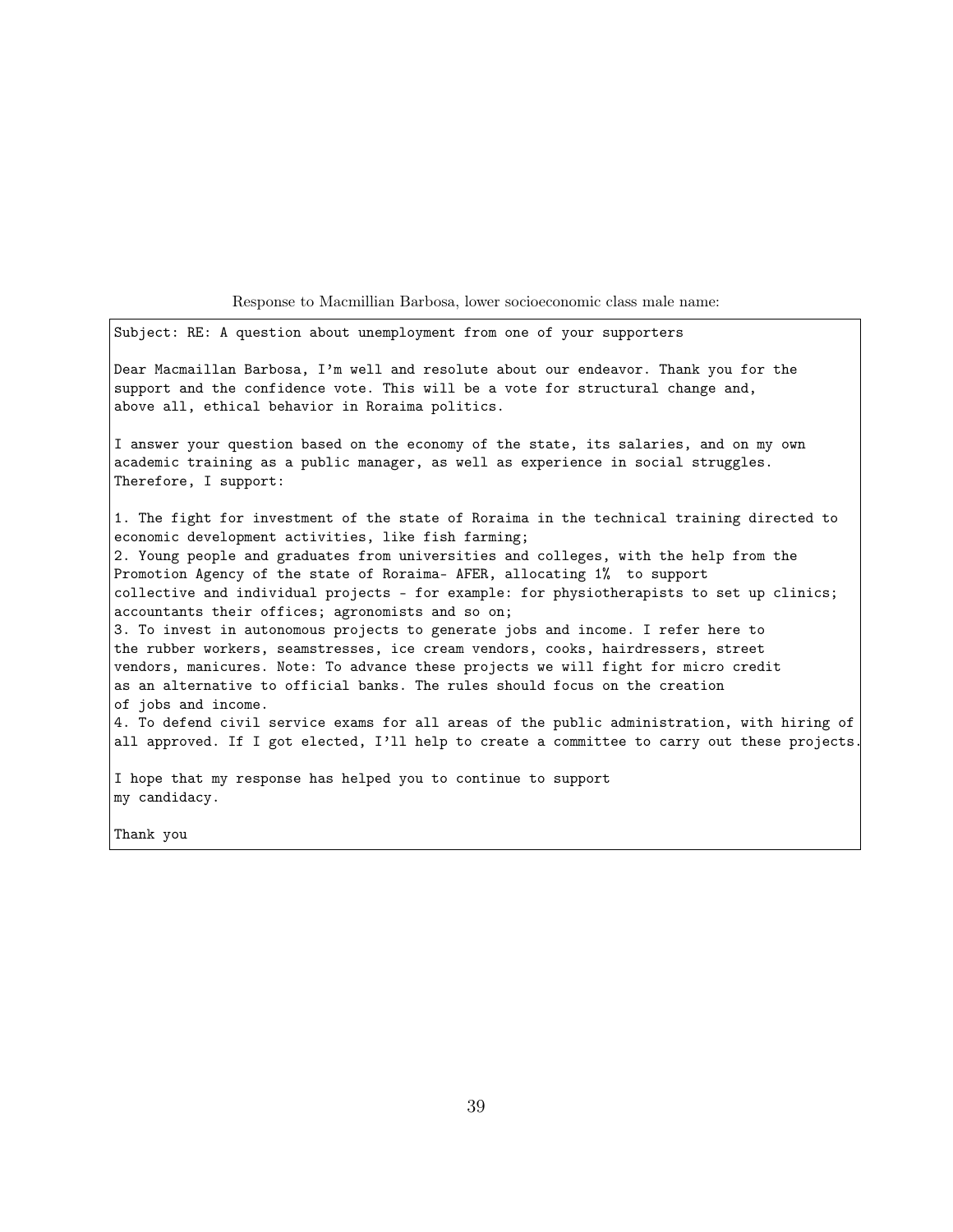Response to Macmillian Barbosa, lower socioeconomic class male name:

Subject: RE: A question about unemployment from one of your supporters

Dear Macmaillan Barbosa, I'm well and resolute about our endeavor. Thank you for the support and the confidence vote. This will be a vote for structural change and, above all, ethical behavior in Roraima politics.

I answer your question based on the economy of the state, its salaries, and on my own academic training as a public manager, as well as experience in social struggles. Therefore, I support:

1. The fight for investment of the state of Roraima in the technical training directed to economic development activities, like fish farming; 2. Young people and graduates from universities and colleges, with the help from the Promotion Agency of the state of Roraima- AFER, allocating 1% to support collective and individual projects - for example: for physiotherapists to set up clinics; accountants their offices; agronomists and so on; 3. To invest in autonomous projects to generate jobs and income. I refer here to the rubber workers, seamstresses, ice cream vendors, cooks, hairdressers, street vendors, manicures. Note: To advance these projects we will fight for micro credit as an alternative to official banks. The rules should focus on the creation

of jobs and income. 4. To defend civil service exams for all areas of the public administration, with hiring of all approved. If I got elected, I'll help to create a committee to carry out these projects.

I hope that my response has helped you to continue to support my candidacy.

Thank you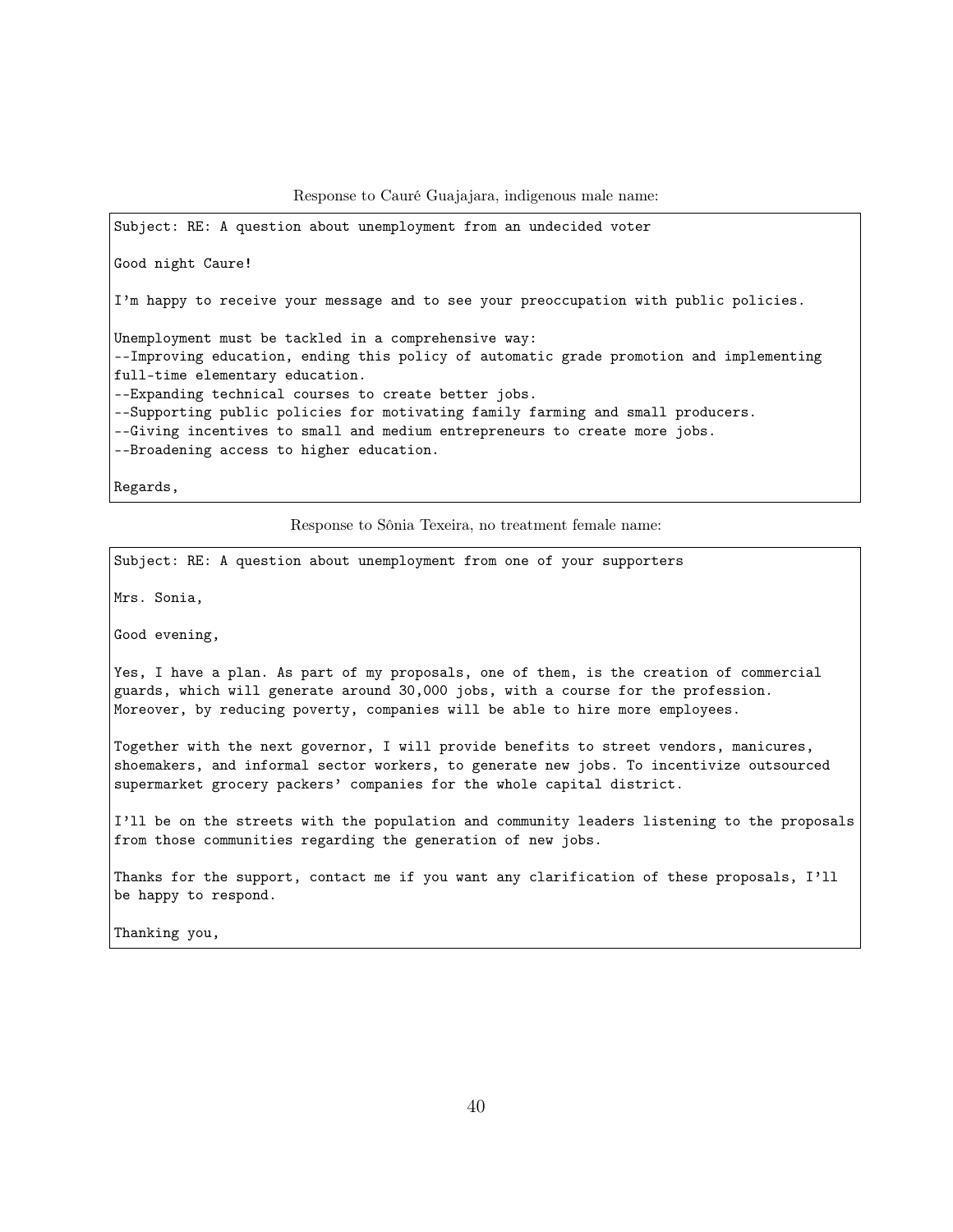Response to Cauré Guajajara, indigenous male name:

Subject: RE: A question about unemployment from an undecided voter Good night Caure! I'm happy to receive your message and to see your preoccupation with public policies. Unemployment must be tackled in a comprehensive way: --Improving education, ending this policy of automatic grade promotion and implementing full-time elementary education. --Expanding technical courses to create better jobs. --Supporting public policies for motivating family farming and small producers. --Giving incentives to small and medium entrepreneurs to create more jobs. --Broadening access to higher education. Regards,

Response to Sônia Texeira, no treatment female name:

Subject: RE: A question about unemployment from one of your supporters

Mrs. Sonia,

Good evening,

Yes, I have a plan. As part of my proposals, one of them, is the creation of commercial guards, which will generate around 30,000 jobs, with a course for the profession. Moreover, by reducing poverty, companies will be able to hire more employees.

Together with the next governor, I will provide benefits to street vendors, manicures, shoemakers, and informal sector workers, to generate new jobs. To incentivize outsourced supermarket grocery packers' companies for the whole capital district.

I'll be on the streets with the population and community leaders listening to the proposals from those communities regarding the generation of new jobs.

Thanks for the support, contact me if you want any clarification of these proposals, I'll be happy to respond.

Thanking you,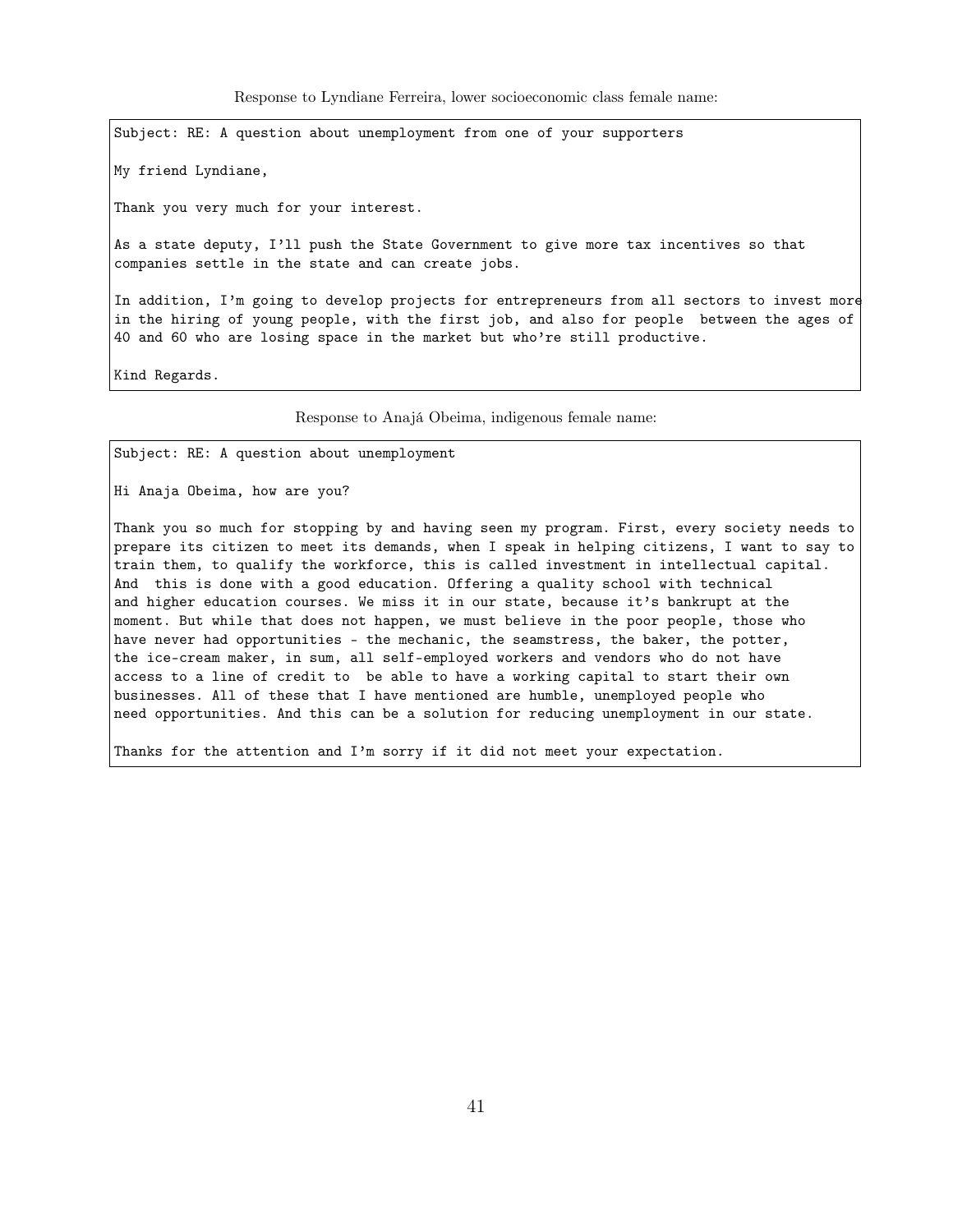Response to Lyndiane Ferreira, lower socioeconomic class female name:

Subject: RE: A question about unemployment from one of your supporters

My friend Lyndiane,

Thank you very much for your interest.

As a state deputy, I'll push the State Government to give more tax incentives so that companies settle in the state and can create jobs.

In addition, I'm going to develop projects for entrepreneurs from all sectors to invest more in the hiring of young people, with the first job, and also for people between the ages of 40 and 60 who are losing space in the market but who're still productive.

Kind Regards.

Response to Anajá Obeima, indigenous female name:

Subject: RE: A question about unemployment

Hi Anaja Obeima, how are you?

Thank you so much for stopping by and having seen my program. First, every society needs to prepare its citizen to meet its demands, when I speak in helping citizens, I want to say to train them, to qualify the workforce, this is called investment in intellectual capital. And this is done with a good education. Offering a quality school with technical and higher education courses. We miss it in our state, because it's bankrupt at the moment. But while that does not happen, we must believe in the poor people, those who have never had opportunities - the mechanic, the seamstress, the baker, the potter, the ice-cream maker, in sum, all self-employed workers and vendors who do not have access to a line of credit to be able to have a working capital to start their own businesses. All of these that I have mentioned are humble, unemployed people who need opportunities. And this can be a solution for reducing unemployment in our state.

Thanks for the attention and I'm sorry if it did not meet your expectation.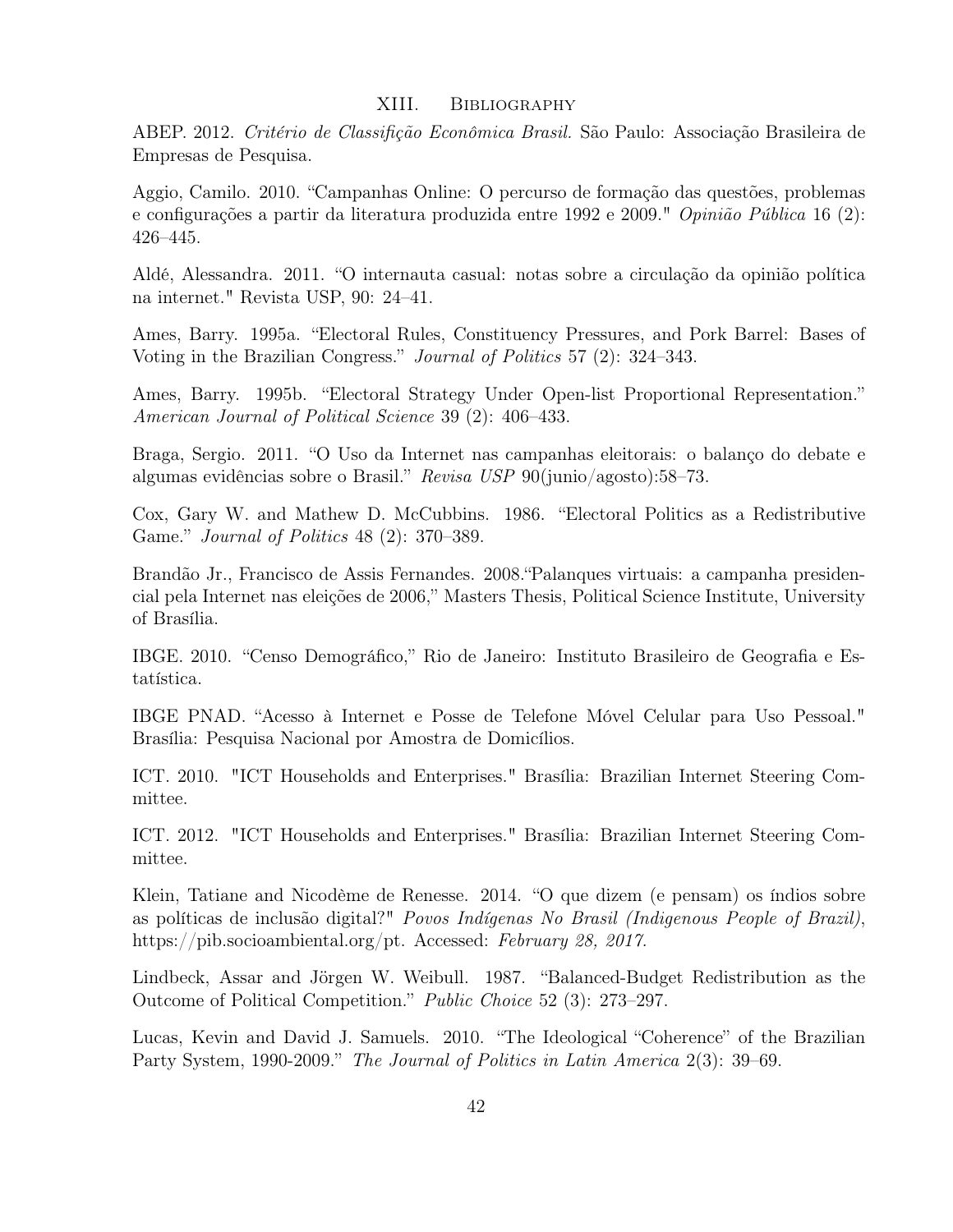# XIII. Bibliography

<span id="page-44-0"></span>ABEP. 2012. Critério de Classifição Econômica Brasil. São Paulo: Associação Brasileira de Empresas de Pesquisa.

Aggio, Camilo. 2010. "Campanhas Online: O percurso de formação das questões, problemas e configurações a partir da literatura produzida entre 1992 e 2009." Opinião Pública 16 (2): 426–445.

Aldé, Alessandra. 2011. "O internauta casual: notas sobre a circulação da opinião política na internet." Revista USP, 90: 24–41.

Ames, Barry. 1995a. "Electoral Rules, Constituency Pressures, and Pork Barrel: Bases of Voting in the Brazilian Congress." Journal of Politics 57 (2): 324–343.

Ames, Barry. 1995b. "Electoral Strategy Under Open-list Proportional Representation." American Journal of Political Science 39 (2): 406–433.

Braga, Sergio. 2011. "O Uso da Internet nas campanhas eleitorais: o balanço do debate e algumas evidências sobre o Brasil." Revisa USP 90(junio/agosto):58–73.

Cox, Gary W. and Mathew D. McCubbins. 1986. "Electoral Politics as a Redistributive Game." Journal of Politics 48 (2): 370–389.

Brandão Jr., Francisco de Assis Fernandes. 2008."Palanques virtuais: a campanha presidencial pela Internet nas eleições de 2006," Masters Thesis, Political Science Institute, University of Brasília.

IBGE. 2010. "Censo Demográfico," Rio de Janeiro: Instituto Brasileiro de Geografia e Estatística.

IBGE PNAD. "Acesso à Internet e Posse de Telefone Móvel Celular para Uso Pessoal." Brasília: Pesquisa Nacional por Amostra de Domicílios.

ICT. 2010. "ICT Households and Enterprises." Brasília: Brazilian Internet Steering Committee.

ICT. 2012. "ICT Households and Enterprises." Brasília: Brazilian Internet Steering Committee.

Klein, Tatiane and Nicodème de Renesse. 2014. "O que dizem (e pensam) os índios sobre as políticas de inclusão digital?" Povos Indígenas No Brasil (Indigenous People of Brazil), https://pib.socioambiental.org/pt. Accessed: February 28, 2017.

Lindbeck, Assar and Jörgen W. Weibull. 1987. "Balanced-Budget Redistribution as the Outcome of Political Competition." Public Choice 52 (3): 273–297.

Lucas, Kevin and David J. Samuels. 2010. "The Ideological "Coherence" of the Brazilian Party System, 1990-2009." The Journal of Politics in Latin America 2(3): 39–69.